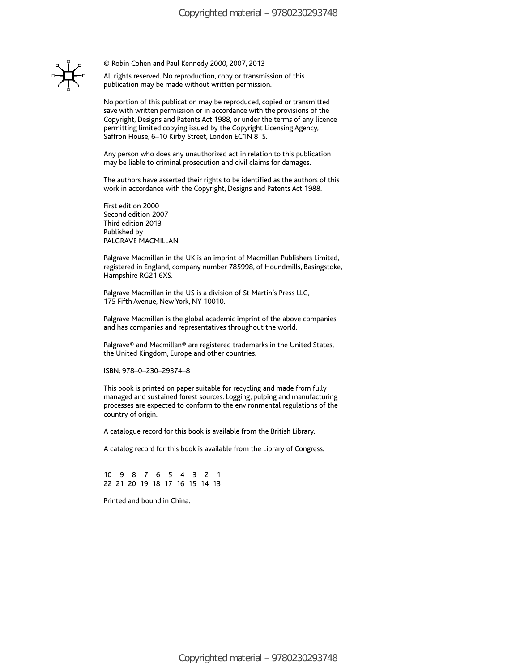

© Robin Cohen and Paul Kennedy 2000, 2007, 2013

All rights reserved. No reproduction, copy or transmission of this publication may be made without written permission.

No portion of this publication may be reproduced, copied or transmitted save with written permission or in accordance with the provisions of the Copyright, Designs and Patents Act 1988, or under the terms of any licence permitting limited copying issued by the Copyright Licensing Agency, Saffron House, 6–10 Kirby Street, London EC1N 8TS.

Any person who does any unauthorized act in relation to this publication may be liable to criminal prosecution and civil claims for damages.

The authors have asserted their rights to be identified as the authors of this work in accordance with the Copyright, Designs and Patents Act 1988.

First edition 2000 Second edition 2007 Third edition 2013 Published by PALGRAVE MACMILLAN

Palgrave Macmillan in the UK is an imprint of Macmillan Publishers Limited, registered in England, company number 785998, of Houndmills, Basingstoke, Hampshire RG21 6XS.

Palgrave Macmillan in the US is a division of St Martin's Press LLC, 175 Fifth Avenue, New York, NY 10010.

Palgrave Macmillan is the global academic imprint of the above companies and has companies and representatives throughout the world.

Palgrave® and Macmillan® are registered trademarks in the United States, the United Kingdom, Europe and other countries.

ISBN: 978–0–230–29374–8

This book is printed on paper suitable for recycling and made from fully managed and sustained forest sources. Logging, pulping and manufacturing processes are expected to conform to the environmental regulations of the country of origin.

A catalogue record for this book is available from the British Library.

A catalog record for this book is available from the Library of Congress.

10 9 8 7 6 5 4 3 2 1 22 21 20 19 18 17 16 15 14 13

Printed and bound in China.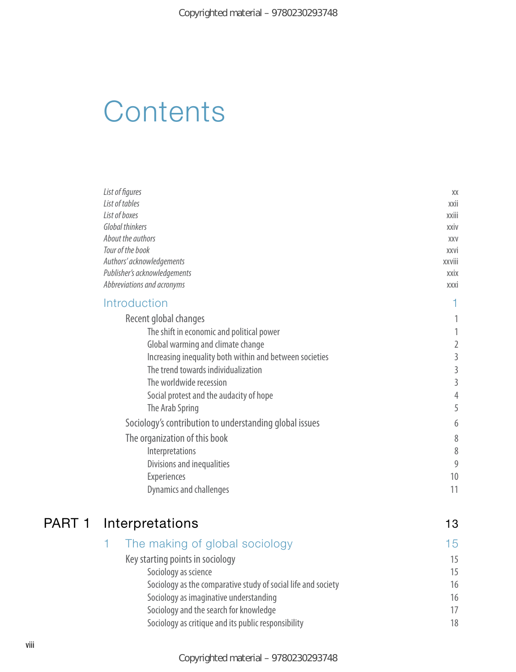## **Contents**

|        | List of figures                                               | XX                        |
|--------|---------------------------------------------------------------|---------------------------|
|        | List of tables                                                | ххіі                      |
|        | List of boxes                                                 | xxiii                     |
|        | Global thinkers                                               | xxiv                      |
|        | About the authors<br>Tour of the book                         | XXV<br>xxvi               |
|        | Authors' acknowledgements                                     | xxviii                    |
|        | Publisher's acknowledgements                                  | xxix                      |
|        | Abbreviations and acronyms                                    | xxxi                      |
|        | Introduction                                                  | $\mathbf{1}$              |
|        | Recent global changes                                         | 1                         |
|        | The shift in economic and political power                     | $\ensuremath{\mathsf{1}}$ |
|        | Global warming and climate change                             | $\overline{2}$            |
|        | Increasing inequality both within and between societies       | $\overline{3}$            |
|        | The trend towards individualization                           | 3                         |
|        | The worldwide recession                                       | 3                         |
|        | Social protest and the audacity of hope                       | $\overline{4}$            |
|        | The Arab Spring                                               | 5                         |
|        | Sociology's contribution to understanding global issues       | 6                         |
|        | The organization of this book                                 | 8                         |
|        | Interpretations                                               | 8                         |
|        | Divisions and inequalities                                    | 9                         |
|        | Experiences                                                   | 10                        |
|        | Dynamics and challenges                                       | 11                        |
| PART 1 | Interpretations                                               | 13                        |
|        |                                                               |                           |
|        | 1<br>The making of global sociology                           | 15                        |
|        | Key starting points in sociology                              | 15                        |
|        | Sociology as science                                          | 15                        |
|        | Sociology as the comparative study of social life and society | 16                        |
|        | Sociology as imaginative understanding                        | 16                        |
|        | Sociology and the search for knowledge                        | 17                        |
|        | Sociology as critique and its public responsibility           | 18                        |
|        |                                                               |                           |

Copyrighted material – 9780230293748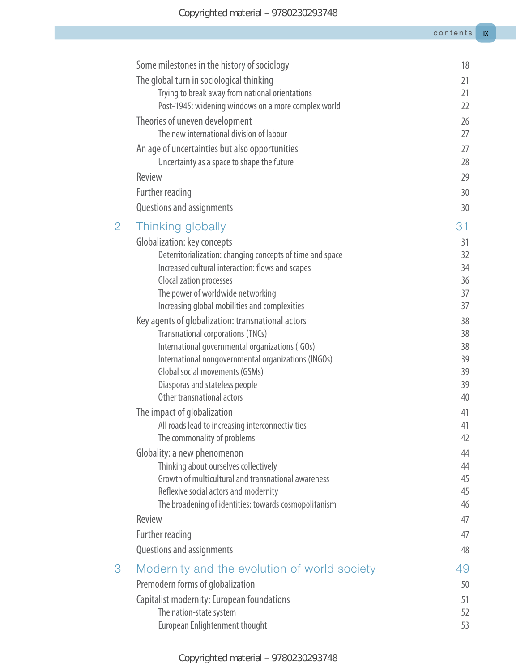|   | Some milestones in the history of sociology                                                  | 18       |
|---|----------------------------------------------------------------------------------------------|----------|
|   | The global turn in sociological thinking                                                     | 21       |
|   | Trying to break away from national orientations                                              | 21       |
|   | Post-1945: widening windows on a more complex world                                          | 22       |
|   | Theories of uneven development                                                               | 26       |
|   | The new international division of labour                                                     | 27       |
|   | An age of uncertainties but also opportunities                                               | 27       |
|   | Uncertainty as a space to shape the future                                                   | 28       |
|   | Review                                                                                       | 29       |
|   | <b>Further reading</b>                                                                       | 30       |
|   | Questions and assignments                                                                    | 30       |
| 2 | Thinking globally                                                                            | 31       |
|   | Globalization: key concepts                                                                  | 31       |
|   | Deterritorialization: changing concepts of time and space                                    | 32       |
|   | Increased cultural interaction: flows and scapes                                             | 34       |
|   | <b>Glocalization processes</b>                                                               | 36       |
|   | The power of worldwide networking                                                            | 37       |
|   | Increasing global mobilities and complexities                                                | 37       |
|   | Key agents of globalization: transnational actors                                            | 38       |
|   | Transnational corporations (TNCs)<br>International governmental organizations (IGOs)         | 38<br>38 |
|   | International nongovernmental organizations (INGOs)                                          | 39       |
|   | Global social movements (GSMs)                                                               | 39       |
|   | Diasporas and stateless people                                                               | 39       |
|   | Other transnational actors                                                                   | 40       |
|   | The impact of globalization                                                                  | 41       |
|   | All roads lead to increasing interconnectivities                                             | 41       |
|   | The commonality of problems                                                                  | 42       |
|   | Globality: a new phenomenon                                                                  | 44       |
|   | Thinking about ourselves collectively                                                        | 44       |
|   | Growth of multicultural and transnational awareness<br>Reflexive social actors and modernity | 45<br>45 |
|   | The broadening of identities: towards cosmopolitanism                                        | 46       |
|   | Review                                                                                       | 47       |
|   | Further reading                                                                              | 47       |
|   | Questions and assignments                                                                    | 48       |
| 3 | Modernity and the evolution of world society                                                 | 49       |
|   | Premodern forms of globalization                                                             | 50       |
|   | Capitalist modernity: European foundations                                                   | 51       |
|   | The nation-state system                                                                      | 52       |
|   | European Enlightenment thought                                                               | 53       |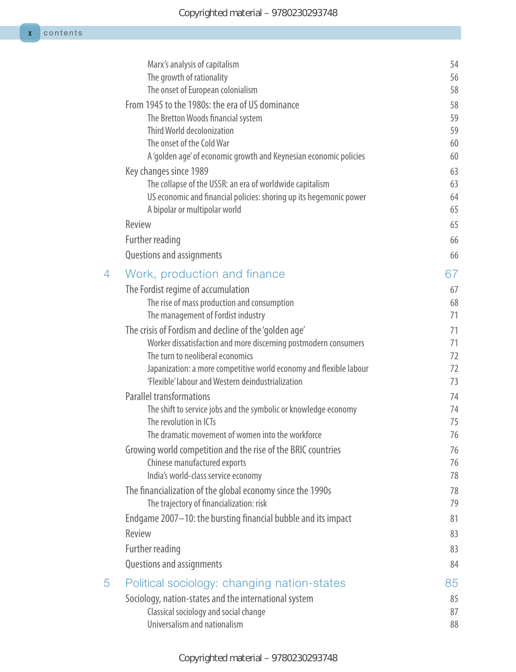|   | Marx's analysis of capitalism                                                                                                  | 54       |
|---|--------------------------------------------------------------------------------------------------------------------------------|----------|
|   | The growth of rationality                                                                                                      | 56       |
|   | The onset of European colonialism                                                                                              | 58       |
|   | From 1945 to the 1980s: the era of US dominance                                                                                | 58       |
|   | The Bretton Woods financial system                                                                                             | 59       |
|   | <b>Third World decolonization</b>                                                                                              | 59       |
|   | The onset of the Cold War                                                                                                      | 60       |
|   | A 'golden age' of economic growth and Keynesian economic policies                                                              | 60       |
|   | Key changes since 1989                                                                                                         | 63<br>63 |
|   | The collapse of the USSR: an era of worldwide capitalism<br>US economic and financial policies: shoring up its hegemonic power | 64       |
|   | A bipolar or multipolar world                                                                                                  | 65       |
|   | Review                                                                                                                         | 65       |
|   | Further reading                                                                                                                | 66       |
|   | Questions and assignments                                                                                                      | 66       |
|   |                                                                                                                                |          |
| 4 | Work, production and finance                                                                                                   | 67       |
|   | The Fordist regime of accumulation                                                                                             | 67       |
|   | The rise of mass production and consumption                                                                                    | 68       |
|   | The management of Fordist industry                                                                                             | 71       |
|   | The crisis of Fordism and decline of the 'golden age'                                                                          | 71       |
|   | Worker dissatisfaction and more discerning postmodern consumers                                                                | 71       |
|   | The turn to neoliberal economics<br>Japanization: a more competitive world economy and flexible labour                         | 72<br>72 |
|   | 'Flexible' labour and Western deindustrialization                                                                              | 73       |
|   | <b>Parallel transformations</b>                                                                                                | 74       |
|   | The shift to service jobs and the symbolic or knowledge economy                                                                | 74       |
|   | The revolution in ICTs                                                                                                         | 75       |
|   | The dramatic movement of women into the workforce                                                                              | 76       |
|   | Growing world competition and the rise of the BRIC countries                                                                   | 76       |
|   | Chinese manufactured exports                                                                                                   | 76       |
|   | India's world-class service economy                                                                                            | 78       |
|   | The financialization of the global economy since the 1990s                                                                     | 78       |
|   | The trajectory of financialization: risk                                                                                       | 79       |
|   | Endgame 2007-10: the bursting financial bubble and its impact                                                                  | 81       |
|   | Review                                                                                                                         | 83       |
|   | Further reading                                                                                                                | 83       |
|   | Questions and assignments                                                                                                      | 84       |
| 5 | Political sociology: changing nation-states                                                                                    | 85       |
|   | Sociology, nation-states and the international system                                                                          | 85       |
|   | Classical sociology and social change                                                                                          | 87       |
|   | Universalism and nationalism                                                                                                   | 88       |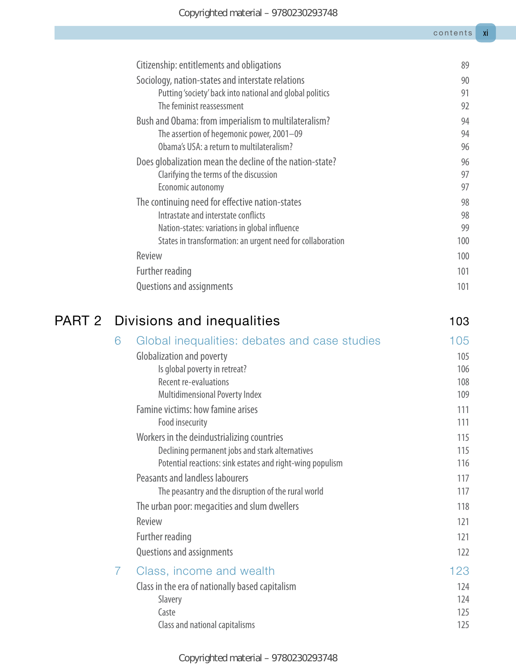| Citizenship: entitlements and obligations                  | 89  |
|------------------------------------------------------------|-----|
| Sociology, nation-states and interstate relations          | 90  |
| Putting 'society' back into national and global politics   | 91  |
| The feminist reassessment                                  | 92  |
| Bush and Obama: from imperialism to multilateralism?       | 94  |
| The assertion of hegemonic power, 2001-09                  | 94  |
| Obama's USA: a return to multilateralism?                  | 96  |
| Does globalization mean the decline of the nation-state?   | 96  |
| Clarifying the terms of the discussion                     | 97  |
| Economic autonomy                                          | 97  |
| The continuing need for effective nation-states            | 98  |
| Intrastate and interstate conflicts                        | 98  |
| Nation-states: variations in global influence              | 99  |
| States in transformation: an urgent need for collaboration | 100 |
| Review                                                     | 100 |
| Further reading                                            | 101 |
| Questions and assignments                                  | 101 |
| <b>PART 2</b> Divisions and inequalities                   | 103 |

| 6 | Global inequalities: debates and case studies             | 105 |
|---|-----------------------------------------------------------|-----|
|   | Globalization and poverty                                 | 105 |
|   | Is global poverty in retreat?                             | 106 |
|   | Recent re-evaluations                                     | 108 |
|   | <b>Multidimensional Poverty Index</b>                     | 109 |
|   | Famine victims: how famine arises                         | 111 |
|   | Food insecurity                                           | 111 |
|   | Workers in the deindustrializing countries                | 115 |
|   | Declining permanent jobs and stark alternatives           | 115 |
|   | Potential reactions: sink estates and right-wing populism | 116 |
|   | <b>Peasants and landless labourers</b>                    | 117 |
|   | The peasantry and the disruption of the rural world       | 117 |
|   | The urban poor: megacities and slum dwellers              | 118 |
|   | Review                                                    | 121 |
|   | Further reading                                           | 121 |
|   | Questions and assignments                                 | 122 |
| 7 | Class, income and wealth                                  | 123 |
|   | Class in the era of nationally based capitalism           | 124 |
|   | Slavery                                                   | 124 |
|   | Caste                                                     | 125 |
|   | Class and national capitalisms                            | 125 |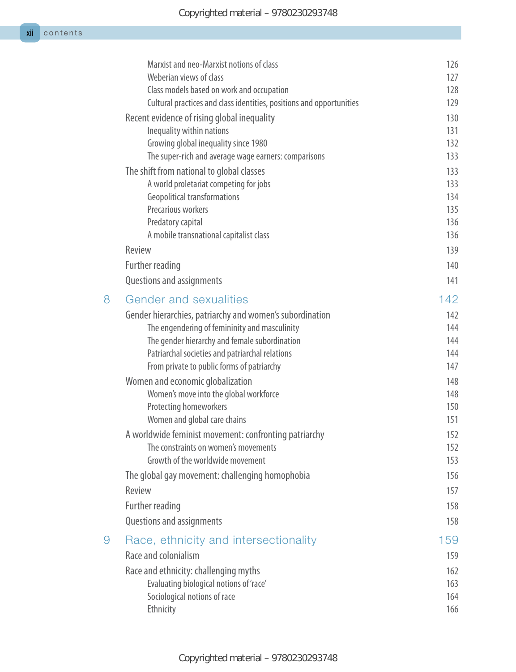|   | Marxist and neo-Marxist notions of class                                                      | 126        |
|---|-----------------------------------------------------------------------------------------------|------------|
|   | Weberian views of class                                                                       | 127        |
|   | Class models based on work and occupation                                                     | 128        |
|   | Cultural practices and class identities, positions and opportunities                          | 129        |
|   | Recent evidence of rising global inequality                                                   | 130        |
|   | Inequality within nations                                                                     | 131        |
|   | Growing global inequality since 1980                                                          | 132        |
|   | The super-rich and average wage earners: comparisons                                          | 133        |
|   | The shift from national to global classes                                                     | 133        |
|   | A world proletariat competing for jobs                                                        | 133        |
|   | <b>Geopolitical transformations</b><br>Precarious workers                                     | 134<br>135 |
|   | Predatory capital                                                                             | 136        |
|   | A mobile transnational capitalist class                                                       | 136        |
|   | Review                                                                                        | 139        |
|   | Further reading                                                                               | 140        |
|   | Questions and assignments                                                                     | 141        |
| 8 | <b>Gender and sexualities</b>                                                                 | 142        |
|   | Gender hierarchies, patriarchy and women's subordination                                      | 142        |
|   | The engendering of femininity and masculinity                                                 | 144        |
|   | The gender hierarchy and female subordination                                                 | 144        |
|   | Patriarchal societies and patriarchal relations                                               | 144        |
|   | From private to public forms of patriarchy                                                    | 147        |
|   | Women and economic globalization                                                              | 148        |
|   | Women's move into the global workforce                                                        | 148        |
|   | Protecting homeworkers                                                                        | 150        |
|   | Women and global care chains                                                                  | 151        |
|   | A worldwide feminist movement: confronting patriarchy<br>The constraints on women's movements | 152        |
|   | Growth of the worldwide movement                                                              | 152<br>153 |
|   | The global gay movement: challenging homophobia                                               | 156        |
|   | Review                                                                                        |            |
|   |                                                                                               | 157        |
|   | Further reading                                                                               | 158        |
|   | Questions and assignments                                                                     | 158        |
| 9 | Race, ethnicity and intersectionality                                                         | 159        |
|   | Race and colonialism                                                                          | 159        |
|   | Race and ethnicity: challenging myths                                                         | 162        |
|   | Evaluating biological notions of 'race'                                                       | 163        |
|   | Sociological notions of race                                                                  | 164        |
|   | Ethnicity                                                                                     | 166        |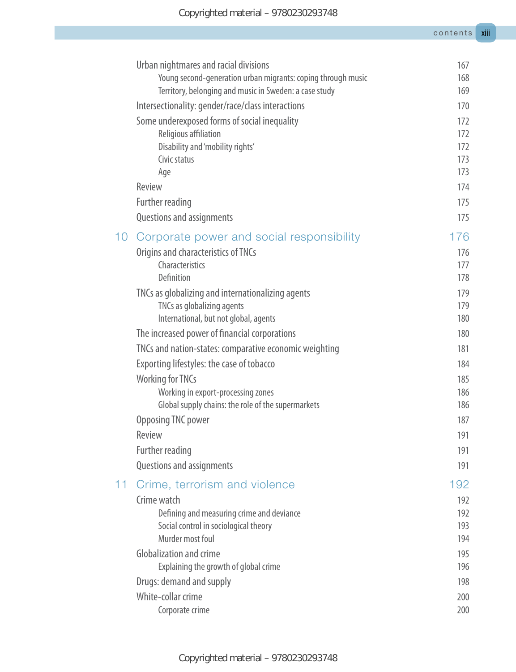|                 | Urban nightmares and racial divisions                        | 167        |
|-----------------|--------------------------------------------------------------|------------|
|                 | Young second-generation urban migrants: coping through music | 168        |
|                 | Territory, belonging and music in Sweden: a case study       | 169        |
|                 | Intersectionality: gender/race/class interactions            | 170        |
|                 | Some underexposed forms of social inequality                 | 172        |
|                 | Religious affiliation                                        | 172        |
|                 | Disability and 'mobility rights'<br>Civic status             | 172<br>173 |
|                 | Age                                                          | 173        |
|                 | Review                                                       | 174        |
|                 | Further reading                                              | 175        |
|                 | Questions and assignments                                    | 175        |
|                 |                                                              | 176        |
| 10 <sup>°</sup> | Corporate power and social responsibility                    |            |
|                 | Origins and characteristics of TNCs<br>Characteristics       | 176<br>177 |
|                 | Definition                                                   | 178        |
|                 | TNCs as globalizing and internationalizing agents            | 179        |
|                 | TNCs as globalizing agents                                   | 179        |
|                 | International, but not global, agents                        | 180        |
|                 | The increased power of financial corporations                | 180        |
|                 | TNCs and nation-states: comparative economic weighting       | 181        |
|                 | Exporting lifestyles: the case of tobacco                    | 184        |
|                 | <b>Working for TNCs</b>                                      | 185        |
|                 | Working in export-processing zones                           | 186        |
|                 | Global supply chains: the role of the supermarkets           | 186        |
|                 | Opposing TNC power                                           | 187        |
|                 | Review                                                       | 191        |
|                 | Further reading                                              | 191        |
|                 | Questions and assignments                                    | 191        |
|                 | 11 Crime, terrorism and violence                             | 192        |
|                 | Crime watch                                                  | 192        |
|                 | Defining and measuring crime and deviance                    | 192        |
|                 | Social control in sociological theory                        | 193        |
|                 | Murder most foul                                             | 194        |
|                 | <b>Globalization and crime</b>                               | 195<br>196 |
|                 | Explaining the growth of global crime                        |            |
|                 | Drugs: demand and supply<br>White-collar crime               | 198        |
|                 | Corporate crime                                              | 200<br>200 |
|                 |                                                              |            |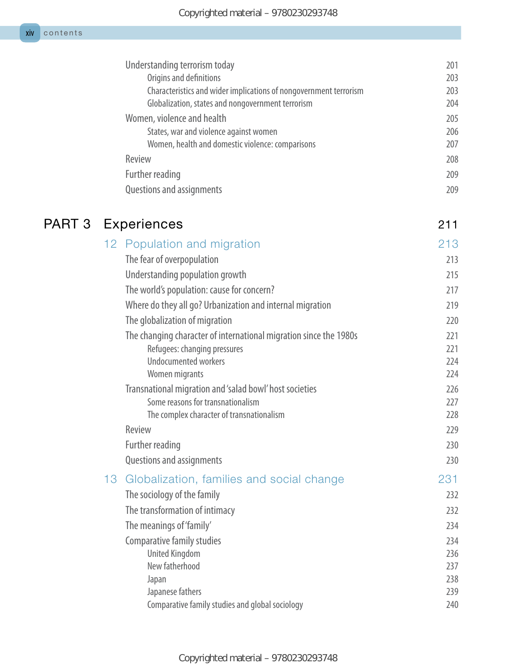|        | Understanding terrorism today                                                  | 201        |
|--------|--------------------------------------------------------------------------------|------------|
|        | Origins and definitions                                                        | 203        |
|        | Characteristics and wider implications of nongovernment terrorism              | 203        |
|        | Globalization, states and nongovernment terrorism                              | 204        |
|        | Women, violence and health<br>States, war and violence against women           | 205<br>206 |
|        | Women, health and domestic violence: comparisons                               | 207        |
|        | Review                                                                         | 208        |
|        | <b>Further reading</b>                                                         | 209        |
|        | Questions and assignments                                                      | 209        |
| PART 3 | <b>Experiences</b>                                                             | 211        |
|        | 12 Population and migration                                                    | 213        |
|        | The fear of overpopulation                                                     | 213        |
|        | Understanding population growth                                                | 215        |
|        | The world's population: cause for concern?                                     | 217        |
|        | Where do they all go? Urbanization and internal migration                      | 219        |
|        | The globalization of migration                                                 | 220        |
|        | The changing character of international migration since the 1980s              | 221        |
|        | Refugees: changing pressures                                                   | 221        |
|        | <b>Undocumented workers</b>                                                    | 224        |
|        | Women migrants                                                                 | 224        |
|        | Transnational migration and 'salad bowl' host societies                        | 226        |
|        | Some reasons for transnationalism<br>The complex character of transnationalism | 227<br>228 |
|        | Review                                                                         | 229        |
|        | Further reading                                                                | 230        |
|        | Questions and assignments                                                      | 230        |
|        | 13 Globalization, families and social change                                   | 231        |
|        | The sociology of the family                                                    | 232        |
|        | The transformation of intimacy                                                 | 232        |
|        | The meanings of 'family'                                                       | 234        |
|        | <b>Comparative family studies</b>                                              | 234        |
|        | <b>United Kingdom</b>                                                          | 236        |
|        | New fatherhood                                                                 | 237        |
|        | Japan                                                                          | 238        |
|        | Japanese fathers<br>Comparative family studies and global sociology            | 239<br>240 |
|        |                                                                                |            |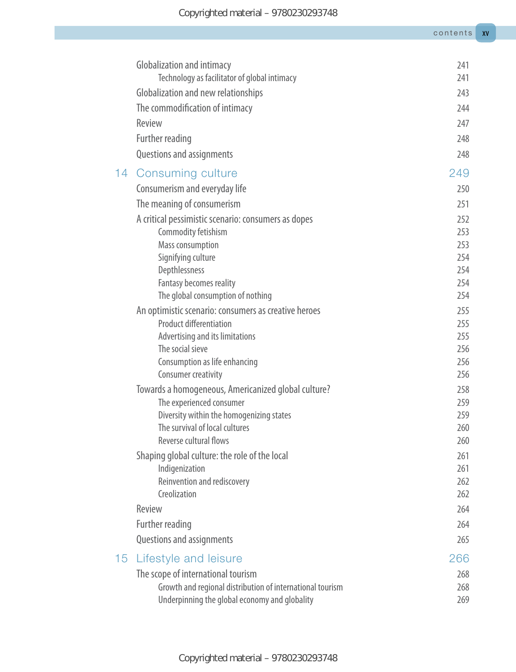| contents | XV |
|----------|----|
|----------|----|

|    | <b>Globalization and intimacy</b>                            | 241        |
|----|--------------------------------------------------------------|------------|
|    | Technology as facilitator of global intimacy                 | 241        |
|    | Globalization and new relationships                          | 243        |
|    | The commodification of intimacy                              | 244        |
|    | Review                                                       | 247        |
|    | <b>Further reading</b>                                       | 248        |
|    | Questions and assignments                                    | 248        |
| 14 | Consuming culture                                            | 249        |
|    | Consumerism and everyday life                                | 250        |
|    | The meaning of consumerism                                   | 251        |
|    | A critical pessimistic scenario: consumers as dopes          | 252        |
|    | Commodity fetishism                                          | 253        |
|    | Mass consumption                                             | 253        |
|    | Signifying culture                                           | 254        |
|    | Depthlessness                                                | 254        |
|    | Fantasy becomes reality<br>The global consumption of nothing | 254<br>254 |
|    | An optimistic scenario: consumers as creative heroes         | 255        |
|    | <b>Product differentiation</b>                               | 255        |
|    | Advertising and its limitations                              | 255        |
|    | The social sieve                                             | 256        |
|    | Consumption as life enhancing                                | 256        |
|    | Consumer creativity                                          | 256        |
|    | Towards a homogeneous, Americanized global culture?          | 258        |
|    | The experienced consumer                                     | 259        |
|    | Diversity within the homogenizing states                     | 259        |
|    | The survival of local cultures                               | 260        |
|    | Reverse cultural flows                                       | 260        |
|    | Shaping global culture: the role of the local                | 261        |
|    | Indigenization<br>Reinvention and rediscovery                | 261<br>262 |
|    | Creolization                                                 | 262        |
|    | Review                                                       | 264        |
|    | Further reading                                              | 264        |
|    | Questions and assignments                                    | 265        |
| 15 | Lifestyle and leisure                                        | 266        |
|    | The scope of international tourism                           | 268        |
|    | Growth and regional distribution of international tourism    | 268        |
|    | Underpinning the global economy and globality                | 269        |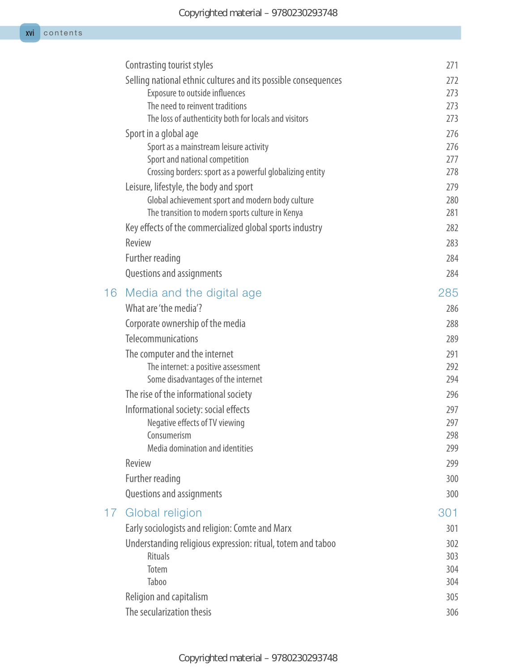|    | Contrasting tourist styles                                     | 271 |
|----|----------------------------------------------------------------|-----|
|    | Selling national ethnic cultures and its possible consequences | 272 |
|    | Exposure to outside influences                                 | 273 |
|    | The need to reinvent traditions                                | 273 |
|    | The loss of authenticity both for locals and visitors          | 273 |
|    | Sport in a global age                                          | 276 |
|    | Sport as a mainstream leisure activity                         | 276 |
|    | Sport and national competition                                 | 277 |
|    | Crossing borders: sport as a powerful globalizing entity       | 278 |
|    | Leisure, lifestyle, the body and sport                         | 279 |
|    | Global achievement sport and modern body culture               | 280 |
|    | The transition to modern sports culture in Kenya               | 281 |
|    | Key effects of the commercialized global sports industry       | 282 |
|    | Review                                                         | 283 |
|    | Further reading                                                | 284 |
|    | Questions and assignments                                      | 284 |
| 16 | Media and the digital age                                      | 285 |
|    | What are 'the media'?                                          | 286 |
|    | Corporate ownership of the media                               | 288 |
|    | Telecommunications                                             | 289 |
|    | The computer and the internet                                  | 291 |
|    | The internet: a positive assessment                            | 292 |
|    | Some disadvantages of the internet                             | 294 |
|    | The rise of the informational society                          | 296 |
|    | Informational society: social effects                          | 297 |
|    | Negative effects of TV viewing                                 | 297 |
|    | Consumerism                                                    | 298 |
|    | Media domination and identities                                | 299 |
|    | Review                                                         | 299 |
|    | Further reading                                                | 300 |
|    | Questions and assignments                                      | 300 |
| 17 | Global religion                                                | 301 |
|    | Early sociologists and religion: Comte and Marx                | 301 |
|    | Understanding religious expression: ritual, totem and taboo    | 302 |
|    | <b>Rituals</b>                                                 | 303 |
|    | Totem                                                          | 304 |
|    | Taboo                                                          | 304 |
|    | Religion and capitalism                                        | 305 |
|    | The secularization thesis                                      | 306 |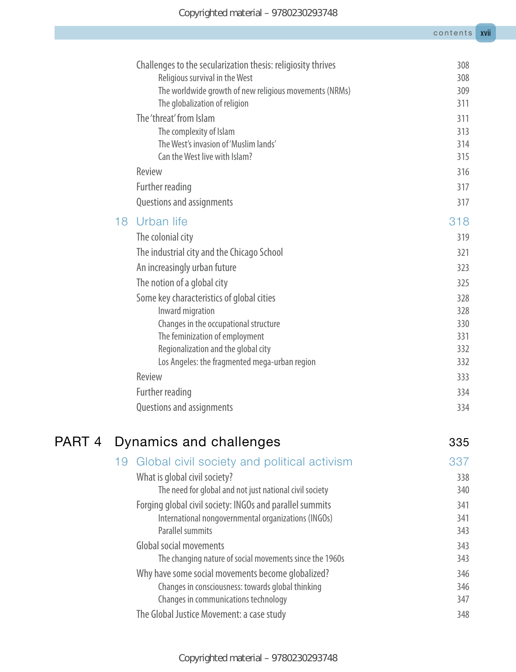|    | Challenges to the secularization thesis: religiosity thrives | 308 |
|----|--------------------------------------------------------------|-----|
|    | Religious survival in the West                               | 308 |
|    | The worldwide growth of new religious movements (NRMs)       | 309 |
|    | The globalization of religion                                | 311 |
|    | The 'threat' from Islam                                      | 311 |
|    | The complexity of Islam                                      | 313 |
|    | The West's invasion of 'Muslim lands'                        | 314 |
|    | Can the West live with Islam?                                | 315 |
|    | Review                                                       | 316 |
|    | Further reading                                              | 317 |
|    | Questions and assignments                                    | 317 |
| 18 | Urban life                                                   | 318 |
|    | The colonial city                                            | 319 |
|    | The industrial city and the Chicago School                   | 321 |
|    | An increasingly urban future                                 | 323 |
|    | The notion of a global city                                  | 325 |
|    | Some key characteristics of global cities                    | 328 |
|    | Inward migration                                             | 328 |
|    | Changes in the occupational structure                        | 330 |
|    | The feminization of employment                               | 331 |
|    | Regionalization and the global city                          | 332 |
|    | Los Angeles: the fragmented mega-urban region                | 332 |
|    | Review                                                       | 333 |
|    | Further reading                                              | 334 |
|    | Questions and assignments                                    | 334 |
|    |                                                              |     |

## PART 4 Dynamics and challenges 335

| 19 Global civil society and political activism           | 337 |
|----------------------------------------------------------|-----|
| What is global civil society?                            | 338 |
| The need for global and not just national civil society  | 340 |
| Forging global civil society: INGOs and parallel summits | 341 |
| International nongovernmental organizations (INGOs)      | 341 |
| Parallel summits                                         | 343 |
| <b>Global social movements</b>                           | 343 |
| The changing nature of social movements since the 1960s  | 343 |
| Why have some social movements become globalized?        | 346 |
| Changes in consciousness: towards global thinking        | 346 |
| Changes in communications technology                     | 347 |
| The Global Justice Movement: a case study                | 348 |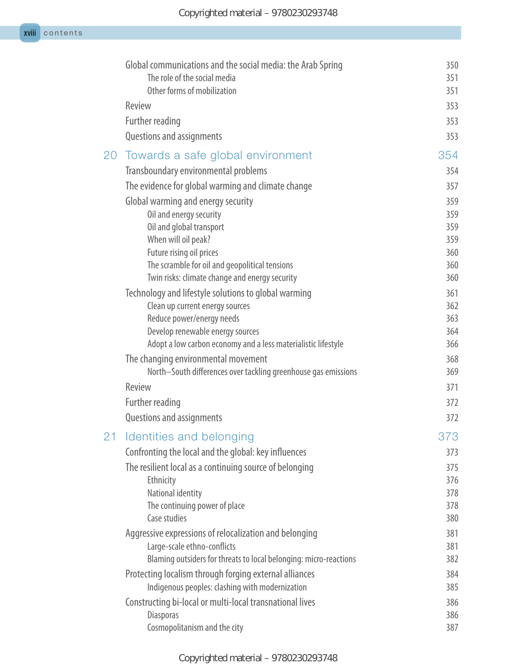|    | Global communications and the social media: the Arab Spring       | 350 |
|----|-------------------------------------------------------------------|-----|
|    | The role of the social media                                      | 351 |
|    | Other forms of mobilization                                       | 351 |
|    | Review                                                            | 353 |
|    | Further reading                                                   | 353 |
|    | Questions and assignments                                         | 353 |
| 20 | Towards a safe global environment                                 | 354 |
|    | Transboundary environmental problems                              | 354 |
|    | The evidence for global warming and climate change                | 357 |
|    | Global warming and energy security                                | 359 |
|    | Oil and energy security                                           | 359 |
|    | Oil and global transport                                          | 359 |
|    | When will oil peak?                                               | 359 |
|    | Future rising oil prices                                          | 360 |
|    | The scramble for oil and geopolitical tensions                    | 360 |
|    | Twin risks: climate change and energy security                    | 360 |
|    | Technology and lifestyle solutions to global warming              | 361 |
|    | Clean up current energy sources                                   | 362 |
|    | Reduce power/energy needs                                         | 363 |
|    | Develop renewable energy sources                                  | 364 |
|    | Adopt a low carbon economy and a less materialistic lifestyle     | 366 |
|    | The changing environmental movement                               | 368 |
|    | North-South differences over tackling greenhouse gas emissions    | 369 |
|    | Review                                                            | 371 |
|    | Further reading                                                   | 372 |
|    | Questions and assignments                                         | 372 |
| 21 | Identities and belonging                                          | 373 |
|    | Confronting the local and the global: key influences              | 373 |
|    | The resilient local as a continuing source of belonging           | 375 |
|    | Ethnicity                                                         | 376 |
|    | National identity                                                 | 378 |
|    | The continuing power of place                                     | 378 |
|    | Case studies                                                      | 380 |
|    | Aggressive expressions of relocalization and belonging            | 381 |
|    | Large-scale ethno-conflicts                                       | 381 |
|    | Blaming outsiders for threats to local belonging: micro-reactions | 382 |
|    | Protecting localism through forging external alliances            | 384 |
|    | Indigenous peoples: clashing with modernization                   | 385 |
|    | Constructing bi-local or multi-local transnational lives          | 386 |
|    | Diasporas                                                         | 386 |
|    | Cosmopolitanism and the city                                      | 387 |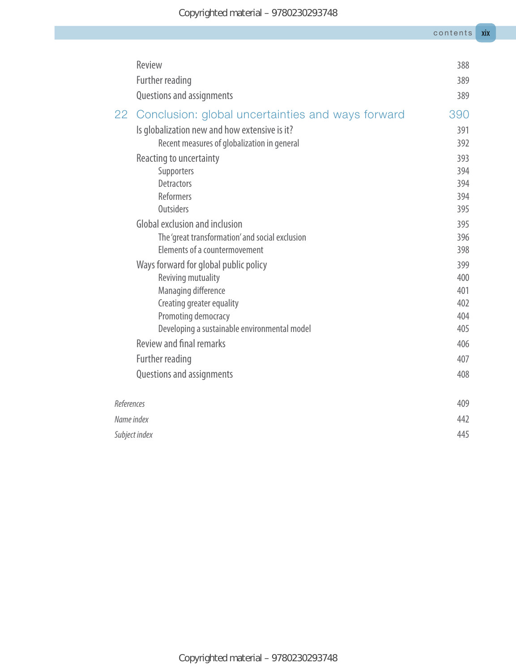| Review                                                  | 388 |  |
|---------------------------------------------------------|-----|--|
| Further reading                                         | 389 |  |
| Questions and assignments                               | 389 |  |
| 22<br>Conclusion: global uncertainties and ways forward | 390 |  |
| Is globalization new and how extensive is it?           | 391 |  |
| Recent measures of globalization in general             | 392 |  |
| Reacting to uncertainty                                 | 393 |  |
| Supporters                                              | 394 |  |
| <b>Detractors</b>                                       | 394 |  |
| <b>Reformers</b>                                        | 394 |  |
| <b>Outsiders</b>                                        | 395 |  |
| Global exclusion and inclusion                          | 395 |  |
| The 'great transformation' and social exclusion         | 396 |  |
| Elements of a countermovement                           | 398 |  |
| Ways forward for global public policy                   | 399 |  |
| Reviving mutuality                                      | 400 |  |
| Managing difference                                     | 401 |  |
| Creating greater equality                               | 402 |  |
| Promoting democracy                                     | 404 |  |
| Developing a sustainable environmental model            | 405 |  |
| <b>Review and final remarks</b>                         | 406 |  |
| <b>Further reading</b>                                  | 407 |  |
| Questions and assignments                               | 408 |  |
| References                                              | 409 |  |
| Name index                                              |     |  |
| Subject index                                           |     |  |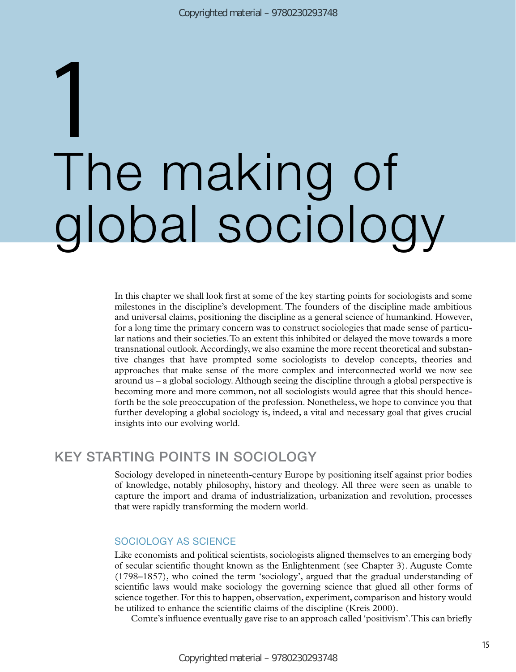# 1 The making of global sociology

In this chapter we shall look first at some of the key starting points for sociologists and some milestones in the discipline's development. The founders of the discipline made ambitious and universal claims, positioning the discipline as a general science of humankind. However, for a long time the primary concern was to construct sociologies that made sense of particular nations and their societies. To an extent this inhibited or delayed the move towards a more transnational outlook. Accordingly, we also examine the more recent theoretical and substantive changes that have prompted some sociologists to develop concepts, theories and approaches that make sense of the more complex and interconnected world we now see around us – a global sociology. Although seeing the discipline through a global perspective is becoming more and more common, not all sociologists would agree that this should henceforth be the sole preoccupation of the profession. Nonetheless, we hope to convince you that further developing a global sociology is, indeed, a vital and necessary goal that gives crucial insights into our evolving world.

### Key starting points in sociology

Sociology developed in nineteenth-century Europe by positioning itself against prior bodies of knowledge, notably philosophy, history and theology. All three were seen as unable to capture the import and drama of industrialization, urbanization and revolution, processes that were rapidly transforming the modern world.

#### Sociology as science

Like economists and political scientists, sociologists aligned themselves to an emerging body of secular scientific thought known as the Enlightenment (see Chapter 3). Auguste Comte (1798–1857), who coined the term 'sociology', argued that the gradual understanding of scientific laws would make sociology the governing science that glued all other forms of science together. For this to happen, observation, experiment, comparison and history would be utilized to enhance the scientific claims of the discipline (Kreis 2000).

Comte's influence eventually gave rise to an approach called 'positivism'. This can briefly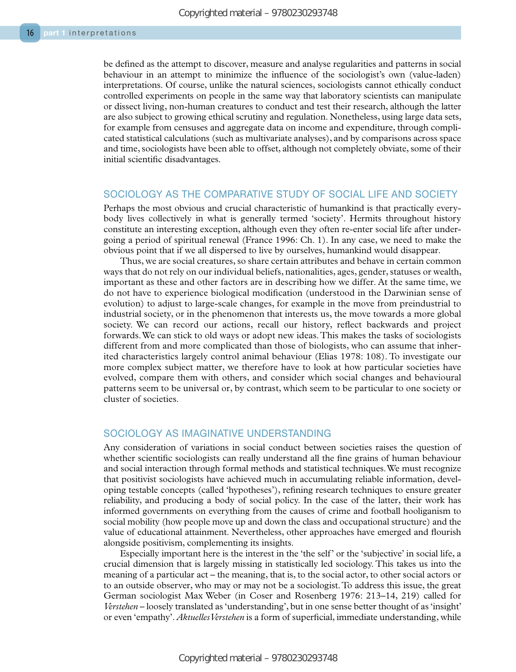be defined as the attempt to discover, measure and analyse regularities and patterns in social behaviour in an attempt to minimize the influence of the sociologist's own (value-laden) interpretations. Of course, unlike the natural sciences, sociologists cannot ethically conduct controlled experiments on people in the same way that laboratory scientists can manipulate or dissect living, non-human creatures to conduct and test their research, although the latter are also subject to growing ethical scrutiny and regulation. Nonetheless, using large data sets, for example from censuses and aggregate data on income and expenditure, through complicated statistical calculations (such as multivariate analyses), and by comparisons across space and time, sociologists have been able to offset, although not completely obviate, some of their initial scientific disadvantages.

#### Sociology as the comparative study of social life and society

Perhaps the most obvious and crucial characteristic of humankind is that practically everybody lives collectively in what is generally termed 'society'. Hermits throughout history constitute an interesting exception, although even they often re-enter social life after undergoing a period of spiritual renewal (France 1996: Ch. 1). In any case, we need to make the obvious point that if we all dispersed to live by ourselves, humankind would disappear.

Thus, we are social creatures, so share certain attributes and behave in certain common ways that do not rely on our individual beliefs, nationalities, ages, gender, statuses or wealth, important as these and other factors are in describing how we differ. At the same time, we do not have to experience biological modification (understood in the Darwinian sense of evolution) to adjust to large-scale changes, for example in the move from preindustrial to industrial society, or in the phenomenon that interests us, the move towards a more global society. We can record our actions, recall our history, reflect backwards and project forwards. We can stick to old ways or adopt new ideas. This makes the tasks of sociologists different from and more complicated than those of biologists, who can assume that inherited characteristics largely control animal behaviour (Elias 1978: 108). To investigate our more complex subject matter, we therefore have to look at how particular societies have evolved, compare them with others, and consider which social changes and behavioural patterns seem to be universal or, by contrast, which seem to be particular to one society or cluster of societies.

#### Sociology as imaginative understanding

Any consideration of variations in social conduct between societies raises the question of whether scientific sociologists can really understand all the fine grains of human behaviour and social interaction through formal methods and statistical techniques. We must recognize that positivist sociologists have achieved much in accumulating reliable information, developing testable concepts (called 'hypotheses'), refining research techniques to ensure greater reliability, and producing a body of social policy. In the case of the latter, their work has informed governments on everything from the causes of crime and football hooliganism to social mobility (how people move up and down the class and occupational structure) and the value of educational attainment. Nevertheless, other approaches have emerged and flourish alongside positivism, complementing its insights.

Especially important here is the interest in the 'the self' or the 'subjective' in social life, a crucial dimension that is largely missing in statistically led sociology. This takes us into the meaning of a particular act – the meaning, that is, to the social actor, to other social actors or to an outside observer, who may or may not be a sociologist. To address this issue, the great German sociologist Max Weber (in Coser and Rosenberg 1976: 213–14, 219) called for *Verstehen* – loosely translated as 'understanding', but in one sense better thought of as 'insight' or even 'empathy'. *Aktuelles Verstehen* is a form of superficial, immediate understanding, while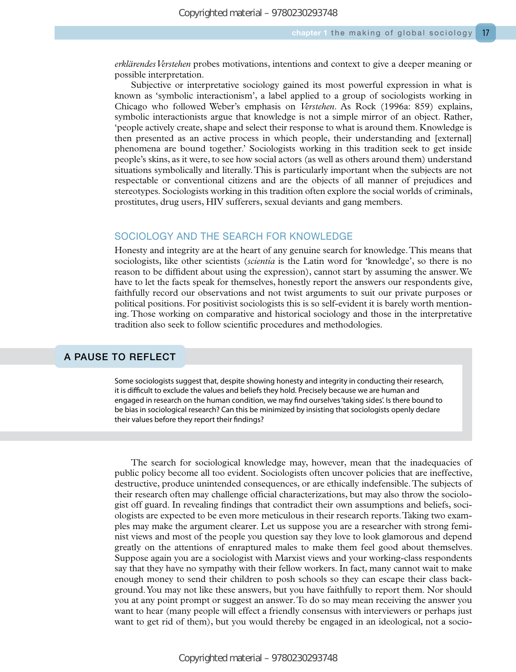*erklärendes Verstehen* probes motivations, intentions and context to give a deeper meaning or possible interpretation.

Subjective or interpretative sociology gained its most powerful expression in what is known as 'symbolic interactionism', a label applied to a group of sociologists working in Chicago who followed Weber's emphasis on *Verstehen*. As Rock (1996a: 859) explains, symbolic interactionists argue that knowledge is not a simple mirror of an object. Rather, 'people actively create, shape and select their response to what is around them. Knowledge is then presented as an active process in which people, their understanding and [external] phenomena are bound together.' Sociologists working in this tradition seek to get inside people's skins, as it were, to see how social actors (as well as others around them) understand situations symbolically and literally. This is particularly important when the subjects are not respectable or conventional citizens and are the objects of all manner of prejudices and stereotypes. Sociologists working in this tradition often explore the social worlds of criminals, prostitutes, drug users, HIV sufferers, sexual deviants and gang members.

#### SOCIOLOGY AND THE SEARCH FOR KNOWLEDGE

Honesty and integrity are at the heart of any genuine search for knowledge. This means that sociologists, like other scientists (*scientia* is the Latin word for 'knowledge', so there is no reason to be diffident about using the expression), cannot start by assuming the answer. We have to let the facts speak for themselves, honestly report the answers our respondents give, faithfully record our observations and not twist arguments to suit our private purposes or political positions. For positivist sociologists this is so self-evident it is barely worth mentioning. Those working on comparative and historical sociology and those in the interpretative tradition also seek to follow scientific procedures and methodologies.

#### A PAUSE TO REFLECT

Some sociologists suggest that, despite showing honesty and integrity in conducting their research, it is difficult to exclude the values and beliefs they hold. Precisely because we are human and engaged in research on the human condition, we may find ourselves 'taking sides'. Is there bound to be bias in sociological research? Can this be minimized by insisting that sociologists openly declare their values before they report their findings?

The search for sociological knowledge may, however, mean that the inadequacies of public policy become all too evident. Sociologists often uncover policies that are ineffective, destructive, produce unintended consequences, or are ethically indefensible. The subjects of their research often may challenge official characterizations, but may also throw the sociologist off guard. In revealing findings that contradict their own assumptions and beliefs, sociologists are expected to be even more meticulous in their research reports. Taking two examples may make the argument clearer. Let us suppose you are a researcher with strong feminist views and most of the people you question say they love to look glamorous and depend greatly on the attentions of enraptured males to make them feel good about themselves. Suppose again you are a sociologist with Marxist views and your working-class respondents say that they have no sympathy with their fellow workers. In fact, many cannot wait to make enough money to send their children to posh schools so they can escape their class background. You may not like these answers, but you have faithfully to report them. Nor should you at any point prompt or suggest an answer. To do so may mean receiving the answer you want to hear (many people will effect a friendly consensus with interviewers or perhaps just want to get rid of them), but you would thereby be engaged in an ideological, not a socio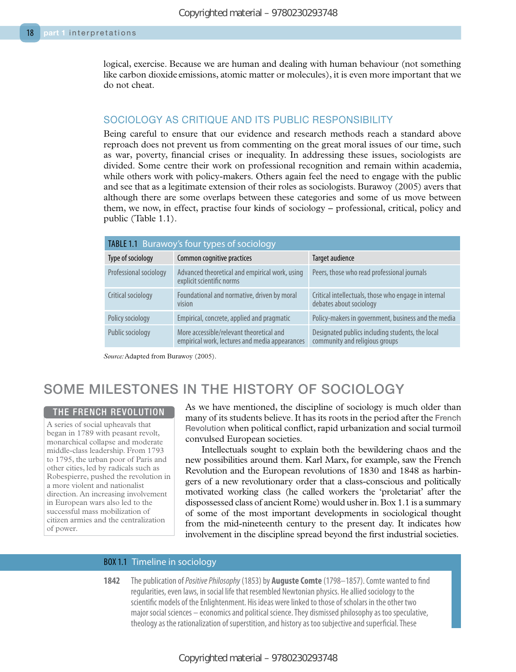logical, exercise. Because we are human and dealing with human behaviour (not something like carbon dioxide emissions, atomic matter or molecules), it is even more important that we do not cheat.

#### SOCIOLOGY AS CRITIQUE AND ITS PUBLIC RESPONSIBILITY

Being careful to ensure that our evidence and research methods reach a standard above reproach does not prevent us from commenting on the great moral issues of our time, such as war, poverty, financial crises or inequality. In addressing these issues, sociologists are divided. Some centre their work on professional recognition and remain within academia, while others work with policy-makers. Others again feel the need to engage with the public and see that as a legitimate extension of their roles as sociologists. Burawoy (2005) avers that although there are some overlaps between these categories and some of us move between them, we now, in effect, practise four kinds of sociology – professional, critical, policy and public (Table 1.1).

| <b>TABLE 1.1</b> Burawoy's four types of sociology |                                                                                            |                                                                                    |  |  |  |  |
|----------------------------------------------------|--------------------------------------------------------------------------------------------|------------------------------------------------------------------------------------|--|--|--|--|
| Type of sociology                                  | Common cognitive practices                                                                 | Target audience                                                                    |  |  |  |  |
| Professional sociology                             | Advanced theoretical and empirical work, using<br>explicit scientific norms                | Peers, those who read professional journals                                        |  |  |  |  |
| Critical sociology                                 | Foundational and normative, driven by moral<br>vision                                      | Critical intellectuals, those who engage in internal<br>debates about sociology    |  |  |  |  |
| Policy sociology                                   | Empirical, concrete, applied and pragmatic                                                 | Policy-makers in government, business and the media                                |  |  |  |  |
| Public sociology                                   | More accessible/relevant theoretical and<br>empirical work, lectures and media appearances | Designated publics including students, the local<br>community and religious groups |  |  |  |  |

*Source:* Adapted from Burawoy (2005).

#### Some milestones in the history of sociology

#### The French Revolution

A series of social upheavals that began in 1789 with peasant revolt, monarchical collapse and moderate middle-class leadership. From 1793 to 1795, the urban poor of Paris and other cities, led by radicals such as Robespierre, pushed the revolution in a more violent and nationalist direction. An increasing involvement in European wars also led to the successful mass mobilization of citizen armies and the centralization of power.

As we have mentioned, the discipline of sociology is much older than many of its students believe. It has its roots in the period after the French Revolution when political conflict, rapid urbanization and social turmoil convulsed European societies.

Intellectuals sought to explain both the bewildering chaos and the new possibilities around them. Karl Marx, for example, saw the French Revolution and the European revolutions of 1830 and 1848 as harbingers of a new revolutionary order that a class-conscious and politically motivated working class (he called workers the 'proletariat' after the dispossessed class of ancient Rome) would usher in. Box 1.1 is a summary of some of the most important developments in sociological thought from the mid-nineteenth century to the present day. It indicates how involvement in the discipline spread beyond the first industrial societies.

#### Box 1.1 Timeline in sociology

**1842**  The publication of *Positive Philosophy* (1853) by **Auguste Comte** (1798–1857). Comte wanted to find regularities, even laws, in social life that resembled Newtonian physics. He allied sociology to the scientific models of the Enlightenment. His ideas were linked to those of scholars in the other two major social sciences – economics and political science. They dismissed philosophy as too speculative, theology as the rationalization of superstition, and history as too subjective and superficial. These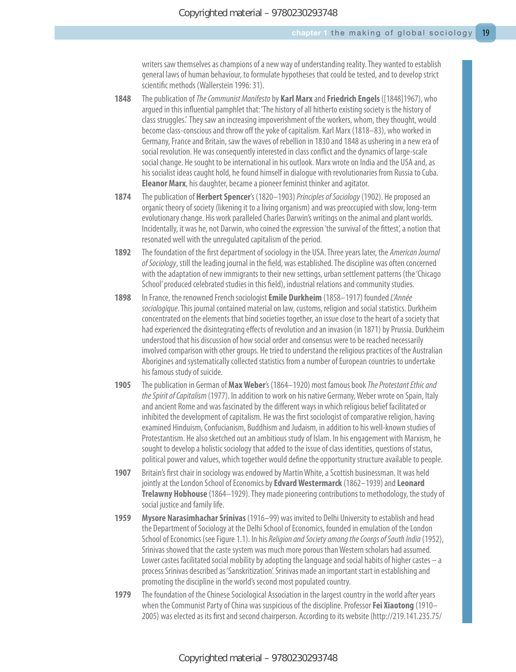writers saw themselves as champions of a new way of understanding reality. They wanted to establish general laws of human behaviour, to formulate hypotheses that could be tested, and to develop strict scientific methods (Wallerstein 1996: 31).

- **1848**  The publication of *The Communist Manifesto* by **KarlMarx** and **Friedrich Engels**([1848]1967), who argued in this influential pamphlet that: 'The history of all hitherto existing society is the history of class struggles.' They saw an increasing impoverishment of the workers, whom, they thought, would become class-conscious and throw off the yoke of capitalism. Karl Marx (1818–83), who worked in Germany, France and Britain, saw the waves of rebellion in 1830 and 1848 as ushering in a new era of social revolution. He was consequently interested in class conflict and the dynamics of large-scale social change. He sought to be international in his outlook. Marx wrote on India and the USA and, as his socialist ideas caught hold, he found himself in dialogue with revolutionaries from Russia to Cuba. **Eleanor Marx**, his daughter, became a pioneer feminist thinker and agitator.
- **1874** The publication of **HerbertSpencer**'s (1820–1903) *Principles of Sociology* (1902). He proposed an organic theory of society (likening it to a living organism) and was preoccupied with slow, long-term evolutionary change. His work paralleled Charles Darwin's writings on the animal and plant worlds. Incidentally, it was he, not Darwin, who coined the expression 'the survival of the fittest', a notion that resonated well with the unregulated capitalism of the period.
- **1892** The foundation of the first department of sociology in the USA. Three years later, the *American Journal of Sociology*, still the leading journal in the field, was established. The discipline was often concerned with the adaptation of new immigrants to their new settings, urban settlement patterns (the 'Chicago School' produced celebrated studies in this field), industrial relations and community studies.
- **1898** In France, the renowned French sociologist **Emile Durkheim** (1858–1917) founded *L'Année sociologique*. This journal contained material on law, customs, religion and social statistics. Durkheim concentrated on the elements that bind societies together, an issue close to the heart of a society that had experienced the disintegrating effects of revolution and an invasion (in 1871) by Prussia. Durkheim understood that his discussion of how social order and consensus were to be reached necessarily involved comparison with other groups. He tried to understand the religious practices of the Australian Aborigines and systematically collected statistics from a number of European countries to undertake his famous study of suicide.
- **1905**  The publication in German of **MaxWeber**'s (1864–1920) most famous book *The Protestant Ethic and the Spirit of Capitalism* (1977). In addition to work on his native Germany, Weber wrote on Spain, Italy and ancient Rome and was fascinated by the different ways in which religious belief facilitated or inhibited the development of capitalism. He was the first sociologist of comparative religion, having examined Hinduism, Confucianism, Buddhism and Judaism, in addition to his well-known studies of Protestantism. He also sketched out an ambitious study of Islam. In his engagement with Marxism, he sought to develop a holistic sociology that added to the issue of class identities, questions of status, political power and values, which together would define the opportunity structure available to people.
- **1907** Britain's first chair in sociology was endowed by Martin White, a Scottish businessman. It was held jointly at the London School of Economics by **EdvardWestermarck** (1862–1939) and **Leonard Trelawny Hobhouse** (1864–1929). They made pioneering contributions to methodology, the study of social justice and family life.
- **1959 Mysore Narasimhachar Srinivas** (1916–99) was invited to Delhi University to establish and head the Department of Sociology at the Delhi School of Economics, founded in emulation of the London School of Economics (see Figure 1.1). In his *Religion and Society among the Coorgs of South India* (1952), Srinivas showed that the caste system was much more porous than Western scholars had assumed. Lower castes facilitated social mobility by adopting the language and social habits of higher castes – a process Srinivas described as 'Sanskritization'. Srinivas made an important start in establishing and promoting the discipline in the world's second most populated country.
- **1979** The foundation of the Chinese Sociological Association in the largest country in the world after years when the Communist Party of China was suspicious of the discipline. Professor**Fei Xiaotong** (1910– 2005) was elected as its first and second chairperson. According to its website (http://219.141.235.75/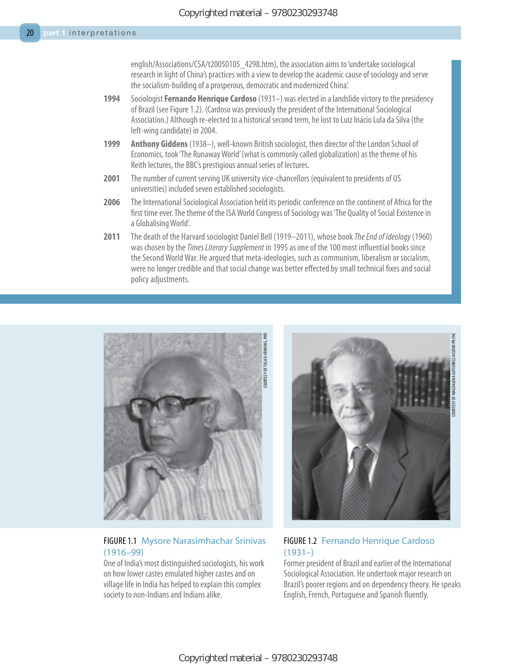english/Associations/CSA/t20050105\_4298.htm), the association aims to 'undertake sociological research in light of China's practices with a view to develop the academic cause of sociology and serve the socialism-building of a prosperous, democratic and modernized China'.

- **1994** Sociologist **Fernando Henrique Cardoso** (1931–) was elected in a landslide victory to the presidency of Brazil (see Figure 1.2). (Cardoso was previously the president of the International Sociological Association.) Although re-elected to a historical second term, he lost to Luiz Inácio Lula da Silva (the left-wing candidate) in 2004.
- **1999 Anthony Giddens**(1938–), well-known British sociologist, then director of the London School of Economics, took 'The Runaway World' (what is commonly called globalization) as the theme of his Reith lectures, the BBC's prestigious annual series of lectures.
- **2001** The number of current serving UK university vice-chancellors (equivalent to presidents of US universities) included seven established sociologists.
- **2006** The International Sociological Association held its periodic conference on the continent of Africa for the first time ever. The theme of the ISA World Congress of Sociology was 'The Quality of Social Existence in a Globalising World'.
- **2011** The death of the Harvard sociologist Daniel Bell (1919–2011), whose book *The End of Ideology* (1960) was chosen by the *Times Literary Supplement* in 1995 asone of the 100 most influential books since the Second World War. He argued that meta-ideologies, such as communism, liberalism or socialism, were no longer credible and that social change was better effected by small technical fixes and social policy adjustments.



#### Figure 1.1 Mysore Narasimhachar Srinivas (1916–99)

One of India's most distinguished sociologists, his work on how lower castes emulated higher castes and on village life in India has helped to explain this complex society to non-Indians and Indians alike.



#### FIGURE 1.2 Fernando Henrique Cardoso (1931–)

Former president of Brazil and earlier of the International Sociological Association. He undertook major research on Brazil's poorer regions and on dependency theory. He speaks English, French, Portuguese and Spanish fluently.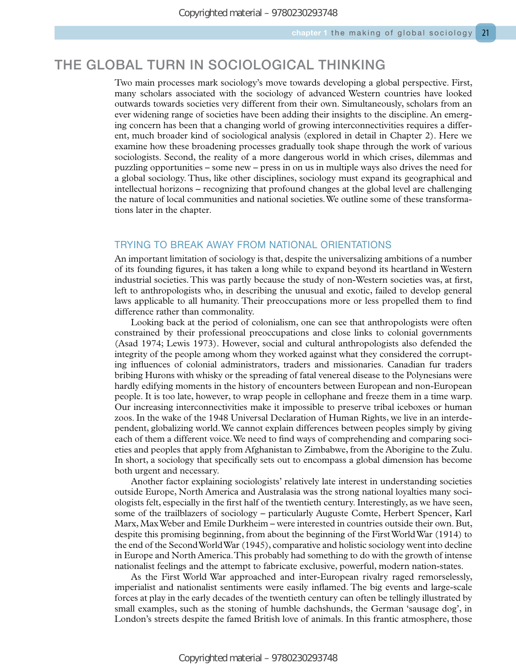### The global turn in sociological thinking

Two main processes mark sociology's move towards developing a global perspective. First, many scholars associated with the sociology of advanced Western countries have looked outwards towards societies very different from their own. Simultaneously, scholars from an ever widening range of societies have been adding their insights to the discipline. An emerging concern has been that a changing world of growing interconnectivities requires a different, much broader kind of sociological analysis (explored in detail in Chapter 2). Here we examine how these broadening processes gradually took shape through the work of various sociologists. Second, the reality of a more dangerous world in which crises, dilemmas and puzzling opportunities – some new – press in on us in multiple ways also drives the need for a global sociology. Thus, like other disciplines, sociology must expand its geographical and intellectual horizons – recognizing that profound changes at the global level are challenging the nature of local communities and national societies. We outline some of these transformations later in the chapter.

#### Trying to break away from national orientations

An important limitation of sociology is that, despite the universalizing ambitions of a number of its founding figures, it has taken a long while to expand beyond its heartland in Western industrial societies. This was partly because the study of non-Western societies was, at first, left to anthropologists who, in describing the unusual and exotic, failed to develop general laws applicable to all humanity. Their preoccupations more or less propelled them to find difference rather than commonality.

Looking back at the period of colonialism, one can see that anthropologists were often constrained by their professional preoccupations and close links to colonial governments (Asad 1974; Lewis 1973). However, social and cultural anthropologists also defended the integrity of the people among whom they worked against what they considered the corrupting influences of colonial administrators, traders and missionaries. Canadian fur traders bribing Hurons with whisky or the spreading of fatal venereal disease to the Polynesians were hardly edifying moments in the history of encounters between European and non-European people. It is too late, however, to wrap people in cellophane and freeze them in a time warp. Our increasing interconnectivities make it impossible to preserve tribal iceboxes or human zoos. In the wake of the 1948 Universal Declaration of Human Rights, we live in an interdependent, globalizing world. We cannot explain differences between peoples simply by giving each of them a different voice. We need to find ways of comprehending and comparing societies and peoples that apply from Afghanistan to Zimbabwe, from the Aborigine to the Zulu. In short, a sociology that specifically sets out to encompass a global dimension has become both urgent and necessary.

Another factor explaining sociologists' relatively late interest in understanding societies outside Europe, North America and Australasia was the strong national loyalties many sociologists felt, especially in the first half of the twentieth century. Interestingly, as we have seen, some of the trailblazers of sociology – particularly Auguste Comte, Herbert Spencer, Karl Marx, Max Weber and Emile Durkheim – were interested in countries outside their own. But, despite this promising beginning, from about the beginning of the First World War (1914) to the end of the Second World War (1945), comparative and holistic sociology went into decline in Europe and North America. This probably had something to do with the growth of intense nationalist feelings and the attempt to fabricate exclusive, powerful, modern nation-states.

As the First World War approached and inter-European rivalry raged remorselessly, imperialist and nationalist sentiments were easily inflamed. The big events and large-scale forces at play in the early decades of the twentieth century can often be tellingly illustrated by small examples, such as the stoning of humble dachshunds, the German 'sausage dog', in London's streets despite the famed British love of animals. In this frantic atmosphere, those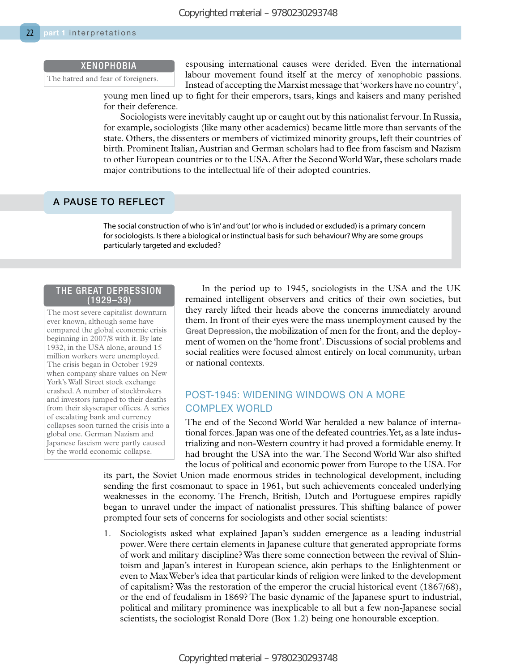#### **XENOPHOBIA**

The hatred and fear of foreigners.

espousing international causes were derided. Even the international labour movement found itself at the mercy of xenophobic passions. Instead of accepting the Marxist message that 'workers have no country',

young men lined up to fight for their emperors, tsars, kings and kaisers and many perished for their deference.

Sociologists were inevitably caught up or caught out by this nationalist fervour. In Russia, for example, sociologists (like many other academics) became little more than servants of the state. Others, the dissenters or members of victimized minority groups, left their countries of birth. Prominent Italian, Austrian and German scholars had to flee from fascism and Nazism to other European countries or to the USA. After the Second World War, these scholars made major contributions to the intellectual life of their adopted countries.

#### A PAUSE TO REFLECT

The social construction of who is 'in' and 'out' (or who is included or excluded) is a primary concern for sociologists. Is there a biological or instinctual basis for such behaviour? Why are some groups particularly targeted and excluded?

#### The Great Depression (1929–39)

The most severe capitalist downturn ever known, although some have compared the global economic crisis beginning in 2007/8 with it. By late 1932, in the USA alone, around 15 million workers were unemployed. The crisis began in October 1929 when company share values on New York's Wall Street stock exchange crashed. A number of stockbrokers and investors jumped to their deaths from their skyscraper offices. A series of escalating bank and currency collapses soon turned the crisis into a global one. German Nazism and Japanese fascism were partly caused by the world economic collapse.

In the period up to 1945, sociologists in the USA and the UK remained intelligent observers and critics of their own societies, but they rarely lifted their heads above the concerns immediately around them. In front of their eyes were the mass unemployment caused by the Great Depression, the mobilization of men for the front, and the deployment of women on the 'home front'. Discussions of social problems and social realities were focused almost entirely on local community, urban or national contexts.

#### POST-1945: WIDENING WINDOWS ON A MORE COMPLEX WORLD

The end of the Second World War heralded a new balance of international forces. Japan was one of the defeated countries. Yet, as a late industrializing and non-Western country it had proved a formidable enemy. It had brought the USA into the war. The Second World War also shifted the locus of political and economic power from Europe to the USA. For

its part, the Soviet Union made enormous strides in technological development, including sending the first cosmonaut to space in 1961, but such achievements concealed underlying weaknesses in the economy. The French, British, Dutch and Portuguese empires rapidly began to unravel under the impact of nationalist pressures. This shifting balance of power prompted four sets of concerns for sociologists and other social scientists:

1. Sociologists asked what explained Japan's sudden emergence as a leading industrial power. Were there certain elements in Japanese culture that generated appropriate forms of work and military discipline? Was there some connection between the revival of Shintoism and Japan's interest in European science, akin perhaps to the Enlightenment or even to Max Weber's idea that particular kinds of religion were linked to the development of capitalism? Was the restoration of the emperor the crucial historical event (1867/68), or the end of feudalism in 1869? The basic dynamic of the Japanese spurt to industrial, political and military prominence was inexplicable to all but a few non-Japanese social scientists, the sociologist Ronald Dore (Box 1.2) being one honourable exception.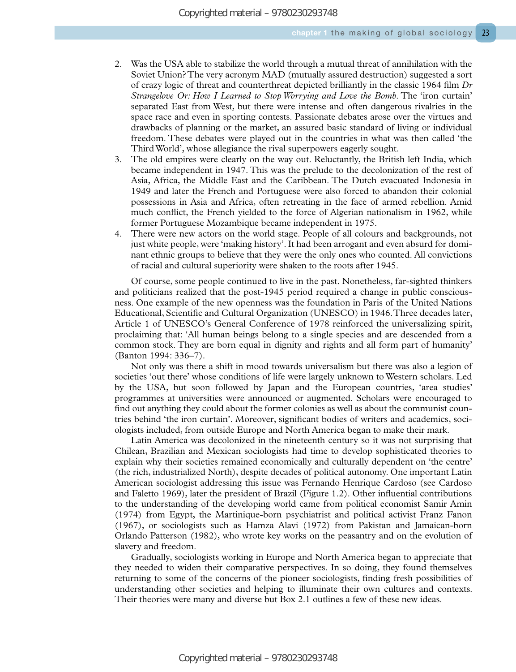- 2. Was the USA able to stabilize the world through a mutual threat of annihilation with the Soviet Union? The very acronym MAD (mutually assured destruction) suggested a sort of crazy logic of threat and counterthreat depicted brilliantly in the classic 1964 film *Dr Strangelove Or: How I Learned to Stop Worrying and Love the Bomb*. The 'iron curtain' separated East from West, but there were intense and often dangerous rivalries in the space race and even in sporting contests. Passionate debates arose over the virtues and drawbacks of planning or the market, an assured basic standard of living or individual freedom. These debates were played out in the countries in what was then called 'the Third World', whose allegiance the rival superpowers eagerly sought.
- 3. The old empires were clearly on the way out. Reluctantly, the British left India, which became independent in 1947. This was the prelude to the decolonization of the rest of Asia, Africa, the Middle East and the Caribbean. The Dutch evacuated Indonesia in 1949 and later the French and Portuguese were also forced to abandon their colonial possessions in Asia and Africa, often retreating in the face of armed rebellion. Amid much conflict, the French yielded to the force of Algerian nationalism in 1962, while former Portuguese Mozambique became independent in 1975.
- 4. There were new actors on the world stage. People of all colours and backgrounds, not just white people, were 'making history'. It had been arrogant and even absurd for dominant ethnic groups to believe that they were the only ones who counted. All convictions of racial and cultural superiority were shaken to the roots after 1945.

Of course, some people continued to live in the past. Nonetheless, far-sighted thinkers and politicians realized that the post-1945 period required a change in public consciousness. One example of the new openness was the foundation in Paris of the United Nations Educational, Scientific and Cultural Organization (UNESCO) in 1946. Three decades later, Article 1 of UNESCO's General Conference of 1978 reinforced the universalizing spirit, proclaiming that: 'All human beings belong to a single species and are descended from a common stock. They are born equal in dignity and rights and all form part of humanity' (Banton 1994: 336–7).

Not only was there a shift in mood towards universalism but there was also a legion of societies 'out there' whose conditions of life were largely unknown to Western scholars. Led by the USA, but soon followed by Japan and the European countries, 'area studies' programmes at universities were announced or augmented. Scholars were encouraged to find out anything they could about the former colonies as well as about the communist countries behind 'the iron curtain'. Moreover, significant bodies of writers and academics, sociologists included, from outside Europe and North America began to make their mark.

Latin America was decolonized in the nineteenth century so it was not surprising that Chilean, Brazilian and Mexican sociologists had time to develop sophisticated theories to explain why their societies remained economically and culturally dependent on 'the centre' (the rich, industrialized North), despite decades of political autonomy. One important Latin American sociologist addressing this issue was Fernando Henrique Cardoso (see Cardoso and Faletto 1969), later the president of Brazil (Figure 1.2). Other influential contributions to the understanding of the developing world came from political economist Samir Amin (1974) from Egypt, the Martinique-born psychiatrist and political activist Franz Fanon (1967), or sociologists such as Hamza Alavi (1972) from Pakistan and Jamaican-born Orlando Patterson (1982), who wrote key works on the peasantry and on the evolution of slavery and freedom.

Gradually, sociologists working in Europe and North America began to appreciate that they needed to widen their comparative perspectives. In so doing, they found themselves returning to some of the concerns of the pioneer sociologists, finding fresh possibilities of understanding other societies and helping to illuminate their own cultures and contexts. Their theories were many and diverse but Box 2.1 outlines a few of these new ideas.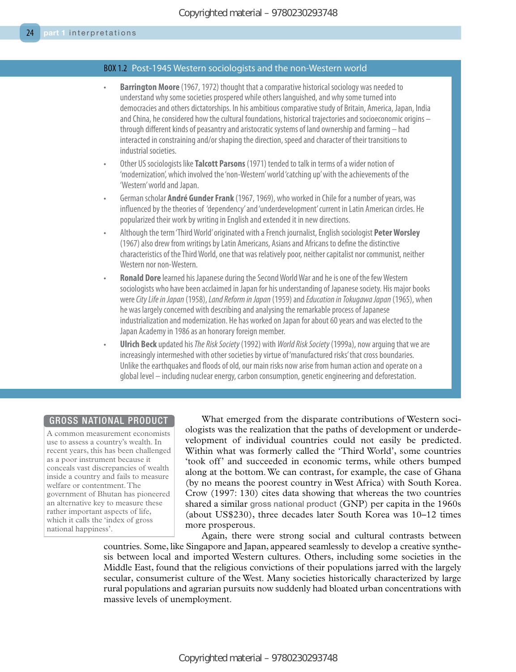#### Box 1.2 Post-1945 Western sociologists and the non-Western world

- **Barrington Moore** (1967, 1972) thought that a comparative historical sociology was needed to understand why some societies prospered while others languished, and why some turned into democracies and others dictatorships. In his ambitious comparative study of Britain, America, Japan, India and China, he considered how the cultural foundations, historical trajectories and socioeconomic origins – through different kinds of peasantry and aristocratic systems of land ownership and farming – had interacted in constraining and/or shaping the direction, speed and character of their transitions to industrial societies.
- Other US sociologists like **Talcott Parsons** (1971) tended to talk in terms of a wider notion of 'modernization', which involved the 'non-Western' world 'catching up' with the achievements of the 'Western' world and Japan.
- German scholar **André GunderFrank** (1967, 1969), who worked in Chile for a number of years, was influenced by the theories of 'dependency' and 'underdevelopment' current in Latin American circles. He popularized their work by writing in English and extended it in new directions.
- Although the term 'Third World' originated with a French journalist, English sociologist **PeterWorsley** (1967) also drew from writings by Latin Americans, Asians and Africans to define the distinctive characteristics of the Third World, one that was relatively poor, neither capitalist nor communist, neither Western nor non-Western.
- **Ronald Dore** learned his Japanese during the Second World War and he is one of the few Western sociologists who have been acclaimed in Japan for his understanding of Japanese society. His major books were *City Life in Japan* (1958), *Land Reform in Japan* (1959) and *Education in Tokugawa Japan* (1965), when he was largely concerned with describing and analysing the remarkable process of Japanese industrialization and modernization. He has worked on Japan for about 60 years and was elected to the Japan Academy in 1986 as an honorary foreign member.
- **Ulrich Beck** updated his *TheRisk Society* (1992) with *World Risk Society* (1999a), now arguing that we are increasingly intermeshed with other societies by virtue of 'manufactured risks' that cross boundaries. Unlike the earthquakes and floods of old, our main risks now arise from human action and operate on a global level – including nuclear energy, carbon consumption, genetic engineering and deforestation.

#### Gross national product

A common measurement economists use to assess a country's wealth. In recent years, this has been challenged as a poor instrument because it conceals vast discrepancies of wealth inside a country and fails to measure welfare or contentment. The government of Bhutan has pioneered an alternative key to measure these rather important aspects of life, which it calls the 'index of gross national happiness'.

What emerged from the disparate contributions of Western sociologists was the realization that the paths of development or underdevelopment of individual countries could not easily be predicted. Within what was formerly called the 'Third World', some countries 'took off' and succeeded in economic terms, while others bumped along at the bottom. We can contrast, for example, the case of Ghana (by no means the poorest country in West Africa) with South Korea. Crow (1997: 130) cites data showing that whereas the two countries shared a similar gross national product (GNP) per capita in the 1960s (about US\$230), three decades later South Korea was 10–12 times more prosperous.

Again, there were strong social and cultural contrasts between countries. Some, like Singapore and Japan, appeared seamlessly to develop a creative synthesis between local and imported Western cultures. Others, including some societies in the Middle East, found that the religious convictions of their populations jarred with the largely secular, consumerist culture of the West. Many societies historically characterized by large rural populations and agrarian pursuits now suddenly had bloated urban concentrations with massive levels of unemployment.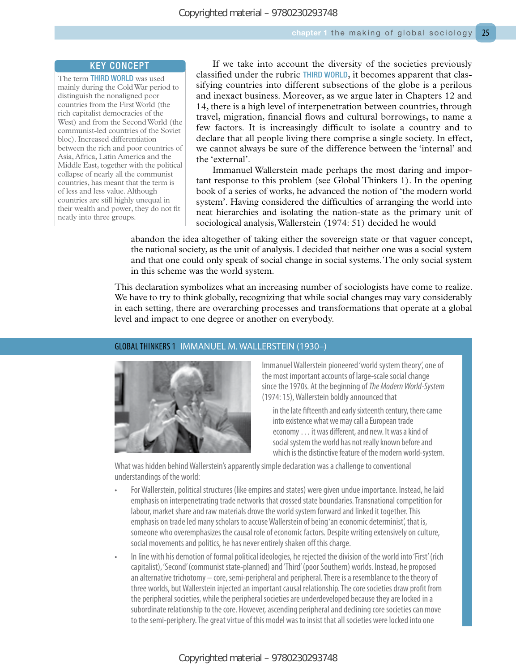#### key concept

The term THIRD WORLD was used mainly during the Cold War period to distinguish the nonaligned poor countries from the First World (the rich capitalist democracies of the West) and from the Second World (the communist-led countries of the Soviet bloc). Increased differentiation between the rich and poor countries of Asia, Africa, Latin America and the Middle East, together with the political collapse of nearly all the communist countries, has meant that the term is of less and less value. Although countries are still highly unequal in their wealth and power, they do not fit neatly into three groups.

If we take into account the diversity of the societies previously classified under the rubric THIRD WORLD, it becomes apparent that classifying countries into different subsections of the globe is a perilous and inexact business. Moreover, as we argue later in Chapters 12 and 14, there is a high level of interpenetration between countries, through travel, migration, financial flows and cultural borrowings, to name a few factors. It is increasingly difficult to isolate a country and to declare that all people living there comprise a single society. In effect, we cannot always be sure of the difference between the 'internal' and the 'external'.

Immanuel Wallerstein made perhaps the most daring and important response to this problem (see Global Thinkers 1). In the opening book of a series of works, he advanced the notion of 'the modern world system'. Having considered the difficulties of arranging the world into neat hierarchies and isolating the nation-state as the primary unit of sociological analysis, Wallerstein (1974: 51) decided he would

abandon the idea altogether of taking either the sovereign state or that vaguer concept, the national society, as the unit of analysis. I decided that neither one was a social system and that one could only speak of social change in social systems. The only social system in this scheme was the world system.

This declaration symbolizes what an increasing number of sociologists have come to realize. We have to try to think globally, recognizing that while social changes may vary considerably in each setting, there are overarching processes and transformations that operate at a global level and impact to one degree or another on everybody.

#### GLOBAL THINKERS 1 IMMANUEL M. WALLERSTEIN (1930–)



Immanuel Wallerstein pioneered 'world system theory', one of the most important accounts of large-scale social change since the 1970s. At the beginning of *The Modern World-System* (1974: 15), Wallerstein boldly announced that

in the late fifteenth and early sixteenth century, there came into existence what we may call a European trade economy … it was different, and new. It was a kind of social system the world has not really known before and which is the distinctive feature of the modern world-system.

What was hidden behind Wallerstein's apparently simple declaration was a challenge to conventional understandings of the world:

- For Wallerstein, political structures (like empires and states) were given undue importance. Instead, he laid emphasis on interpenetrating trade networks that crossed state boundaries. Transnational competition for labour, market share and raw materials drove the world system forward and linked it together. This emphasis on trade led many scholars to accuse Wallerstein of being 'an economic determinist', that is, someone who overemphasizes the causal role of economic factors. Despite writing extensively on culture, social movements and politics, he has never entirely shaken off this charge.
- In line with his demotion of formal political ideologies, he rejected the division of the world into 'First' (rich capitalist), 'Second' (communist state-planned) and 'Third' (poor Southern) worlds. Instead, he proposed an alternative trichotomy – core, semi-peripheral and peripheral. There is a resemblance to the theory of three worlds, but Wallerstein injected an important causal relationship. The core societies draw profit from the peripheral societies, while the peripheral societies are underdeveloped because they are locked in a subordinate relationship to the core. However, ascending peripheral and declining core societies can move to the semi-periphery. The great virtue of this model was to insist that all societies were locked into one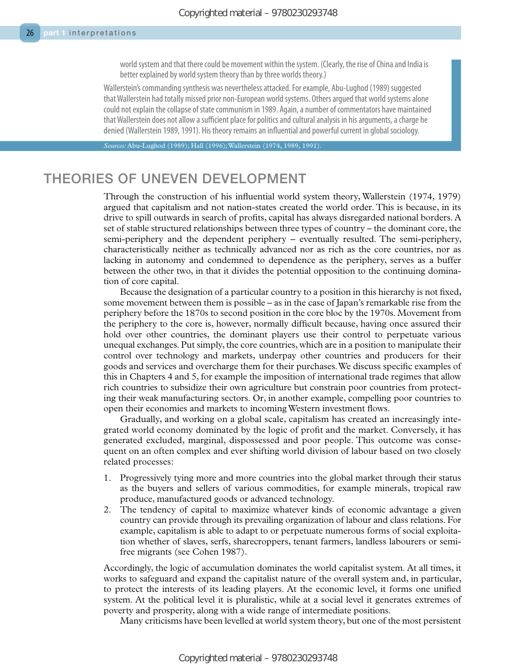world system and that there could be movement within the system. (Clearly, the rise of China and India is better explained by world system theory than by three worlds theory.)

Wallerstein's commanding synthesis was nevertheless attacked. For example, Abu-Lughod (1989) suggested that Wallerstein had totally missed prior non-European world systems. Others argued that world systems alone could not explain the collapse of state communism in 1989. Again, a number of commentators have maintained that Wallerstein does not allow a sufficient place for politics and cultural analysis in his arguments, a charge he denied (Wallerstein 1989, 1991). His theory remains an influential and powerful current in global sociology.

*Sources:* Abu-Lughod (1989); Hall (1996); Wallerstein (1974, 1989, 1991).

#### Theories of uneven development

Through the construction of his influential world system theory, Wallerstein (1974, 1979) argued that capitalism and not nation-states created the world order. This is because, in its drive to spill outwards in search of profits, capital has always disregarded national borders. A set of stable structured relationships between three types of country – the dominant core, the semi-periphery and the dependent periphery – eventually resulted. The semi-periphery, characteristically neither as technically advanced nor as rich as the core countries, nor as lacking in autonomy and condemned to dependence as the periphery, serves as a buffer between the other two, in that it divides the potential opposition to the continuing domination of core capital.

Because the designation of a particular country to a position in this hierarchy is not fixed, some movement between them is possible – as in the case of Japan's remarkable rise from the periphery before the 1870s to second position in the core bloc by the 1970s. Movement from the periphery to the core is, however, normally difficult because, having once assured their hold over other countries, the dominant players use their control to perpetuate various unequal exchanges. Put simply, the core countries, which are in a position to manipulate their control over technology and markets, underpay other countries and producers for their goods and services and overcharge them for their purchases. We discuss specific examples of this in Chapters 4 and 5, for example the imposition of international trade regimes that allow rich countries to subsidize their own agriculture but constrain poor countries from protecting their weak manufacturing sectors. Or, in another example, compelling poor countries to open their economies and markets to incoming Western investment flows.

Gradually, and working on a global scale, capitalism has created an increasingly integrated world economy dominated by the logic of profit and the market. Conversely, it has generated excluded, marginal, dispossessed and poor people. This outcome was consequent on an often complex and ever shifting world division of labour based on two closely related processes:

- 1. Progressively tying more and more countries into the global market through their status as the buyers and sellers of various commodities, for example minerals, tropical raw produce, manufactured goods or advanced technology.
- 2. The tendency of capital to maximize whatever kinds of economic advantage a given country can provide through its prevailing organization of labour and class relations. For example, capitalism is able to adapt to or perpetuate numerous forms of social exploitation whether of slaves, serfs, sharecroppers, tenant farmers, landless labourers or semifree migrants (see Cohen 1987).

Accordingly, the logic of accumulation dominates the world capitalist system. At all times, it works to safeguard and expand the capitalist nature of the overall system and, in particular, to protect the interests of its leading players. At the economic level, it forms one unified system. At the political level it is pluralistic, while at a social level it generates extremes of poverty and prosperity, along with a wide range of intermediate positions.

Many criticisms have been levelled at world system theory, but one of the most persistent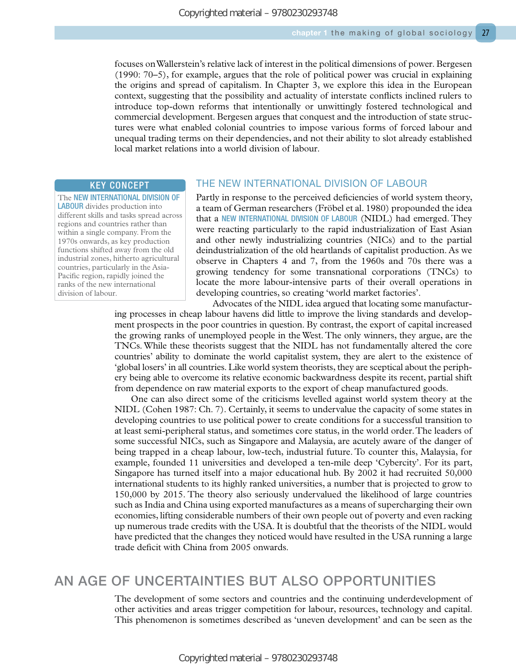focuses on Wallerstein's relative lack of interest in the political dimensions of power. Bergesen (1990: 70–5), for example, argues that the role of political power was crucial in explaining the origins and spread of capitalism. In Chapter 3, we explore this idea in the European context, suggesting that the possibility and actuality of interstate conflicts inclined rulers to introduce top-down reforms that intentionally or unwittingly fostered technological and commercial development. Bergesen argues that conquest and the introduction of state structures were what enabled colonial countries to impose various forms of forced labour and unequal trading terms on their dependencies, and not their ability to slot already established local market relations into a world division of labour.

#### **KEY CONCEPT**

The NEW INTERNATIONAL DIVISION OF LABOUR divides production into different skills and tasks spread across regions and countries rather than within a single company. From the 1970s onwards, as key production functions shifted away from the old industrial zones, hitherto agricultural countries, particularly in the Asia-Pacific region, rapidly joined the ranks of the new international division of labour.

#### THE NEW INTERNATIONAL DIVISION OF LABOUR

Partly in response to the perceived deficiencies of world system theory, a team of German researchers (Fröbel et al. 1980) propounded the idea that a NEW INTERNATIONAL DIVISION OF LABOUR (NIDL) had emerged. They were reacting particularly to the rapid industrialization of East Asian and other newly industrializing countries (NICs) and to the partial deindustrialization of the old heartlands of capitalist production. As we observe in Chapters 4 and 7, from the 1960s and 70s there was a growing tendency for some transnational corporations (TNCs) to locate the more labour-intensive parts of their overall operations in developing countries, so creating 'world market factories'.

Advocates of the NIDL idea argued that locating some manufacturing processes in cheap labour havens did little to improve the living standards and development prospects in the poor countries in question. By contrast, the export of capital increased the growing ranks of unemployed people in the West. The only winners, they argue, are the TNCs. While these theorists suggest that the NIDL has not fundamentally altered the core countries' ability to dominate the world capitalist system, they are alert to the existence of 'global losers' in all countries. Like world system theorists, they are sceptical about the periphery being able to overcome its relative economic backwardness despite its recent, partial shift from dependence on raw material exports to the export of cheap manufactured goods.

One can also direct some of the criticisms levelled against world system theory at the NIDL (Cohen 1987: Ch. 7). Certainly, it seems to undervalue the capacity of some states in developing countries to use political power to create conditions for a successful transition to at least semi-peripheral status, and sometimes core status, in the world order. The leaders of some successful NICs, such as Singapore and Malaysia, are acutely aware of the danger of being trapped in a cheap labour, low-tech, industrial future. To counter this, Malaysia, for example, founded 11 universities and developed a ten-mile deep 'Cybercity'. For its part, Singapore has turned itself into a major educational hub. By 2002 it had recruited 50,000 international students to its highly ranked universities, a number that is projected to grow to 150,000 by 2015. The theory also seriously undervalued the likelihood of large countries such as India and China using exported manufactures as a means of supercharging their own economies, lifting considerable numbers of their own people out of poverty and even racking up numerous trade credits with the USA. It is doubtful that the theorists of the NIDL would have predicted that the changes they noticed would have resulted in the USA running a large trade deficit with China from 2005 onwards.

#### An age of uncertainties but also opportunities

The development of some sectors and countries and the continuing underdevelopment of other activities and areas trigger competition for labour, resources, technology and capital. This phenomenon is sometimes described as 'uneven development' and can be seen as the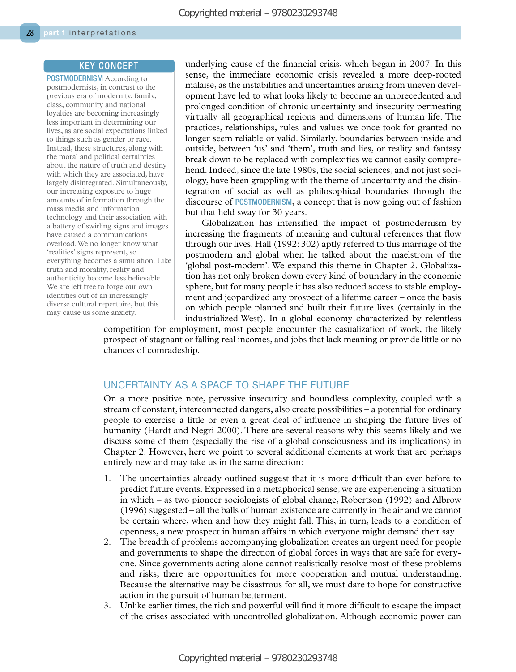#### key concept

POSTMODERNISM According to postmodernists, in contrast to the previous era of modernity, family, class, community and national loyalties are becoming increasingly less important in determining our lives, as are social expectations linked to things such as gender or race. Instead, these structures, along with the moral and political certainties about the nature of truth and destiny with which they are associated, have largely disintegrated. Simultaneously, our increasing exposure to huge amounts of information through the mass media and information technology and their association with a battery of swirling signs and images have caused a communications overload. We no longer know what 'realities' signs represent, so everything becomes a simulation. Like truth and morality, reality and authenticity become less believable. We are left free to forge our own identities out of an increasingly diverse cultural repertoire, but this may cause us some anxiety.

underlying cause of the financial crisis, which began in 2007. In this sense, the immediate economic crisis revealed a more deep-rooted malaise, as the instabilities and uncertainties arising from uneven development have led to what looks likely to become an unprecedented and prolonged condition of chronic uncertainty and insecurity permeating virtually all geographical regions and dimensions of human life. The practices, relationships, rules and values we once took for granted no longer seem reliable or valid. Similarly, boundaries between inside and outside, between 'us' and 'them', truth and lies, or reality and fantasy break down to be replaced with complexities we cannot easily comprehend. Indeed, since the late 1980s, the social sciences, and not just sociology, have been grappling with the theme of uncertainty and the disintegration of social as well as philosophical boundaries through the discourse of POSTMODERNISM, a concept that is now going out of fashion but that held sway for 30 years.

Globalization has intensified the impact of postmodernism by increasing the fragments of meaning and cultural references that flow through our lives. Hall (1992: 302) aptly referred to this marriage of the postmodern and global when he talked about the maelstrom of the 'global post-modern'. We expand this theme in Chapter 2. Globalization has not only broken down every kind of boundary in the economic sphere, but for many people it has also reduced access to stable employment and jeopardized any prospect of a lifetime career – once the basis on which people planned and built their future lives (certainly in the industrialized West). In a global economy characterized by relentless

competition for employment, most people encounter the casualization of work, the likely prospect of stagnant or falling real incomes, and jobs that lack meaning or provide little or no chances of comradeship.

#### Uncertainty as a space to shape the future

On a more positive note, pervasive insecurity and boundless complexity, coupled with a stream of constant, interconnected dangers, also create possibilities – a potential for ordinary people to exercise a little or even a great deal of influence in shaping the future lives of humanity (Hardt and Negri 2000). There are several reasons why this seems likely and we discuss some of them (especially the rise of a global consciousness and its implications) in Chapter 2. However, here we point to several additional elements at work that are perhaps entirely new and may take us in the same direction:

- 1. The uncertainties already outlined suggest that it is more difficult than ever before to predict future events. Expressed in a metaphorical sense, we are experiencing a situation in which – as two pioneer sociologists of global change, Robertson (1992) and Albrow (1996) suggested – all the balls of human existence are currently in the air and we cannot be certain where, when and how they might fall. This, in turn, leads to a condition of openness, a new prospect in human affairs in which everyone might demand their say.
- 2. The breadth of problems accompanying globalization creates an urgent need for people and governments to shape the direction of global forces in ways that are safe for everyone. Since governments acting alone cannot realistically resolve most of these problems and risks, there are opportunities for more cooperation and mutual understanding. Because the alternative may be disastrous for all, we must dare to hope for constructive action in the pursuit of human betterment.
- 3. Unlike earlier times, the rich and powerful will find it more difficult to escape the impact of the crises associated with uncontrolled globalization. Although economic power can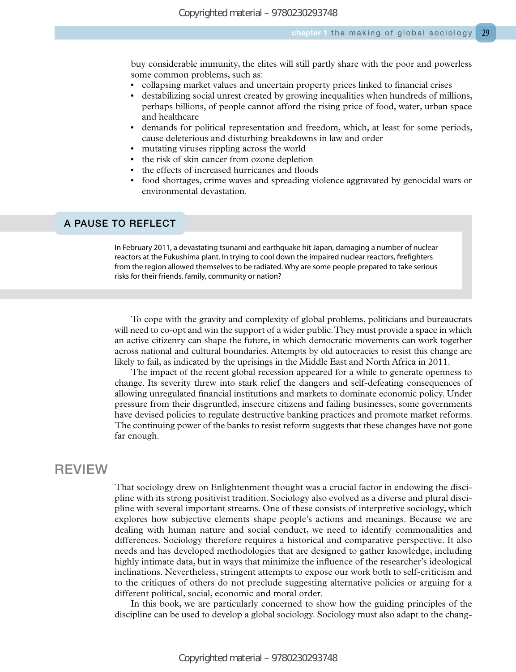buy considerable immunity, the elites will still partly share with the poor and powerless some common problems, such as:

- collapsing market values and uncertain property prices linked to financial crises
- destabilizing social unrest created by growing inequalities when hundreds of millions, perhaps billions, of people cannot afford the rising price of food, water, urban space and healthcare
- demands for political representation and freedom, which, at least for some periods, cause deleterious and disturbing breakdowns in law and order
- mutating viruses rippling across the world
- the risk of skin cancer from ozone depletion
- the effects of increased hurricanes and floods
- food shortages, crime waves and spreading violence aggravated by genocidal wars or environmental devastation.

#### A PAUSE TO REFLECT

In February 2011, a devastating tsunami and earthquake hit Japan, damaging a number of nuclear reactors at the Fukushima plant. In trying to cool down the impaired nuclear reactors, firefighters from the region allowed themselves to be radiated. Why are some people prepared to take serious risks for their friends, family, community or nation?

To cope with the gravity and complexity of global problems, politicians and bureaucrats will need to co-opt and win the support of a wider public. They must provide a space in which an active citizenry can shape the future, in which democratic movements can work together across national and cultural boundaries. Attempts by old autocracies to resist this change are likely to fail, as indicated by the uprisings in the Middle East and North Africa in 2011.

The impact of the recent global recession appeared for a while to generate openness to change. Its severity threw into stark relief the dangers and self-defeating consequences of allowing unregulated financial institutions and markets to dominate economic policy. Under pressure from their disgruntled, insecure citizens and failing businesses, some governments have devised policies to regulate destructive banking practices and promote market reforms. The continuing power of the banks to resist reform suggests that these changes have not gone far enough.

#### **REVIEW**

That sociology drew on Enlightenment thought was a crucial factor in endowing the discipline with its strong positivist tradition. Sociology also evolved as a diverse and plural discipline with several important streams. One of these consists of interpretive sociology, which explores how subjective elements shape people's actions and meanings. Because we are dealing with human nature and social conduct, we need to identify commonalities and differences. Sociology therefore requires a historical and comparative perspective. It also needs and has developed methodologies that are designed to gather knowledge, including highly intimate data, but in ways that minimize the influence of the researcher's ideological inclinations. Nevertheless, stringent attempts to expose our work both to self-criticism and to the critiques of others do not preclude suggesting alternative policies or arguing for a different political, social, economic and moral order.

In this book, we are particularly concerned to show how the guiding principles of the discipline can be used to develop a global sociology. Sociology must also adapt to the chang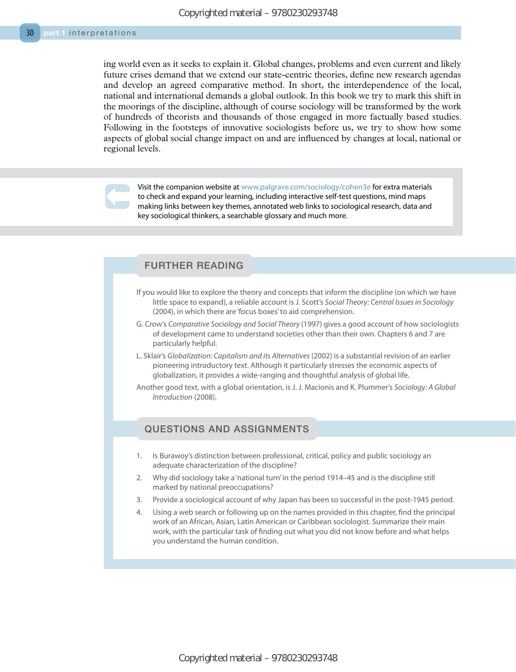ing world even as it seeks to explain it. Global changes, problems and even current and likely future crises demand that we extend our state-centric theories, define new research agendas and develop an agreed comparative method. In short, the interdependence of the local, national and international demands a global outlook. In this book we try to mark this shift in the moorings of the discipline, although of course sociology will be transformed by the work of hundreds of theorists and thousands of those engaged in more factually based studies. Following in the footsteps of innovative sociologists before us, we try to show how some aspects of global social change impact on and are influenced by changes at local, national or regional levels.

Visit the companion website at www.palgrave.com/sociology/cohen3e for extra materials to check and expand your learning, including interactive self-test questions, mind maps making links between key themes, annotated web links to sociological research, data and key sociological thinkers, a searchable glossary and much more.

#### **FURTHER READING**

- If you would like to explore the theory and concepts that inform the discipline (on which we have little space to expand), a reliable account is J. Scott's *Social Theory: Central Issues in Sociology* (2004), in which there are 'focus boxes' to aid comprehension.
- G. Crow's *Comparative Sociology and Social Theory* (1997) gives a good account of how sociologists of development came to understand societies other than their own. Chapters 6 and 7 are particularly helpful.
- L. Sklair's *Globalization: Capitalism and its Alternatives* (2002) is a substantial revision of an earlier pioneering introductory text. Although it particularly stresses the economic aspects of globalization, it provides a wide-ranging and thoughtful analysis of global life.
- Another good text, with a global orientation, is J. J. Macionis and K. Plummer's *Sociology: A Global Introduction* (2008).

#### Questions and assignments

- 1. Is Burawoy's distinction between professional, critical, policy and public sociology an adequate characterization of the discipline?
- 2. Why did sociology take a 'national turn' in the period 1914–45 and is the discipline still marked by national preoccupations?
- 3. Provide a sociological account of why Japan has been so successful in the post-1945 period.
- 4. Using a web search or following up on the names provided in this chapter, find the principal work of an African, Asian, Latin American or Caribbean sociologist. Summarize their main work, with the particular task of finding out what you did not know before and what helps you understand the human condition.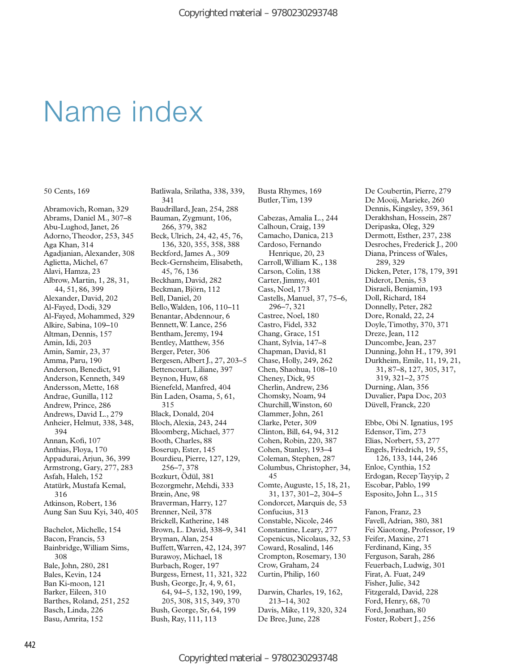## Name index

#### 50 Cents, 169

Abramovich, Roman, 329 Abrams, Daniel M., 307–8 Abu-Lughod, Janet, 26 Adorno, Theodor, 253, 345 Aga Khan, 314 Agadjanian, Alexander, 308 Aglietta, Michel, 67 Alavi, Hamza, 23 Albrow, Martin, 1, 28, 31, 44, 51, 86, 399 Alexander, David, 202 Al-Fayed, Dodi, 329 Al-Fayed, Mohammed, 329 Alkire, Sabina, 109–10 Altman, Dennis, 157 Amin, Idi, 203 Amin, Samir, 23, 37 Amma, Paru, 190 Anderson, Benedict, 91 Anderson, Kenneth, 349 Andersson, Mette, 168 Andrae, Gunilla, 112 Andrew, Prince, 286 Andrews, David L., 279 Anheier, Helmut, 338, 348, 394 Annan, Kofi, 107 Anthias, Floya, 170 Appadurai, Arjun, 36, 399 Armstrong, Gary, 277, 283 Asfah, Haleh, 152 Atatürk, Mustafa Kemal, 316 Atkinson, Robert, 136 Aung San Suu Kyi, 340, 405 Bachelot, Michelle, 154 Bacon, Francis, 53 Bainbridge, William Sims, 308 Bale, John, 280, 281 Bales, Kevin, 124 Ban Ki-moon, 121 Barker, Eileen, 310 Barthes, Roland, 251, 252 Basch, Linda, 226 Basu, Amrita, 152

Batliwala, Srilatha, 338, 339, 341 Baudrillard, Jean, 254, 288 Bauman, Zygmunt, 106, 266, 379, 382 Beck, Ulrich, 24, 42, 45, 76, 136, 320, 355, 358, 388 Beckford, James A., 309 Beck-Gernsheim, Elisabeth, 45, 76, 136 Beckham, David, 282 Beckman, Björn, 112 Bell, Daniel, 20 Bello, Walden, 106, 110–11 Benantar, Abdennour, 6 Bennett, W. Lance, 256 Bentham, Jeremy, 194 Bentley, Matthew, 356 Berger, Peter, 306 Bergesen, Albert J., 27, 203–5 Bettencourt, Liliane, 397 Beynon, Huw, 68 Bienefeld, Manfred, 404 Bin Laden, Osama, 5, 61, 315 Black, Donald, 204 Bloch, Alexia, 243, 244 Bloomberg, Michael, 377 Booth, Charles, 88 Boserup, Ester, 145 Bourdieu, Pierre, 127, 129, 256–7, 378 Bozkurt, Ödül, 381 Bozorgmehr, Mehdi, 333 Bræin, Ane, 98 Braverman, Harry, 127 Brenner, Neil, 378 Brickell, Katherine, 148 Brown, L. David, 338–9, 341 Bryman, Alan, 254 Buffett, Warren, 42, 124, 397 Burawoy, Michael, 18 Burbach, Roger, 197 Burgess, Ernest, 11, 321, 322 Bush, George, Jr, 4, 9, 61, 64, 94–5, 132, 190, 199, 205, 308, 315, 349, 370 Bush, George, Sr, 64, 199 Bush, Ray, 111, 113

Busta Rhymes, 169 Butler, Tim, 139 Cabezas, Amalia L., 244 Calhoun, Craig, 139 Camacho, Danica, 213 Cardoso, Fernando Henrique, 20, 23 Carroll, William K., 138 Carson, Colin, 138 Carter, Jimmy, 401 Cass, Noel, 173 Castells, Manuel, 37, 75–6, 296–7, 321 Castree, Noel, 180 Castro, Fidel, 332 Chang, Grace, 151 Chant, Sylvia, 147–8 Chapman, David, 81 Chase, Holly, 249, 262 Chen, Shaohua, 108–10 Cheney, Dick, 95 Cherlin, Andrew, 236 Chomsky, Noam, 94 Churchill, Winston, 60 Clammer, John, 261 Clarke, Peter, 309 Clinton, Bill, 64, 94, 312 Cohen, Robin, 220, 387 Cohen, Stanley, 193–4 Coleman, Stephen, 287 Columbus, Christopher, 34, 45 Comte, Auguste, 15, 18, 21, 31, 137, 301–2, 304–5 Condorcet, Marquis de, 53 Confucius, 313 Constable, Nicole, 246 Constantine, Leary, 277 Copenicus, Nicolaus, 32, 53 Coward, Rosalind, 146 Crompton, Rosemary, 130 Crow, Graham, 24 Curtin, Philip, 160 Darwin, Charles, 19, 162, 213–14, 302 Davis, Mike, 119, 320, 324 De Bree, June, 228

De Mooij, Marieke, 260 Dennis, Kingsley, 359, 361 Derakhshan, Hossein, 287 Deripaska, Oleg, 329 Dermott, Esther, 237, 238 Desroches, Frederick J., 200 Diana, Princess of Wales, 289, 329 Dicken, Peter, 178, 179, 391 Diderot, Denis, 53 Disraeli, Benjamin, 193 Doll, Richard, 184 Donnelly, Peter, 282 Dore, Ronald, 22, 24 Doyle, Timothy, 370, 371 Dreze, Jean, 112 Duncombe, Jean, 237 Dunning, John H., 179, 391 Durkheim, Emile, 11, 19, 21, 31, 87–8, 127, 305, 317, 319, 321–2, 375 Durning, Alan, 356 Duvalier, Papa Doc, 203 Düvell, Franck, 220 Ebbe, Obi N. Ignatius, 195 Edensor, Tim, 273 Elias, Norbert, 53, 277 Engels, Friedrich, 19, 55, 126, 133, 144, 246

De Coubertin, Pierre, 279

Enloe, Cynthia, 152 Erdogan, Recep Tayyip, 2 Escobar, Pablo, 199 Esposito, John L., 315

Fanon, Franz, 23 Favell, Adrian, 380, 381 Fei Xiaotong, Professor, 19 Feifer, Maxine, 271 Ferdinand, King, 35 Ferguson, Sarah, 286 Feuerbach, Ludwig, 301 Firat, A. Fuat, 249 Fisher, Julie, 342 Fitzgerald, David, 228 Ford, Henry, 68, 70 Ford, Jonathan, 80 Foster, Robert J., 256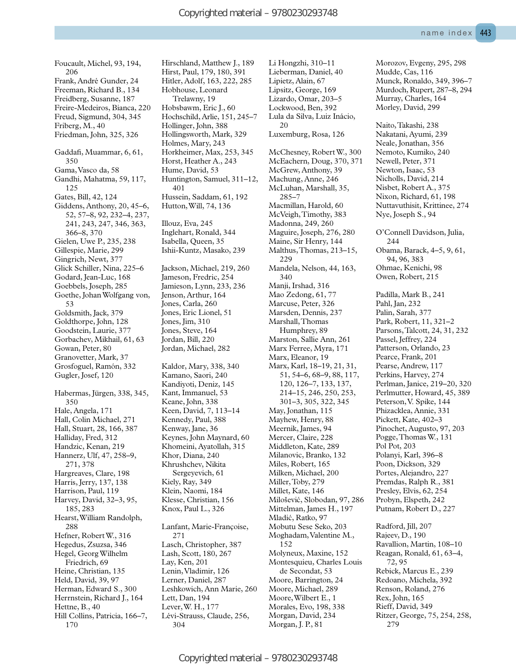Foucault, Michel, 93, 194, 206 Frank, André Gunder, 24 Freeman, Richard B., 134 Freidberg, Susanne, 187 Freire-Medeiros, Bianca, 220 Freud, Sigmund, 304, 345 Friberg, M., 40 Friedman, John, 325, 326 Gaddafi, Muammar, 6, 61, 350 Gama, Vasco da, 58 Gandhi, Mahatma, 59, 117, 125 Gates, Bill, 42, 124 Giddens, Anthony, 20, 45–6, 52, 57–8, 92, 232–4, 237, 241, 243, 247, 346, 363, 366–8, 370 Gielen, Uwe P., 235, 238 Gillespie, Marie, 299 Gingrich, Newt, 377 Glick Schiller, Nina, 225–6 Godard, Jean-Luc, 168 Goebbels, Joseph, 285 Goethe, Johan Wolfgang von, 53 Goldsmith, Jack, 379 Goldthorpe, John, 128 Goodstein, Laurie, 377 Gorbachev, Mikhail, 61, 63 Gowan, Peter, 80 Granovetter, Mark, 37 Grosfoguel, Ramón, 332 Gugler, Josef, 120 Habermas, Jürgen, 338, 345, 350 Hale, Angela, 171 Hall, Colin Michael, 271 Hall, Stuart, 28, 166, 387 Halliday, Fred, 312 Handzic, Kenan, 219 Hannerz, Ulf, 47, 258–9, 271, 378 Hargreaves, Clare, 198 Harris, Jerry, 137, 138 Harrison, Paul, 119 Harvey, David, 32–3, 95, 185, 283 Hearst, William Randolph, 288 Hefner, Robert W., 316 Hegedus, Zsuzsa, 346 Hegel, Georg Wilhelm Friedrich, 69 Heine, Christian, 135 Held, David, 39, 97 Herman, Edward S., 300 Herrnstein, Richard J., 164 Hettne, B., 40 Hill Collins, Patricia, 166–7,

170

Hirschland, Matthew J., 189 Hirst, Paul, 179, 180, 391 Hitler, Adolf, 163, 222, 285 Hobhouse, Leonard Trelawny, 19 Hobsbawm, Eric J., 60 Hochschild, Arlie, 151, 245–7 Hollinger, John, 388 Hollingsworth, Mark, 329 Holmes, Mary, 243 Horkheimer, Max, 253, 345 Horst, Heather A., 243 Hume, David, 53 Huntington, Samuel, 311–12, 401 Hussein, Saddam, 61, 192 Hutton, Will, 74, 136 Illouz, Eva, 245 Inglehart, Ronald, 344 Isabella, Queen, 35 Ishii-Kuntz, Masako, 239 Jackson, Michael, 219, 260 Jameson, Fredric, 254 Jamieson, Lynn, 233, 236 Jenson, Arthur, 164 Jones, Carla, 260 Jones, Eric Lionel, 51 Jones, Jim, 310 Jones, Steve, 164 Jordan, Bill, 220 Jordan, Michael, 282 Kaldor, Mary, 338, 340 Kamano, Saori, 240 Kandiyoti, Deniz, 145 Kant, Immanuel, 53 Keane, John, 338 Keen, David, 7, 113–14 Kennedy, Paul, 388 Kenway, Jane, 36 Keynes, John Maynard, 60 Khomeini, Ayatollah, 315 Khor, Diana, 240 Khrushchev, Nikita Sergeyevich, 61 Kiely, Ray, 349 Klein, Naomi, 184 Klesse, Christian, 156 Knox, Paul L., 326 Lanfant, Marie-Françoise, 271 Lasch, Christopher, 387 Lash, Scott, 180, 267 Lay, Ken, 201 Lenin, Vladimir, 126 Lerner, Daniel, 287 Leshkowich, Ann Marie, 260

Lett, Dan, 194 Lever, W. H., 177 Lévi-Strauss, Claude, 256,

304

Li Hongzhi, 310–11 Lieberman, Daniel, 40 Lipietz, Alain, 67 Lipsitz, George, 169 Lizardo, Omar, 203–5 Lockwood, Ben, 392 Lula da Silva, Luiz Inácio, 20 Luxemburg, Rosa, 126 McChesney, Robert W., 300 McEachern, Doug, 370, 371 McGrew, Anthony, 39 Machung, Anne, 246 McLuhan, Marshall, 35, 285–7 Macmillan, Harold, 60 McVeigh, Timothy, 383 Madonna, 249, 260 Maguire, Joseph, 276, 280 Maine, Sir Henry, 144 Malthus, Thomas, 213–15, 229 Mandela, Nelson, 44, 163, 340 Manji, Irshad, 316 Mao Zedong, 61, 77 Marcuse, Peter, 326 Marsden, Dennis, 237 Marshall, Thomas Humphrey, 89 Marston, Sallie Ann, 261 Marx Ferree, Myra, 171 Marx, Eleanor, 19 Marx, Karl, 18–19, 21, 31, 51, 54–6, 68–9, 88, 117, 120, 126–7, 133, 137, 214–15, 246, 250, 253, 301–3, 305, 322, 345 May, Jonathan, 115 Mayhew, Henry, 88 Meernik, James, 94 Mercer, Claire, 228 Middleton, Kate, 289 Milanovic, Branko, 132 Miles, Robert, 165 Milken, Michael, 200 Miller, Toby, 279 Millet, Kate, 146 Milošević, Slobodan, 97, 286 Mittelman, James H., 197 Mladić, Ratko, 97 Mobutu Sese Seko, 203 Moghadam, Valentine M., 152 Molyneux, Maxine, 152 Montesquieu, Charles Louis de Secondat, 53 Moore, Barrington, 24 Moore, Michael, 289 Moore, Wilbert E., 1 Morales, Evo, 198, 338 Morgan, David, 234 Morgan, J. P., 81

Morozov, Evgeny, 295, 298 Mudde, Cas, 116 Munck, Ronaldo, 349, 396–7 Murdoch, Rupert, 287–8, 294 Murray, Charles, 164 Morley, David, 299

Naito, Takashi, 238 Nakatani, Ayumi, 239 Neale, Jonathan, 356 Nemoto, Kumiko, 240 Newell, Peter, 371 Newton, Isaac, 53 Nicholls, David, 214 Nisbet, Robert A., 375 Nixon, Richard, 61, 198 Nuttavuthisit, Krittinee, 274 Nye, Joseph S., 94 O'Connell Davidson, Julia, 244 Obama, Barack, 4–5, 9, 61, 94, 96, 383 Ohmae, Kenichi, 98 Owen, Robert, 215 Padilla, Mark B., 241 Pahl, Jan, 232 Palin, Sarah, 377 Park, Robert, 11, 321–2 Parsons, Talcott, 24, 31, 232 Passel, Jeffrey, 224 Patterson, Orlando, 23 Pearce, Frank, 201 Pearse, Andrew, 117 Perkins, Harvey, 274 Perlman, Janice, 219–20, 320 Perlmutter, Howard, 45, 389 Peterson, V. Spike, 144 Phizacklea, Annie, 331 Pickett, Kate, 402–3 Pinochet, Augusto, 97, 203 Pogge, Thomas W., 131 Pol Pot, 203 Polanyi, Karl, 396–8 Poon, Dickson, 329 Portes, Alejandro, 227 Premdas, Ralph R., 381 Presley, Elvis, 62, 254 Probyn, Elspeth, 242 Putnam, Robert D., 227 Radford, Jill, 207

Rajeev, D., 190 Ravallion, Martin, 108–10 Reagan, Ronald, 61, 63–4, 72, 95 Rebick, Marcus E., 239 Redoano, Michela, 392 Renson, Roland, 276 Rex, John, 165 Rieff, David, 349 Ritzer, George, 75, 254, 258, 279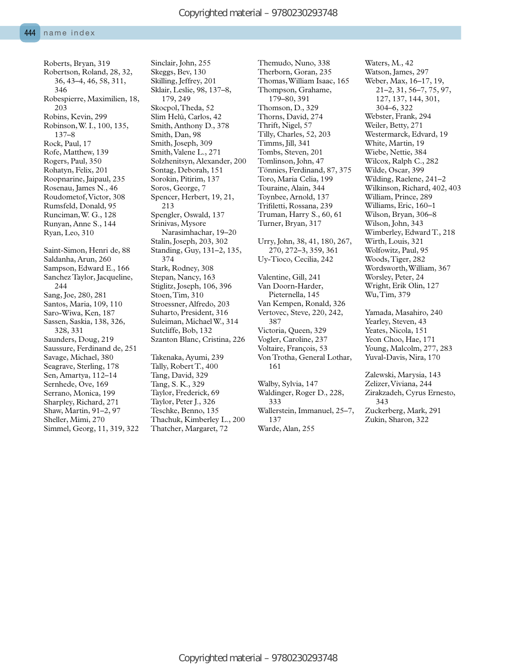Roberts, Bryan, 319 Robertson, Roland, 28, 32, 36, 43–4, 46, 58, 311, 346 Robespierre, Maximilien, 18, 203 Robins, Kevin, 299 Robinson, W. I., 100, 135, 137–8 Rock, Paul, 17 Rofe, Matthew, 139 Rogers, Paul, 350 Rohatyn, Felix, 201 Roopnarine, Jaipaul, 235 Rosenau, James N., 46 Roudometof, Victor, 308 Rumsfeld, Donald, 95 Runciman, W. G., 128 Runyan, Anne S., 144 Ryan, Leo, 310 Saint-Simon, Henri de, 88 Saldanha, Arun, 260 Sampson, Edward E., 166 Sanchez Taylor, Jacqueline, 244 Sang, Joe, 280, 281 Santos, Maria, 109, 110 Saro-Wiwa, Ken, 187 Sassen, Saskia, 138, 326, 328, 331 Saunders, Doug, 219 Saussure, Ferdinand de, 251 Savage, Michael, 380 Seagrave, Sterling, 178 Sen, Amartya, 112–14 Sernhede, Ove, 169 Serrano, Monica, 199 Sharpley, Richard, 271

Shaw, Martin, 91–2, 97 Sheller, Mimi, 270 Simmel, Georg, 11, 319, 322 Sinclair, John, 255 Skeggs, Bev, 130 Skilling, Jeffrey, 201 Sklair, Leslie, 98, 137–8, 179, 249 Skocpol, Theda, 52 Slim Helú, Carlos, 42 Smith, Anthony D., 378 Smith, Dan, 98 Smith, Joseph, 309 Smith, Valene L., 271 Solzhenitsyn, Alexander, 200 Sontag, Deborah, 151 Sorokin, Pitirim, 137 Soros, George, 7 Spencer, Herbert, 19, 21, 213 Spengler, Oswald, 137 Srinivas, Mysore Narasimhachar, 19–20 Stalin, Joseph, 203, 302 Standing, Guy, 131–2, 135, 374 Stark, Rodney, 308 Stepan, Nancy, 163 Stiglitz, Joseph, 106, 396 Stoen, Tim, 310 Stroessner, Alfredo, 203 Suharto, President, 316 Suleiman, Michael W., 314 Sutcliffe, Bob, 132 Szanton Blanc, Cristina, 226 Takenaka, Ayumi, 239 Tally, Robert T., 400 Tang, David, 329 Tang, S. K., 329 Taylor, Frederick, 69 Taylor, Peter J., 326 Teschke, Benno, 135 Thachuk, Kimberley L., 200

Thatcher, Margaret, 72

Themudo, Nuno, 338 Therborn, Goran, 235 Thomas, William Isaac, 165 Thompson, Grahame, 179–80, 391 Thomson, D., 329 Thorns, David, 274 Thrift, Nigel, 57 Tilly, Charles, 52, 203 Timms, Jill, 341 Tombs, Steven, 201 Tomlinson, John, 47 Tönnies, Ferdinand, 87, 375 Toro, Maria Celia, 199 Touraine, Alain, 344 Toynbee, Arnold, 137 Trifiletti, Rossana, 239 Truman, Harry S., 60, 61 Turner, Bryan, 317 Urry, John, 38, 41, 180, 267, 270, 272–3, 359, 361 Uy-Tioco, Cecilia, 242 Valentine, Gill, 241

Van Doorn-Harder, Pieternella, 145 Van Kempen, Ronald, 326 Vertovec, Steve, 220, 242, 387 Victoria, Queen, 329 Vogler, Caroline, 237 Voltaire, François, 53 Von Trotha, General Lothar, 161

Walby, Sylvia, 147 Waldinger, Roger D., 228, 333 Wallerstein, Immanuel, 25–7, 137 Warde, Alan, 255

Waters, M., 42 Watson, James, 297 Weber, Max, 16–17, 19, 21–2, 31, 56–7, 75, 97, 127, 137, 144, 301, 304–6, 322 Webster, Frank, 294 Weiler, Betty, 271 Westermarck, Edvard, 19 White, Martin, 19 Wiebe, Nettie, 384 Wilcox, Ralph C., 282 Wilde, Oscar, 399 Wilding, Raelene, 241–2 Wilkinson, Richard, 402, 403 William, Prince, 289 Williams, Eric, 160–1 Wilson, Bryan, 306–8 Wilson, John, 343 Wimberley, Edward T., 218 Wirth, Louis, 321 Wolfowitz, Paul, 95 Woods, Tiger, 282 Wordsworth, William, 367 Worsley, Peter, 24 Wright, Erik Olin, 127 Wu, Tim, 379

Yamada, Masahiro, 240 Yearley, Steven, 43 Yeates, Nicola, 151 Yeon Choo, Hae, 171 Young, Malcolm, 277, 283 Yuval-Davis, Nira, 170

Zalewski, Marysia, 143 Zelizer, Viviana, 244 Zirakzadeh, Cyrus Ernesto, 343 Zuckerberg, Mark, 291 Zukin, Sharon, 322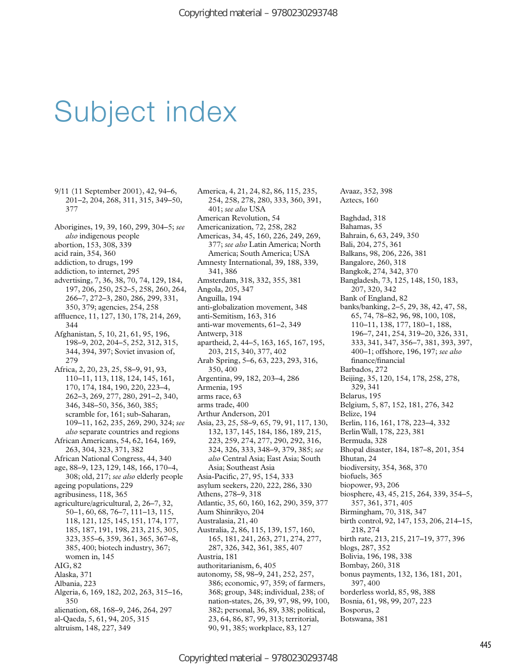## Subject index

9/11 (11 September 2001), 42, 94–6,

201–2, 204, 268, 311, 315, 349–50, 377 Aborigines, 19, 39, 160, 299, 304–5; *see also* indigenous people abortion, 153, 308, 339 acid rain, 354, 360 addiction, to drugs, 199 addiction, to internet, 295 advertising, 7, 36, 38, 70, 74, 129, 184, 197, 206, 250, 252–5, 258, 260, 264, 266–7, 272–3, 280, 286, 299, 331, 350, 379; agencies, 254, 258 affluence, 11, 127, 130, 178, 214, 269, 344 Afghanistan, 5, 10, 21, 61, 95, 196, 198–9, 202, 204–5, 252, 312, 315, 344, 394, 397; Soviet invasion of, 279 Africa, 2, 20, 23, 25, 58–9, 91, 93, 110–11, 113, 118, 124, 145, 161, 170, 174, 184, 190, 220, 223–4, 262–3, 269, 277, 280, 291–2, 340, 346, 348–50, 356, 360, 385; scramble for, 161; sub-Saharan, 109–11, 162, 235, 269, 290, 324; *see also* separate countries and regions African Americans, 54, 62, 164, 169, 263, 304, 323, 371, 382 African National Congress, 44, 340 age, 88–9, 123, 129, 148, 166, 170–4, 308; old, 217; *see also* elderly people ageing populations, 229 agribusiness, 118, 365 agriculture/agricultural, 2, 26–7, 32, 50–1, 60, 68, 76–7, 111–13, 115, 118, 121, 125, 145, 151, 174, 177, 185, 187, 191, 198, 213, 215, 305, 323, 355–6, 359, 361, 365, 367–8, 385, 400; biotech industry, 367; women in, 145 AIG, 82 Alaska, 371 Albania, 223 Algeria, 6, 169, 182, 202, 263, 315–16, 350 alienation, 68, 168–9, 246, 264, 297 al-Qaeda, 5, 61, 94, 205, 315 altruism, 148, 227, 349

America, 4, 21, 24, 82, 86, 115, 235, 254, 258, 278, 280, 333, 360, 391, 401; *see also* USA American Revolution, 54 Americanization, 72, 258, 282 Americas, 34, 45, 160, 226, 249, 269, 377; *see also* Latin America; North America; South America; USA Amnesty International, 39, 188, 339, 341, 386 Amsterdam, 318, 332, 355, 381 Angola, 205, 347 Anguilla, 194 anti-globalization movement, 348 anti-Semitism, 163, 316 anti-war movements, 61–2, 349 Antwerp, 318 apartheid, 2, 44–5, 163, 165, 167, 195, 203, 215, 340, 377, 402 Arab Spring, 5–6, 63, 223, 293, 316, 350, 400 Argentina, 99, 182, 203–4, 286 Armenia, 195 arms race, 63 arms trade, 400 Arthur Anderson, 201 Asia, 23, 25, 58–9, 65, 79, 91, 117, 130, 132, 137, 145, 184, 186, 189, 215, 223, 259, 274, 277, 290, 292, 316, 324, 326, 333, 348–9, 379, 385; *see also* Central Asia; East Asia; South Asia; Southeast Asia Asia-Pacific, 27, 95, 154, 333 asylum seekers, 220, 222, 286, 330 Athens, 278–9, 318 Atlantic, 35, 60, 160, 162, 290, 359, 377 Aum Shinrikyo, 204 Australasia, 21, 40 Australia, 2, 86, 115, 139, 157, 160, 165, 181, 241, 263, 271, 274, 277, 287, 326, 342, 361, 385, 407 Austria, 181 authoritarianism, 6, 405 autonomy, 58, 98–9, 241, 252, 257, 386; economic, 97, 359; of farmers, 368; group, 348; individual, 238; of nation-states, 26, 39, 97, 98, 99, 100, 382; personal, 36, 89, 338; political, 23, 64, 86, 87, 99, 313; territorial, 90, 91, 385; workplace, 83, 127

Aztecs, 160 Baghdad, 318 Bahamas, 35 Bahrain, 6, 63, 249, 350 Bali, 204, 275, 361 Balkans, 98, 206, 226, 381 Bangalore, 260, 318 Bangkok, 274, 342, 370 Bangladesh, 73, 125, 148, 150, 183, 207, 320, 342 Bank of England, 82 banks/banking, 2–5, 29, 38, 42, 47, 58, 65, 74, 78–82, 96, 98, 100, 108, 110–11, 138, 177, 180–1, 188, 196–7, 241, 254, 319–20, 326, 331, 333, 341, 347, 356–7, 381, 393, 397, 400–1; offshore, 196, 197; *see also* finance/financial Barbados, 272 Beijing, 35, 120, 154, 178, 258, 278, 329, 341 Belarus, 195 Belgium, 5, 87, 152, 181, 276, 342 Belize, 194 Berlin, 116, 161, 178, 223–4, 332 Berlin Wall, 178, 223, 381 Bermuda, 328 Bhopal disaster, 184, 187–8, 201, 354 Bhutan, 24 biodiversity, 354, 368, 370 biofuels, 365 biopower, 93, 206 biosphere, 43, 45, 215, 264, 339, 354–5, 357, 361, 371, 405 Birmingham, 70, 318, 347 birth control, 92, 147, 153, 206, 214–15, 218, 274 birth rate, 213, 215, 217–19, 377, 396 blogs, 287, 352 Bolivia, 196, 198, 338 Bombay, 260, 318 bonus payments, 132, 136, 181, 201, 397, 400 borderless world, 85, 98, 388 Bosnia, 61, 98, 99, 207, 223 Bosporus, 2 Botswana, 381

Avaaz, 352, 398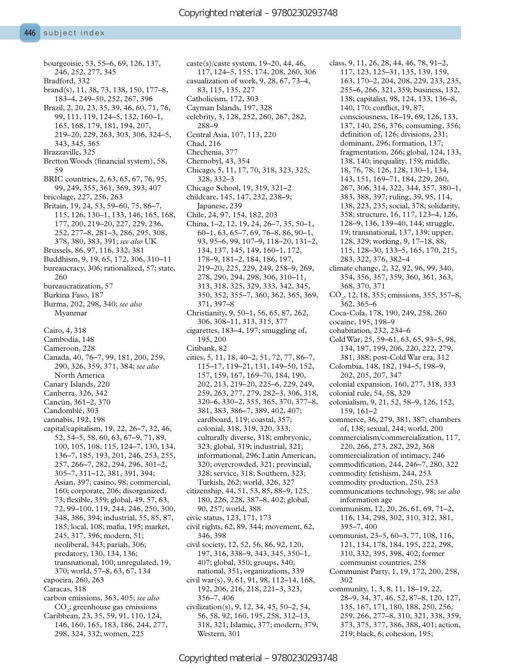bourgeoisie, 53, 55–6, 69, 126, 137, 246, 252, 277, 345 Bradford, 332 brand(s), 11, 38, 73, 138, 150, 177–8, 183–4, 249–50, 252, 267, 396 Brazil, 2, 20, 23, 35, 39, 46, 60, 71, 76, 99, 111, 119, 124–5, 132, 160–1, 165, 168, 179, 181, 194, 207, 219–20, 229, 263, 303, 306, 324–5, 343, 345, 365 Brazzaville, 325 Bretton Woods (financial system), 58, 59 BRIC countries, 2, 63, 65, 67, 76, 95, 99, 249, 355, 361, 369, 393, 407 bricolage, 227, 256, 263 Britain, 19, 24, 53, 59–60, 75, 86–7, 115, 126, 130–1, 133, 146, 165, 168, 177, 200, 219–20, 227, 229, 236, 252, 277–8, 281–3, 286, 295, 308, 378, 380, 383, 391; *see also* UK Brussels, 86, 97, 116, 332, 381 Buddhism, 9, 19, 65, 172, 306, 310–11 bureaucracy, 306; rationalized, 57; state, 260 bureaucratization, 57 Burkina Faso, 187 Burma, 202, 298, 340; *see also* Myanmar Cairo, 4, 318 Cambodia, 148 Cameroon, 228 Canada, 40, 76–7, 99, 181, 200, 259, 290, 326, 359, 371, 384; *see also* North America Canary Islands, 220 Canberra, 326, 342 Cancún, 361–2, 370 Candomblé, 303 cannabis, 192, 198 capital/capitalism, 19, 22, 26–7, 32, 46, 52, 54–5, 58, 60, 63, 67–9, 71, 89, 100, 105, 108, 115, 124–7, 130, 134, 136–7, 185, 193, 201, 246, 253, 255, 257, 266–7, 282, 294, 296, 301–2, 305–7, 311–12, 381, 391, 394; Asian, 397; casino, 98; commercial, 160; corporate, 206; disorganized, 73; flexible, 359; global, 49, 57, 63, 72, 99–100, 119, 244, 246, 250, 300, 348, 386, 394; industrial, 55, 85, 87, 185; local, 108; mafia, 195; market, 245, 317, 396; modern, 51; neoliberal, 343; pariah, 306; predatory, 130, 134, 136; transnational, 100; unregulated, 19, 370; world, 57–8, 63, 67, 134 capoeira, 260, 263 Caracas, 318 carbon emissions, 363, 405; *see also* CO<sub>2</sub>; greenhouse gas emissions Caribbean, 23, 35, 59, 91, 110, 124, 146, 160, 165, 183, 186, 244, 277, 298, 324, 332; women, 225

caste(s)/caste system, 19–20, 44, 46, 117, 124–5, 155, 174, 208, 260, 306 casualization of work, 9, 28, 67, 73–4, 83, 115, 135, 227 Catholicism, 172, 303 Cayman Islands, 197, 328 celebrity, 3, 128, 252, 260, 267, 282, 288–9 Central Asia, 107, 113, 220 Chad, 216 Chechenia, 377 Chernobyl, 43, 354 Chicago, 5, 11, 17, 70, 318, 323, 325, 328, 332–3 Chicago School, 19, 319, 321–2 childcare, 145, 147, 232, 238–9; Japanese, 239 Chile, 24, 97, 154, 182, 203 China, 1–2, 12, 19, 24, 26–7, 35, 50–1, 60–1, 63, 65–7, 69, 76–8, 86, 90–1, 93, 95–6, 99, 107–9, 118–20, 131–2, 134, 137, 145, 149, 160–1, 172, 178–9, 181–2, 184, 186, 197, 219–20, 225, 229, 249, 258–9, 269, 278, 290, 294, 298, 306, 310–11, 313, 318, 325, 329, 333, 342, 345, 350, 352, 355–7, 360, 362, 365, 369, 371, 397–8 Christianity, 9, 50–1, 56, 65, 87, 262, 306, 308–11, 313, 315, 377 cigarettes, 183–4, 197; smuggling of, 195, 200 Citibank, 82 cities, 5, 11, 18, 40–2, 51, 72, 77, 86–7, 115–17, 119–21, 131, 149–50, 152, 157, 159, 167, 169–70, 184, 190, 202, 213, 219–20, 225–6, 229, 249, 259, 263, 277, 279, 282–3, 306, 318, 320–6, 330–2, 355, 365, 370, 377–8, 381, 383, 386–7, 389, 402, 407; cardboard, 119; coastal, 357; colonial, 318, 319, 320, 333; culturally diverse, 318; embryonic, 323; global, 319; industrial, 321; informational, 296; Latin American, 320; overcrowded, 321; provincial, 328; service, 318; Southern, 323; Turkish, 262; world, 326, 327 citizenship, 44, 51, 53, 85, 88–9, 125, 180, 226, 228, 387–8, 402; global, 90, 257; world, 388 civic status, 123, 171, 173 civil rights, 62, 89, 344; movement, 62, 346, 398 civil society, 12, 52, 56, 86, 92, 120, 197, 316, 338–9, 343, 345, 350–1, 407; global, 350; groups, 340; national, 351; organizations, 339 civil war(s), 9, 61, 91, 98, 112–14, 168, 192, 206, 216, 218, 221–3, 323, 356–7, 406 civilization(s), 9, 12, 34, 45, 50–2, 54, 56, 58, 92, 160, 195, 258, 312–13, 318, 321; Islamic, 377; modern, 379; Western, 301

class, 9, 11, 26, 28, 44, 46, 78, 91–2, 117, 123, 125–31, 135, 139, 159, 163, 170–2, 204, 208, 229, 233, 235, 255–6, 266, 321, 359; business, 132, 138; capitalist, 98, 124, 133, 136–8, 140, 170; conflict, 19, 87; consciousness, 18–19, 69, 126, 133, 137, 140, 256, 376; consuming, 356; definition of, 126; divisions, 231; dominant, 296; formation, 137; fragmentation, 266; global, 124, 133, 138, 140; inequality, 159; middle, 18, 76, 78, 126, 128, 130–1, 134, 143, 151, 169–71, 184, 229, 260, 267, 306, 314, 322, 344, 357, 380–1, 383, 388, 397; ruling, 39, 95, 114, 138, 223, 235; social, 378; solidarity, 358; structure, 16, 117, 123–4, 126, 128–9, 136, 139–40, 144; struggle, 19; transnational, 137, 139; upper, 128, 329; working, 9, 17–18, 88, 115, 128–30, 133–5, 165, 170, 215, 283, 322, 376, 382–4 climate change, 2, 32, 92, 96, 99, 340, 354, 356, 357, 359, 360, 361, 363, 368, 370, 371 CO<sub>2</sub>, 12, 18, 355; emissions, 355, 357–8, 362, 365–6 Coca-Cola, 178, 190, 249, 258, 260 cocaine, 195, 198–9 cohabitation, 232, 234–6 Cold War, 25, 59–61, 63, 65, 93–5, 98, 134, 197, 199, 206, 220, 222, 279, 381, 388; post-Cold War era, 312 Colombia, 148, 182, 194–5, 198–9, 202, 205, 207, 347 colonial expansion, 160, 277, 318, 333 colonial rule, 54, 58, 329 colonialism, 9, 21, 52, 58–9, 126, 152, 159, 161–2 commerce, 36, 279, 381, 387; chambers of, 138; sexual, 244; world, 200 commercialism/commercialization, 117, 220, 266, 273, 282, 292, 368 commercialization of intimacy, 246 commodification, 244, 246–7, 280, 322 commodity fetishism, 244, 253 commodity production, 250, 253 communications technology, 98; *see also*  information age communism, 12, 20, 26, 61, 69, 71–2, 116, 134, 298, 302, 310, 312, 381, 395–7, 400 communist, 23–5, 60–3, 77, 108, 116, 121, 134, 178, 184, 195, 222, 298, 310, 332, 395, 398, 402; former communist countries, 258 Communist Party, 1, 19, 172, 200, 258, 302 community, 1, 3, 8, 11, 18–19, 22, 28–9, 34, 37, 46, 52, 87–8, 120, 127, 135, 167, 171, 180, 188, 250, 256, 259, 266, 277–8, 310, 321, 338, 359, 373, 375, 377, 386, 388, 401; action,

219; black, 6; cohesion, 195;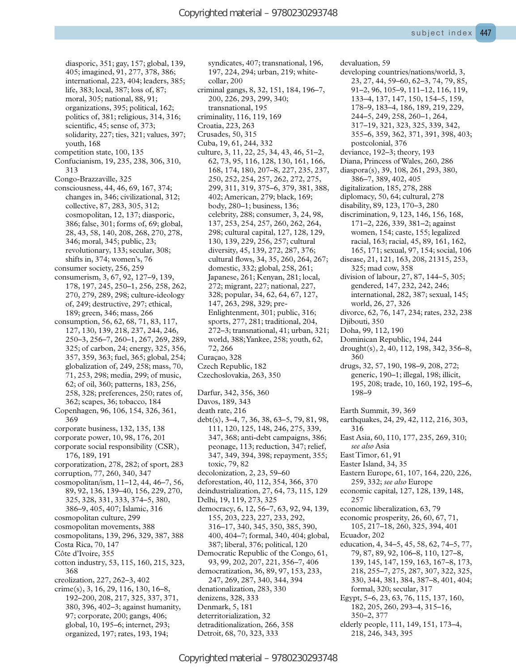diasporic, 351; gay, 157; global, 139, 405; imagined, 91, 277, 378, 386; international, 223, 404; leaders, 385; life, 383; local, 387; loss of, 87; moral, 305; national, 88, 91; organizations, 395; political, 162; politics of, 381; religious, 314, 316; scientific, 45; sense of, 373; solidarity, 227; ties, 321; values, 397; youth, 168 competition state, 100, 135 Confucianism, 19, 235, 238, 306, 310, 313 Congo-Brazzaville, 325 consciousness, 44, 46, 69, 167, 374; changes in, 346; civilizational, 312; collective, 87, 283, 305, 312; cosmopolitan, 12, 137; diasporic, 386; false, 301; forms of, 69; global, 28, 43, 58, 140, 208, 268, 270, 278, 346; moral, 345; public, 23; revolutionary, 133; secular, 308; shifts in, 374; women's, 76 consumer society, 256, 259 consumerism, 3, 67, 92, 127–9, 139, 178, 197, 245, 250–1, 256, 258, 262, 270, 279, 289, 298; culture-ideology of, 249; destructive, 297; ethical, 189; green, 346; mass, 266 consumption, 56, 62, 68, 71, 83, 117, 127, 130, 139, 218, 237, 244, 246, 250–3, 256–7, 260–1, 267, 269, 289, 325; of carbon, 24; energy, 325, 356, 357, 359, 363; fuel, 365; global, 254; globalization of, 249, 258; mass, 70, 71, 253, 298; media, 299; of music, 62; of oil, 360; patterns, 183, 256, 258, 328; preferences, 250; rates of, 362; scapes, 36; tobacco, 184 Copenhagen, 96, 106, 154, 326, 361, 369 corporate business, 132, 135, 138 corporate power, 10, 98, 176, 201 corporate social responsibility (CSR), 176, 189, 191 corporatization, 278, 282; of sport, 283 corruption, 77, 260, 340, 347 cosmopolitan/ism, 11–12, 44, 46–7, 56, 89, 92, 136, 139–40, 156, 229, 270, 325, 328, 331, 333, 374–5, 380, 386–9, 405, 407; Islamic, 316 cosmopolitan culture, 299 cosmopolitan movements, 388 cosmopolitans, 139, 296, 329, 387, 388 Costa Rica, 70, 147 Côte d'Ivoire, 355 cotton industry, 53, 115, 160, 215, 323, 368 creolization, 227, 262–3, 402 crime(s), 3, 16, 29, 116, 130, 16–8, 192–200, 208, 217, 325, 337, 371, 380, 396, 402–3; against humanity, 97; corporate, 200; gangs, 406; global, 10, 195–6; internet, 293; organized, 197; rates, 193, 194;

syndicates, 407; transnational, 196, 197, 224, 294; urban, 219; whitecollar, 200 criminal gangs, 8, 32, 151, 184, 196–7, 200, 226, 293, 299, 340; transnational, 195 criminality, 116, 119, 169 Croatia, 223, 263 Crusades, 50, 315 Cuba, 19, 61, 244, 332 culture, 3, 11, 22, 25, 34, 43, 46, 51–2, 62, 73, 95, 116, 128, 130, 161, 166, 168, 174, 180, 207–8, 227, 235, 237, 250, 252, 254, 257, 262, 272, 275, 299, 311, 319, 375–6, 379, 381, 388, 402; American, 279; black, 169; body, 280–1; business, 136; celebrity, 288; consumer, 3, 24, 98, 137, 253, 254, 257, 260, 262, 264, 298; cultural capital, 127, 128, 129, 130, 139, 229, 256, 257; cultural diversity, 45, 139, 272, 287, 376; cultural flows, 34, 35, 260, 264, 267; domestic, 332; global, 258, 261; Japanese, 261; Kenyan, 281; local, 272; migrant, 227; national, 227, 328; popular, 34, 62, 64, 67, 127, 147, 263, 298, 329; pre-Enlightenment, 301; public, 316; sports, 277, 281; traditional, 204, 272–3; transnational, 41; urban, 321; world, 388; Yankee, 258; youth, 62, 72, 266 Curaçao, 328 Czech Republic, 182 Czechoslovakia, 263, 350 Darfur, 342, 356, 360 Davos, 189, 343 death rate, 216 debt(s), 3–4, 7, 36, 38, 63–5, 79, 81, 98, 111, 120, 125, 148, 246, 275, 339, 347, 368; anti-debt campaigns, 386; peonage, 113; reduction, 347; relief, 347, 349, 394, 398; repayment, 355; toxic, 79, 82 decolonization, 2, 23, 59–60 deforestation, 40, 112, 354, 366, 370 deindustrialization, 27, 64, 73, 115, 129 Delhi, 19, 119, 273, 325 democracy, 6, 12, 56–7, 63, 92, 94, 139, 155, 203, 223, 227, 233, 292, 316–17, 340, 345, 350, 385, 390, 400, 404–7; formal, 340, 404; global, 387; liberal, 376; political, 120 Democratic Republic of the Congo, 61, 93, 99, 202, 207, 221, 356–7, 406 democratization, 36, 89, 97, 153, 233, 247, 269, 287, 340, 344, 394 denationalization, 283, 330 denizens, 328, 333 Denmark, 5, 181 deterritorialization, 32 detraditionalization, 266, 358 Detroit, 68, 70, 323, 333

devaluation, 59 developing countries/nations/world, 3, 23, 27, 44, 59–60, 62–3, 74, 79, 85, 91–2, 96, 105–9, 111–12, 116, 119, 133–4, 137, 147, 150, 154–5, 159, 178–9, 183–4, 186, 189, 219, 229, 244–5, 249, 258, 260–1, 264, 317–19, 321, 323, 325, 339, 342, 355–6, 359, 362, 371, 391, 398, 403; postcolonial, 376 deviance, 192–3; theory, 193 Diana, Princess of Wales, 260, 286 diaspora(s), 39, 108, 261, 293, 380, 386–7, 389, 402, 405 digitalization, 185, 278, 288 diplomacy, 50, 64; cultural, 278 disability, 89, 123, 170–3, 280 discrimination, 9, 123, 146, 156, 168, 171–2, 226, 339, 381–2; against women, 154; caste, 155; legalized racial, 163; racial, 45, 89, 161, 162, 165, 171; sexual, 97, 154; social, 106 disease, 21, 121, 163, 208, 21315, 253, 325; mad cow, 358 division of labour, 27, 87, 144–5, 305; gendered, 147, 232, 242, 246; international, 282, 387; sexual, 145; world, 26, 27, 326 divorce, 62, 76, 147, 234; rates, 232, 238 Djibouti, 350 Doha, 99, 112, 190 Dominican Republic, 194, 244 drought(s), 2, 40, 112, 198, 342, 356–8, 360 drugs, 32, 57, 190, 198–9, 208, 272; generic, 190–1; illegal, 198; illicit, 195, 208; trade, 10, 160, 192, 195–6, 198–9 Earth Summit, 39, 369 earthquakes, 24, 29, 42, 112, 216, 303, 316 East Asia, 60, 110, 177, 235, 269, 310; *see also* Asia East Timor, 61, 91 Easter Island, 34, 35 Eastern Europe, 61, 107, 164, 220, 226, 259, 332; *see also* Europe economic capital, 127, 128, 139, 148, 257 economic liberalization, 63, 79 economic prosperity, 26, 60, 67, 71, 105, 217–18, 260, 325, 394, 401 Ecuador, 202 education, 4, 34–5, 45, 58, 62, 74–5, 77, 79, 87, 89, 92, 106–8, 110, 127–8, 139, 145, 147, 159, 163, 167–8, 173, 218, 255–7, 275, 287, 307, 322, 325, 330, 344, 381, 384, 387–8, 401, 404; formal, 320; secular, 317 Egypt, 5–6, 23, 63, 76, 115, 137, 160, 182, 205, 260, 293–4, 315–16, 350–2, 377 elderly people, 111, 149, 151, 173–4, 218, 246, 343, 395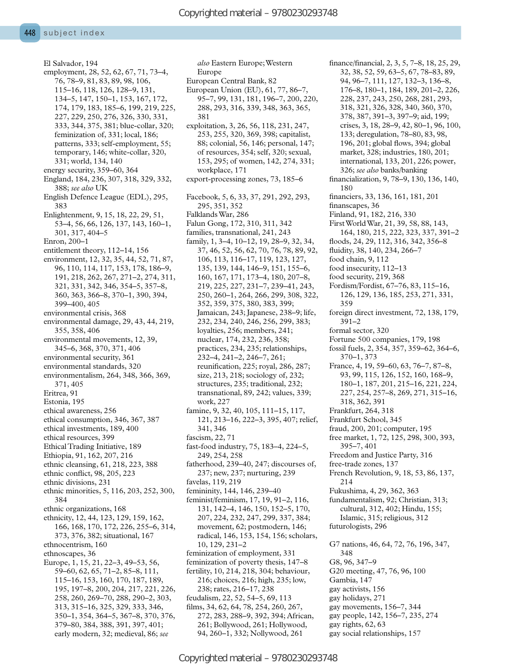El Salvador, 194 employment, 28, 52, 62, 67, 71, 73–4, 76, 78–9, 81, 83, 89, 98, 106, 115–16, 118, 126, 128–9, 131, 134–5, 147, 150–1, 153, 167, 172, 174, 179, 183, 185–6, 199, 219, 225, 227, 229, 250, 276, 326, 330, 331, 333, 344, 375, 381; blue-collar, 320; feminization of, 331; local, 186; patterns, 333; self-employment, 55; temporary, 146; white-collar, 320, 331; world, 134, 140 energy security, 359–60, 364 England, 184, 236, 307, 318, 329, 332, 388; *see also* UK English Defence League (EDL), 295, 383 Enlightenment, 9, 15, 18, 22, 29, 51, 53–4, 56, 66, 126, 137, 143, 160–1, 301, 317, 404–5 Enron, 200–1 entitlement theory, 112–14, 156 environment, 12, 32, 35, 44, 52, 71, 87, 96, 110, 114, 117, 153, 178, 186–9, 191, 218, 262, 267, 271–2, 274, 311, 321, 331, 342, 346, 354–5, 357–8, 360, 363, 366–8, 370–1, 390, 394, 399–400, 405 environmental crisis, 368 environmental damage, 29, 43, 44, 219, 355, 358, 406 environmental movements, 12, 39, 345–6, 368, 370, 371, 406 environmental security, 361 environmental standards, 320 environmentalism, 264, 348, 366, 369, 371, 405 Eritrea, 91 Estonia, 195 ethical awareness, 256 ethical consumption, 346, 367, 387 ethical investments, 189, 400 ethical resources, 399 Ethical Trading Initiative, 189 Ethiopia, 91, 162, 207, 216 ethnic cleansing, 61, 218, 223, 388 ethnic conflict, 98, 205, 223 ethnic divisions, 231 ethnic minorities, 5, 116, 203, 252, 300, 384 ethnic organizations, 168 ethnicity, 12, 44, 123, 129, 159, 162, 166, 168, 170, 172, 226, 255–6, 314, 373, 376, 382; situational, 167 ethnocentrism, 160 ethnoscapes, 36 Europe, 1, 15, 21, 22–3, 49–53, 56, 59–60, 62, 65, 71–2, 85–8, 111, 115–16, 153, 160, 170, 187, 189, 195, 197–8, 200, 204, 217, 221, 226, 258, 260, 269–70, 288, 290–2, 303, 313, 315–16, 325, 329, 333, 346, 350–1, 354, 364–5, 367–8, 370, 376, 379–80, 384, 388, 391, 397, 401; early modern, 32; medieval, 86; *see* 

*also* Eastern Europe; Western Europe European Central Bank, 82 European Union (EU), 61, 77, 86–7, 95–7, 99, 131, 181, 196–7, 200, 220, 288, 293, 316, 339, 348, 363, 365, 381 exploitation, 3, 26, 56, 118, 231, 247, 253, 255, 320, 369, 398; capitalist, 88; colonial, 56, 146; personal, 147; of resources, 354; self, 320; sexual, 153, 295; of women, 142, 274, 331; workplace, 171 export-processing zones, 73, 185–6 Facebook, 5, 6, 33, 37, 291, 292, 293, 295, 351, 352 Falklands War, 286 Falun Gong, 172, 310, 311, 342 families, transnational, 241, 243 family, 1, 3–4, 10–12, 19, 28–9, 32, 34, 37, 46, 52, 56, 62, 70, 76, 78, 89, 92, 106, 113, 116–17, 119, 123, 127, 135, 139, 144, 146–9, 151, 155–6, 160, 167, 171, 173–4, 180, 207–8, 219, 225, 227, 231–7, 239–41, 243, 250, 260–1, 264, 266, 299, 308, 322, 352, 359, 375, 380, 383, 399; Jamaican, 243; Japanese, 238–9; life, 232, 234, 240, 246, 256, 299, 383; loyalties, 256; members, 241; nuclear, 174, 232, 236, 358; practices, 234, 235; relationships, 232–4, 241–2, 246–7, 261; reunification, 225; royal, 286, 287; size, 213, 218; sociology of, 232; structures, 235; traditional, 232; transnational, 89, 242; values, 339; work, 227 famine, 9, 32, 40, 105, 111–15, 117, 121, 213–16, 222–3, 395, 407; relief, 341, 346 fascism, 22, 71 fast-food industry, 75, 183–4, 224–5, 249, 254, 258 fatherhood, 239–40, 247; discourses of, 237; new, 237; nurturing, 239 favelas, 119, 219 femininity, 144, 146, 239–40 feminist/feminism, 17, 19, 91–2, 116, 131, 142–4, 146, 150, 152–5, 170, 207, 224, 232, 247, 299, 337, 384; movement, 62; postmodern, 146; radical, 146, 153, 154, 156; scholars, 10, 129, 231–2 feminization of employment, 331 feminization of poverty thesis, 147–8 fertility, 10, 214, 218, 304; behaviour, 216; choices, 216; high, 235; low, 238; rates, 216–17, 238 feudalism, 22, 52, 54–5, 69, 113 films, 34, 62, 64, 78, 254, 260, 267, 272, 283, 288–9, 392, 394; African, 261; Bollywood, 261; Hollywood, 94, 260–1, 332; Nollywood, 261

finance/financial, 2, 3, 5, 7–8, 18, 25, 29, 32, 38, 52, 59, 63–5, 67, 78–83, 89, 94, 96–7, 111, 127, 132–3, 136–8, 176–8, 180–1, 184, 189, 201–2, 226, 228, 237, 243, 250, 268, 281, 293, 318, 321, 326, 328, 340, 360, 370, 378, 387, 391–3, 397–9; aid, 199; crises, 3, 18, 28–9, 42, 80–1, 96, 100, 133; deregulation, 78–80, 83, 98, 196, 201; global flows, 394; global market, 328; industries, 180, 201; international, 133, 201, 226; power, 326; *see also* banks/banking financialization, 9, 78–9, 130, 136, 140, 180 financiers, 33, 136, 161, 181, 201 finanscapes, 36 Finland, 91, 182, 216, 330 First World War, 21, 39, 58, 88, 143, 164, 180, 215, 222, 323, 337, 391–2 floods, 24, 29, 112, 316, 342, 356–8 fluidity, 38, 140, 234, 266–7 food chain, 9, 112 food insecurity, 112–13 food security, 219, 368 Fordism/Fordist, 67–76, 83, 115–16, 126, 129, 136, 185, 253, 271, 331, 359 foreign direct investment, 72, 138, 179, 391–2 formal sector, 320 Fortune 500 companies, 179, 198 fossil fuels, 2, 354, 357, 359–62, 364–6, 370–1, 373 France, 4, 19, 59–60, 63, 76–7, 87–8, 93, 99, 115, 126, 152, 160, 168–9, 180–1, 187, 201, 215–16, 221, 224, 227, 254, 257–8, 269, 271, 315–16, 318, 362, 391 Frankfurt, 264, 318 Frankfurt School, 345 fraud, 200, 201; computer, 195 free market, 1, 72, 125, 298, 300, 393, 395–7, 401 Freedom and Justice Party, 316 free-trade zones, 137 French Revolution, 9, 18, 53, 86, 137, 214 Fukushima, 4, 29, 362, 363 fundamentalism, 92; Christian, 313; cultural, 312, 402; Hindu, 155; Islamic, 315; religious, 312 futurologists, 296 G7 nations, 46, 64, 72, 76, 196, 347, 348 G8, 96, 347–9 G20 meeting, 47, 76, 96, 100 Gambia, 147 gay activists, 156 gay holidays, 271 gay movements, 156–7, 344 gay people, 142, 156–7, 235, 274 gay rights, 62, 63 gay social relationships, 157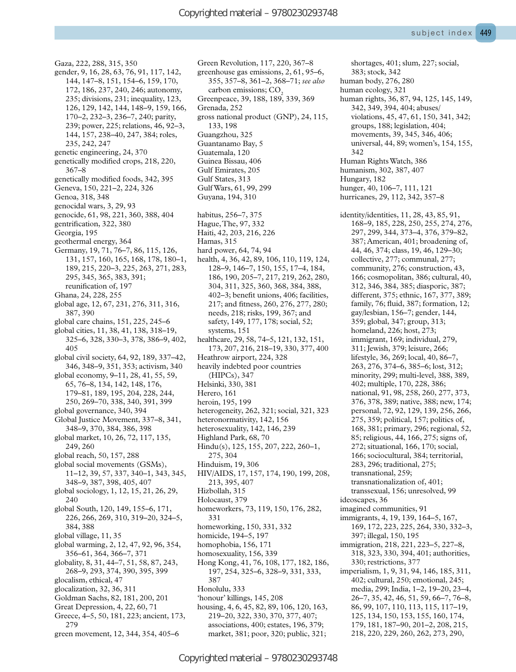Gaza, 222, 288, 315, 350 gender, 9, 16, 28, 63, 76, 91, 117, 142, 144, 147–8, 151, 154–6, 159, 170, 172, 186, 237, 240, 246; autonomy, 235; divisions, 231; inequality, 123, 126, 129, 142, 144, 148–9, 159, 166, 170–2, 232–3, 236–7, 240; parity, 239; power, 225; relations, 46, 92–3, 144, 157, 238–40, 247, 384; roles, 235, 242, 247 genetic engineering, 24, 370 genetically modified crops, 218, 220, 367–8 genetically modified foods, 342, 395 Geneva, 150, 221–2, 224, 326 Genoa, 318, 348 genocidal wars, 3, 29, 93 genocide, 61, 98, 221, 360, 388, 404 gentrification, 322, 380 Georgia, 195 geothermal energy, 364 Germany, 19, 71, 76–7, 86, 115, 126, 131, 157, 160, 165, 168, 178, 180–1, 189, 215, 220–3, 225, 263, 271, 283, 295, 345, 365, 383, 391; reunification of, 197 Ghana, 24, 228, 255 global age, 12, 67, 231, 276, 311, 316, 387, 390 global care chains, 151, 225, 245–6 global cities, 11, 38, 41, 138, 318–19, 325–6, 328, 330–3, 378, 386–9, 402, 405 global civil society, 64, 92, 189, 337–42, 346, 348–9, 351, 353; activism, 340 global economy, 9–11, 28, 41, 55, 59, 65, 76–8, 134, 142, 148, 176, 179–81, 189, 195, 204, 228, 244, 250, 269–70, 338, 340, 391, 399 global governance, 340, 394 Global Justice Movement, 337–8, 341, 348–9, 370, 384, 386, 398 global market, 10, 26, 72, 117, 135, 249, 260 global reach, 50, 157, 288 global social movements (GSMs), 11–12, 39, 57, 337, 340–1, 343, 345, 348–9, 387, 398, 405, 407 global sociology, 1, 12, 15, 21, 26, 29, 240 global South, 120, 149, 155–6, 171, 226, 266, 269, 310, 319–20, 324–5, 384, 388 global village, 11, 35 global warming, 2, 12, 47, 92, 96, 354, 356–61, 364, 366–7, 371 globality, 8, 31, 44–7, 51, 58, 87, 243, 268–9, 293, 374, 390, 395, 399 glocalism, ethical, 47 glocalization, 32, 36, 311 Goldman Sachs, 82, 181, 200, 201 Great Depression, 4, 22, 60, 71 Greece, 4–5, 50, 181, 223; ancient, 173, 279 green movement, 12, 344, 354, 405–6

Green Revolution, 117, 220, 367–8 greenhouse gas emissions, 2, 61, 95–6, 355, 357–8, 361–2, 368–71; *see also* carbon emissions; CO<sub>2</sub> Greenpeace, 39, 188, 189, 339, 369 Grenada, 252 gross national product (GNP), 24, 115, 133, 198 Guangzhou, 325 Guantanamo Bay, 5 Guatemala, 120 Guinea Bissau, 406 Gulf Emirates, 205 Gulf States, 313 Gulf Wars, 61, 99, 299 Guyana, 194, 310 habitus, 256–7, 375 Hague, The, 97, 332 Haiti, 42, 203, 216, 226 Hamas, 315 hard power, 64, 74, 94 health, 4, 36, 42, 89, 106, 110, 119, 124, 128–9, 146–7, 150, 155, 17–4, 184, 186, 190, 205–7, 217, 219, 262, 280, 304, 311, 325, 360, 368, 384, 388, 402–3; benefit unions, 406; facilities, 217; and fitness, 260, 276, 277, 280; needs, 218; risks, 199, 367; and safety, 149, 177, 178; social, 52; systems, 151 healthcare, 29, 58, 74–5, 121, 132, 151, 173, 207, 216, 218–19, 330, 377, 400 Heathrow airport, 224, 328 heavily indebted poor countries (HIPCs), 347 Helsinki, 330, 381 Herero, 161 heroin, 195, 199 heterogeneity, 262, 321; social, 321, 323 heteronormativity, 142, 156 heterosexuality, 142, 146, 239 Highland Park, 68, 70 Hindu(s), 125, 155, 207, 222, 260–1, 275, 304 Hinduism, 19, 306 HIV/AIDS, 17, 157, 174, 190, 199, 208, 213, 395, 407 Hizbollah, 315 Holocaust, 379 homeworkers, 73, 119, 150, 176, 282, 331 homeworking, 150, 331, 332 homicide, 194–5, 197 homophobia, 156, 171 homosexuality, 156, 339 Hong Kong, 41, 76, 108, 177, 182, 186, 197, 254, 325–6, 328–9, 331, 333, 387 Honolulu, 333 'honour' killings, 145, 208 housing, 4, 6, 45, 82, 89, 106, 120, 163, 219–20, 322, 330, 370, 377, 407; associations, 400; estates, 196, 379;

shortages, 401; slum, 227; social, 383; stock, 342 human body, 276, 280 human ecology, 321 human rights, 36, 87, 94, 125, 145, 149, 342, 349, 394, 404; abuses/ violations, 45, 47, 61, 150, 341, 342; groups, 188; legislation, 404; movements, 39, 345, 346, 406; universal, 44, 89; women's, 154, 155, 342 Human Rights Watch, 386 humanism, 302, 387, 407 Hungary, 182 hunger, 40, 106–7, 111, 121 hurricanes, 29, 112, 342, 357–8 identity/identities, 11, 28, 43, 85, 91, 168–9, 185, 228, 250, 255, 274, 276, 297, 299, 344, 373–4, 376, 379–82, 387; American, 401; broadening of, 44, 46, 374; class, 19, 46, 129–30; collective, 277; communal, 277; community, 276; construction, 43, 166; cosmopolitan, 386; cultural, 40, 312, 346, 384, 385; diasporic, 387; different, 375; ethnic, 167, 377, 389; family, 76; fluid, 387; formation, 12; gay/lesbian, 156–7; gender, 144, 359; global, 347; group, 313; homeland, 226; host, 273; immigrant, 169; individual, 279, 311; Jewish, 379; leisure, 266; lifestyle, 36, 269; local, 40, 86–7, 263, 276, 374–6, 385–6; lost, 312; minority, 299; multi-level, 388, 389, 402; multiple, 170, 228, 386; national, 91, 98, 258, 260, 277, 373, 376, 378, 389; native, 388; new, 174; personal, 72, 92, 129, 139, 256, 266, 275, 359; political, 157; politics of, 168, 381; primary, 296; regional, 52, 85; religious, 44, 166, 275; signs of, 272; situational, 166, 170; social, 166; sociocultural, 384; territorial, 283, 296; traditional, 275; transnational, 259; transnationalization of, 401; transsexual, 156; unresolved, 99 ideoscapes, 36 imagined communities, 91 immigrants, 4, 19, 139, 164–5, 167, 169, 172, 223, 225, 264, 330, 332–3, 397; illegal, 150, 195 immigration, 218, 221, 223–5, 227–8, 318, 323, 330, 394, 401; authorities, 330; restrictions, 377 imperialism, 1, 9, 31, 94, 146, 185, 311, 402; cultural, 250; emotional, 245; media, 299; India, 1–2, 19–20, 23–4, 26–7, 35, 42, 46, 51, 59, 66–7, 76–8, 86, 99, 107, 110, 113, 115, 117–19, 125, 134, 150, 153, 155, 160, 174, 179, 181, 187–90, 201–2, 208, 215, 218, 220, 229, 260, 262, 273, 290,

market, 381; poor, 320; public, 321;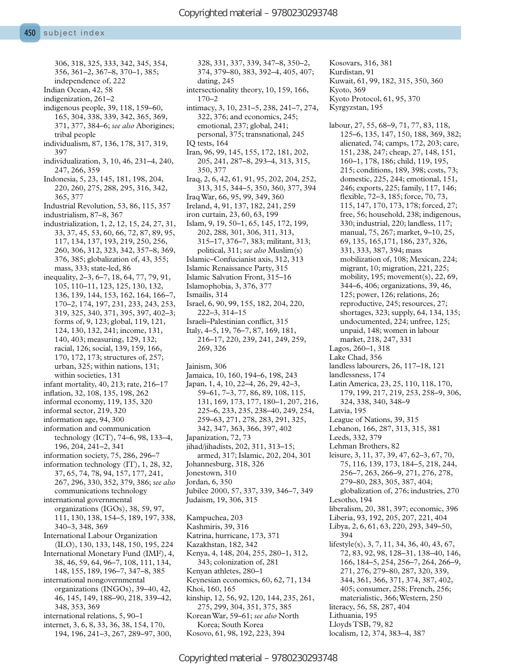306, 318, 325, 333, 342, 345, 354, 356, 361–2, 367–8, 370–1, 385; independence of, 222 Indian Ocean, 42, 58 indigenization, 261–2 indigenous people, 39, 118, 159–60, 165, 304, 338, 339, 342, 365, 369, 371, 377, 384–6; *see also* Aborigines; tribal people individualism, 87, 136, 178, 317, 319, 397 individualization, 3, 10, 46, 231–4, 240, 247, 266, 359 Indonesia, 5, 23, 145, 181, 198, 204, 220, 260, 275, 288, 295, 316, 342, 365, 377 Industrial Revolution, 53, 86, 115, 357 industrialism, 87–8, 367 industrialization, 1, 2, 12, 15, 24, 27, 31, 33, 37, 45, 53, 60, 66, 72, 87, 89, 95, 117, 134, 137, 193, 219, 250, 256, 260, 306, 312, 323, 342, 357–8, 369, 376, 385; globalization of, 43, 355; mass, 333; state-led, 86 inequality, 2–3, 6–7, 18, 64, 77, 79, 91, 105, 110–11, 123, 125, 130, 132, 136, 139, 144, 153, 162, 164, 166–7, 170–2, 174, 197, 231, 233, 243, 253, 319, 325, 340, 371, 395, 397, 402–3; forms of, 9, 123; global, 119, 121, 124, 130, 132, 241; income, 131, 140, 403; measuring, 129, 132; racial, 126; social, 139, 159, 166, 170, 172, 173; structures of, 257; urban, 325; within nations, 131; within societies, 131 infant mortality, 40, 213; rate, 216–17 inflation, 32, 108, 135, 198, 262 informal economy, 119, 135, 320 informal sector, 219, 320 information age, 94, 300 information and communication technology (ICT), 74–6, 98, 133–4, 196, 204, 241–2, 341 information society, 75, 286, 296–7 information technology (IT), 1, 28, 32, 37, 65, 74, 78, 94, 157, 177, 241, 267, 296, 330, 352, 379, 386; *see also* communications technology international governmental organizations (IGOs), 38, 59, 97, 111, 130, 138, 154–5, 189, 197, 338, 340–3, 348, 369 International Labour Organization (ILO), 130, 133, 148, 150, 195, 224 International Monetary Fund (IMF), 4, 38, 46, 59, 64, 96–7, 108, 111, 134, 148, 155, 189, 196–7, 347–8, 385 international nongovernmental organizations (INGOs), 39–40, 42, 46, 145, 149, 188–90, 218, 339–42, 348, 353, 369 international relations, 5, 90–1 internet, 3, 6, 8, 33, 36, 38, 154, 170, 194, 196, 241–3, 267, 289–97, 300,

328, 331, 337, 339, 347–8, 350–2, 374, 379–80, 383, 392–4, 405, 407; dating, 245 intersectionality theory, 10, 159, 166, 170–2 intimacy, 3, 10, 231–5, 238, 241–7, 274, 322, 376; and economics, 245; emotional, 237; global, 241; personal, 375; transnational, 245 IQ tests, 164 Iran, 96, 99, 145, 155, 172, 181, 202, 205, 241, 287–8, 293–4, 313, 315, 350, 377 Iraq, 2, 6, 42, 61, 91, 95, 202, 204, 252, 313, 315, 344–5, 350, 360, 377, 394 Iraq War, 66, 95, 99, 349, 360 Ireland, 4, 91, 137, 182, 241, 259 iron curtain, 23, 60, 63, 199 Islam, 9, 19, 50–1, 65, 145, 172, 199, 202, 288, 301, 306, 311, 313, 315–17, 376–7, 383; militant, 313; political, 311; *see also* Muslim(s) Islamic–Confucianist axis, 312, 313 Islamic Renaissance Party, 315 Islamic Salvation Front, 315–16 Islamophobia, 3, 376, 377 Ismailis, 314 Israel, 6, 90, 99, 155, 182, 204, 220, 222–3, 314–15 Israeli–Palestinian conflict, 315 Italy, 4–5, 19, 76–7, 87, 169, 181, 216–17, 220, 239, 241, 249, 259, 269, 326 Jainism, 306 Jamaica, 10, 160, 194–6, 198, 243 Japan, 1, 4, 10, 22–4, 26, 29, 42–3, 59–61, 7–3, 77, 86, 89, 108, 115, 131, 169, 173, 177, 180–1, 207, 216, 225–6, 233, 235, 238–40, 249, 254, 259–63, 271, 278, 283, 291, 325, 342, 347, 363, 366, 397, 402 Japanization, 72, 73 jihad/jihadists, 202, 311, 313–15; armed, 317; Islamic, 202, 204, 301 Johannesburg, 318, 326 Jonestown, 310 Jordan, 6, 350 Jubilee 2000, 57, 337, 339, 346–7, 349 Judaism, 19, 306, 315 Kampuchea, 203 Kashmiris, 39, 316 Katrina, hurricane, 173, 371 Kazakhstan, 182, 342 Kenya, 4, 148, 204, 255, 280–1, 312, 343; colonization of, 281 Kenyan athletes, 280–1 Keynesian economics, 60, 62, 71, 134 Khoi, 160, 165 kinship, 12, 56, 92, 120, 144, 235, 261, 275, 299, 304, 351, 375, 385 Korean War, 59–61; *see also* North Korea; South Korea Kosovo, 61, 98, 192, 223, 394

Kosovars, 316, 381 Kurdistan, 91 Kuwait, 61, 99, 182, 315, 350, 360 Kyoto, 369 Kyoto Protocol, 61, 95, 370 Kyrgyzstan, 195

labour, 27, 55, 68–9, 71, 77, 83, 118, 125–6, 135, 147, 150, 188, 369, 382; alienated, 74; camps, 172, 203; care, 151, 238, 247; cheap, 27, 148, 151, 160–1, 178, 186; child, 119, 195, 215; conditions, 189, 398; costs, 73; domestic, 225, 244; emotional, 151, 246; exports, 225; family, 117, 146; flexible, 72–3, 185; force, 70, 73, 115, 147, 170, 173, 178; forced, 27; free, 56; household, 238; indigenous, 330; industrial, 220; landless, 117; manual, 75, 267; market, 9–10, 25, 69, 135, 165,171, 186, 237, 326, 331, 333, 387, 394; mass mobilization of, 108; Mexican, 224; migrant, 10; migration, 221, 225; mobility, 195; movement(s), 22, 69, 344–6, 406; organizations, 39, 46, 125; power, 126; relations, 26; reproductive, 245; resources, 27; shortages, 323; supply, 64, 134, 135; undocumented, 224; unfree, 125; unpaid, 148; women in labour market, 218, 247, 331 Lagos, 260–1, 318 Lake Chad, 356 landless labourers, 26, 117–18, 121 landlessness, 174 Latin America, 23, 25, 110, 118, 170, 179, 199, 217, 219, 253, 258–9, 306, 324, 338, 340, 348–9 Latvia, 195 League of Nations, 39, 315 Lebanon, 166, 287, 313, 315, 381 Leeds, 332, 379 Lehman Brothers, 82 leisure, 3, 11, 37, 39, 47, 62–3, 67, 70, 75, 116, 139, 173, 184–5, 218, 244, 256–7, 263, 266–9, 271, 276, 278, 279–80, 283, 305, 387, 404; globalization of, 276; industries, 270 Lesotho, 194 liberalism, 20, 381, 397; economic, 396 Liberia, 93, 192, 205, 207, 221, 404 Libya, 2, 6, 61, 63, 220, 293, 349–50, 394 lifestyle(s), 3, 7, 11, 34, 36, 40, 43, 67, 72, 83, 92, 98, 128–31, 138–40, 146, 166, 184–5, 254, 256–7, 264, 266–9, 271, 276, 279–80, 287, 320, 339, 344, 361, 366, 371, 374, 387, 402, 405; consumer, 258; French, 256; materialistic, 366; Western, 250 literacy, 56, 58, 287, 404 Lithuania, 195 Lloyds TSB, 79, 82 localism, 12, 374, 383–4, 387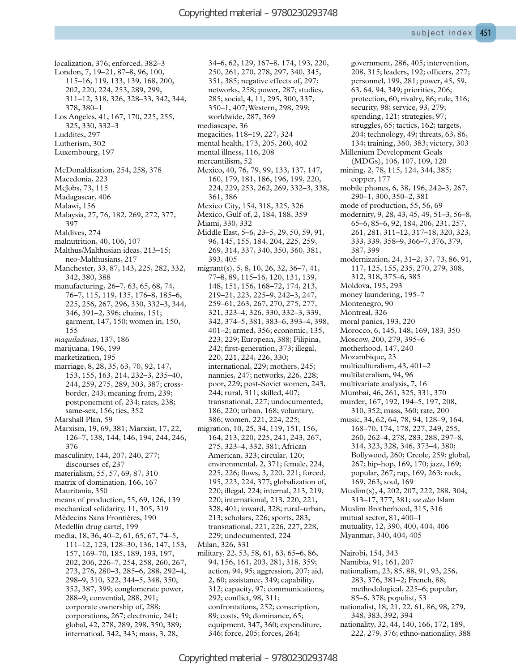localization, 376; enforced, 382–3 London, 7, 19–21, 87–8, 96, 100, 115–16, 119, 133, 139, 168, 200, 202, 220, 224, 253, 289, 299, 311–12, 318, 326, 328–33, 342, 344, 378, 380–1 Los Angeles, 41, 167, 170, 225, 255, 325, 330, 332–3 Luddites, 297 Lutherism, 302 Luxembourg, 197 McDonaldization, 254, 258, 378 Macedonia, 223 McJobs, 73, 115 Madagascar, 406 Malawi, 156 Malaysia, 27, 76, 182, 269, 272, 377, 397 Maldives, 274 malnutrition, 40, 106, 107 Malthus/Malthusian ideas, 213–15; neo-Malthusians, 217 Manchester, 33, 87, 143, 225, 282, 332, 342, 380, 388 manufacturing, 26–7, 63, 65, 68, 74, 76–7, 115, 119, 135, 176–8, 185–6, 225, 256, 267, 296, 330, 332–3, 344, 346, 391–2, 396; chains, 151; garment, 147, 150; women in, 150, 155 *maquiladoras*, 137, 186 marijuana, 196, 199 marketization, 195 marriage, 8, 28, 35, 63, 70, 92, 147, 153, 155, 163, 214, 232–3, 235–40, 244, 259, 275, 289, 303, 387; crossborder, 243; meaning from, 239; postponement of, 234; rates, 238; same-sex, 156; ties, 352 Marshall Plan, 59 Marxism, 19, 69, 381; Marxist, 17, 22, 126–7, 138, 144, 146, 194, 244, 246, 376 masculinity, 144, 207, 240, 277; discourses of, 237 materialism, 55, 57, 69, 87, 310 matrix of domination, 166, 167 Mauritania, 350 means of production, 55, 69, 126, 139 mechanical solidarity, 11, 305, 319 Médecins Sans Frontières, 190 Medellín drug cartel, 199 media, 18, 36, 40–2, 61, 65, 67, 74–5, 111–12, 123, 128–30, 136, 147, 153, 157, 169–70, 185, 189, 193, 197, 202, 206, 226–7, 254, 258, 260, 267, 273, 276, 280–3, 285–6, 288, 292–4, 298–9, 310, 322, 344–5, 348, 350, 352, 387, 399; conglomerate power, 288–9; convential, 288, 291; corporate ownership of, 288; corporations, 267; electronic, 241; global, 42, 278, 289, 298, 350, 389; internatioal, 342, 343; mass, 3, 28,

34–6, 62, 129, 167–8, 174, 193, 220, 250, 261, 270, 278, 297, 340, 345, 351, 385; negative effects of, 297; networks, 258; power, 287; studies, 285; social, 4, 11, 295, 300, 337, 350–1, 407; Western, 298, 299; worldwide, 287, 369 mediascape, 36 megacities, 118–19, 227, 324 mental health, 173, 205, 260, 402 mental illness, 116, 208 mercantilism, 52 Mexico, 40, 76, 79, 99, 133, 137, 147, 160, 179, 181, 186, 196, 199, 220, 224, 229, 253, 262, 269, 332–3, 338, 361, 386 Mexico City, 154, 318, 325, 326 Mexico, Gulf of, 2, 184, 188, 359 Miami, 330, 332 Middle East, 5–6, 23–5, 29, 50, 59, 91, 96, 145, 155, 184, 204, 225, 259, 269, 314, 337, 340, 350, 360, 381, 393, 405 migrant(s), 5, 8, 10, 26, 32, 36–7, 41, 77–8, 89, 115–16, 120, 131, 139, 148, 151, 156, 168–72, 174, 213, 219–21, 223, 225–9, 242–3, 247, 259–61, 263, 267, 270, 275, 277, 321, 323–4, 326, 330, 332–3, 339, 342, 374–5, 381, 383–6, 393–4, 398, 401–2; armed, 356; economic, 135, 223, 229; European, 388; Filipina, 242; first-generation, 373; illegal, 220, 221, 224, 226, 330; international, 229; mothers, 245; nannies, 247; networks, 226, 228; poor, 229; post-Soviet women, 243, 244; rural, 311; skilled, 407; transnational, 227; undocumented, 186, 220; urban, 168; voluntary, 386; women, 221, 224, 225; migration, 10, 25, 34, 119, 151, 156, 164, 213, 220, 225, 241, 243, 267, 275, 323–4, 332, 381; African American, 323; circular, 120; environmental, 2, 371; female, 224, 225, 226; flows, 3, 220, 221; forced, 195, 223, 224, 377; globalization of, 220; illegal, 224; internal, 213, 219, 220; international, 213, 220, 221, 328, 401; inward, 328; rural–urban, 213; scholars, 226; sports, 283; transnational, 221, 226, 227, 228, 229; undocumented, 224 Milan, 326, 331 military, 22, 53, 58, 61, 63, 65–6, 86, 94, 156, 161, 203, 281, 318, 359; action, 94, 95; aggression, 207; aid, 2, 60; assistance, 349; capability, 312; capacity, 97; communications, 292; conflict, 98, 311; confrontations, 252; conscription, 89; costs, 59; dominance, 65; equipment, 347, 360; expenditure, 346; force, 205; forces, 264;

government, 286, 405; intervention, 208, 315; leaders, 192; officers, 277; personnel, 199, 281; power, 45, 59, 63, 64, 94, 349; priorities, 206; protection, 60; rivalry, 86; rule, 316; security, 98; service, 93, 279; spending, 121; strategies, 97; struggles, 65; tactics, 162; targets, 204; technology, 49; threats, 63, 86, 134; training, 360, 383; victory, 303 Millenium Development Goals (MDGs), 106, 107, 109, 120 mining, 2, 78, 115, 124, 344, 385; copper, 177 mobile phones, 6, 38, 196, 242–3, 267, 290–1, 300, 350–2, 381 mode of production, 55, 56, 69 modernity, 9, 28, 43, 45, 49, 51–3, 56–8, 65–6, 85–6, 92, 184, 206, 231, 257, 261, 281, 311–12, 317–18, 320, 323, 333, 339, 358–9, 366–7, 376, 379, 387, 399 modernization, 24, 31–2, 37, 73, 86, 91, 117, 125, 155, 235, 270, 279, 308, 312, 318, 375–6, 385 Moldova, 195, 293 money laundering, 195–7 Montenegro, 90 Montreal, 326 moral panics, 193, 220 Morocco, 6, 145, 148, 169, 183, 350 Moscow, 200, 279, 395–6 motherhood, 147, 240 Mozambique, 23 multiculturalism, 43, 401–2 multilateralism, 94, 96 multivariate analysis, 7, 16 Mumbai, 46, 261, 325, 331, 370 murder, 167, 192, 194–5, 197, 208, 310, 352; mass, 360; rate, 200 music, 34, 62, 64, 78, 94, 128–9, 164, 168–70, 174, 178, 227, 249, 255, 260, 262–4, 278, 283, 288, 297–8, 314, 323, 328, 346, 373–4, 380; Bollywood, 260; Creole, 259; global, 267; hip-hop, 169, 170; jazz, 169; popular, 267; rap, 169, 263; rock, 169, 263; soul, 169 Muslim(s), 4, 202, 207, 222, 288, 304, 313–17, 377, 381; *see also* Islam Muslim Brotherhood, 315, 316 mutual sector, 81, 400–1 mutuality, 12, 390, 400, 404, 406 Myanmar, 340, 404, 405 Nairobi, 154, 343 Namibia, 91, 161, 207 nationalism, 23, 85, 88, 91, 93, 256, 283, 376, 381–2; French, 88; methodological, 225–6; popular, 85–6, 378; populist, 53 nationalist, 18, 21, 22, 61, 86, 98, 279, 348, 383, 392, 394

nationality, 32, 44, 140, 166, 172, 189, 222, 279, 376; ethno-nationality, 388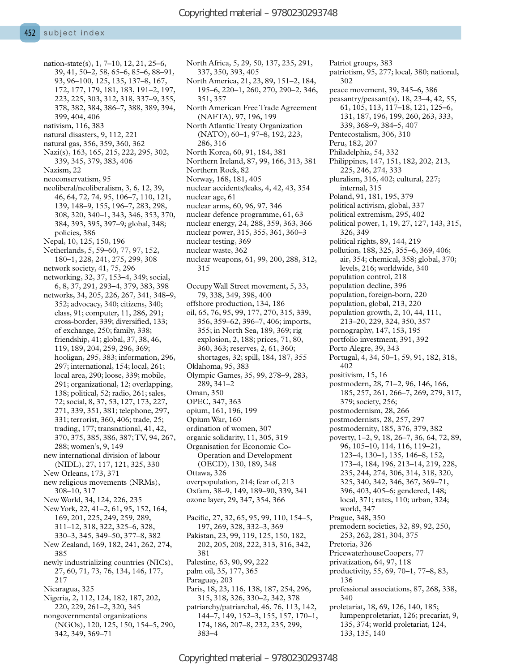nation-state(s), 1, 7–10, 12, 21, 25–6, 39, 41, 50–2, 58, 65–6, 85–6, 88–91, 93, 96–100, 125, 135, 137–8, 167, 172, 177, 179, 181, 183, 191–2, 197, 223, 225, 303, 312, 318, 337–9, 355, 378, 382, 384, 386–7, 388, 389, 394, 399, 404, 406 nativism, 116, 383 natural disasters, 9, 112, 221 natural gas, 356, 359, 360, 362 Nazi(s), 163, 165, 215, 222, 295, 302, 339, 345, 379, 383, 406 Nazism, 22 neoconservatism, 95 neoliberal/neoliberalism, 3, 6, 12, 39, 46, 64, 72, 74, 95, 106–7, 110, 121, 139, 148–9, 155, 196–7, 283, 298, 308, 320, 340–1, 343, 346, 353, 370, 384, 393, 395, 397–9; global, 348; policies, 386 Nepal, 10, 125, 150, 196 Netherlands, 5, 59–60, 77, 97, 152, 180–1, 228, 241, 275, 299, 308 network society, 41, 75, 296 networking, 32, 37, 153–4, 349; social, 6, 8, 37, 291, 293–4, 379, 383, 398 networks, 34, 205, 226, 267, 341, 348–9, 352; advocacy, 340; citizens, 340; class, 91; computer, 11, 286, 291; cross-border, 339; diversified, 133; of exchange, 250; family, 338; friendship, 41; global, 37, 38, 46, 119, 189, 204, 259, 296, 369; hooligan, 295, 383; information, 296, 297; international, 154; local, 261; local area, 290; loose, 339; mobile, 291; organizational, 12; overlapping, 138; political, 52; radio, 261; sales, 72; social, 8, 37, 53, 127, 173, 227, 271, 339, 351, 381; telephone, 297, 331; terrorist, 360, 406; trade, 25; trading, 177; transnational, 41, 42, 370, 375, 385, 386, 387; TV, 94, 267, 288; women's, 9, 149 new international division of labour (NIDL), 27, 117, 121, 325, 330 New Orleans, 173, 371 new religious movements (NRMs), 308–10, 317 New World, 34, 124, 226, 235 New York, 22, 41–2, 61, 95, 152, 164, 169, 201, 225, 249, 259, 289, 311–12, 318, 322, 325–6, 328, 330–3, 345, 349–50, 377–8, 382 New Zealand, 169, 182, 241, 262, 274, 385 newly industrializing countries (NICs), 27, 60, 71, 73, 76, 134, 146, 177, 217 Nicaragua, 325 Nigeria, 2, 112, 124, 182, 187, 202, 220, 229, 261–2, 320, 345 nongovernmental organizations (NGOs), 120, 125, 150, 154–5, 290, 342, 349, 369–71

North Africa, 5, 29, 50, 137, 235, 291, 337, 350, 393, 405 North America, 21, 23, 89, 151–2, 184, 195–6, 220–1, 260, 270, 290–2, 346, 351, 357 North American Free Trade Agreement (NAFTA), 97, 196, 199 North Atlantic Treaty Organization (NATO), 60–1, 97–8, 192, 223, 286, 316 North Korea, 60, 91, 184, 381 Northern Ireland, 87, 99, 166, 313, 381 Northern Rock, 82 Norway, 168, 181, 405 nuclear accidents/leaks, 4, 42, 43, 354 nuclear age, 61 nuclear arms, 60, 96, 97, 346 nuclear defence programme, 61, 63 nuclear energy, 24, 288, 359, 363, 366 nuclear power, 315, 355, 361, 360–3 nuclear testing, 369 nuclear waste, 362 nuclear weapons, 61, 99, 200, 288, 312, 315 Occupy Wall Street movement, 5, 33, 79, 338, 349, 398, 400 offshore production, 134, 186 oil, 65, 76, 95, 99, 177, 270, 315, 339, 356, 359–62, 396–7, 406; imports, 355; in North Sea, 189, 369; rig explosion, 2, 188; prices, 71, 80, 360, 363; reserves, 2, 61, 360; shortages, 32; spill, 184, 187, 355 Oklahoma, 95, 383 Olympic Games, 35, 99, 278–9, 283, 289, 341–2 Oman, 350 OPEC, 347, 363 opium, 161, 196, 199 Opium War, 160 ordination of women, 307 organic solidarity, 11, 305, 319 Organisation for Economic Co-Operation and Development (OECD), 130, 189, 348 Ottawa, 326 overpopulation, 214; fear of, 213 Oxfam, 38–9, 149, 189–90, 339, 341 ozone layer, 29, 347, 354, 366 Pacific, 27, 32, 65, 95, 99, 110, 154–5, 197, 269, 328, 332–3, 369 Pakistan, 23, 99, 119, 125, 150, 182, 202, 205, 208, 222, 313, 316, 342, 381 Palestine, 63, 90, 99, 222 palm oil, 35, 177, 365 Paraguay, 203 Paris, 18, 23, 116, 138, 187, 254, 296, 315, 318, 326, 330–2, 342, 378 patriarchy/patriarchal, 46, 76, 113, 142, 144–7, 149, 152–3, 155, 157, 170–1, 174, 186, 207–8, 232, 235, 299, 383–4

Patriot groups, 383 patriotism, 95, 277; local, 380; national, 302 peace movement, 39, 345–6, 386 peasantry/peasant(s), 18, 23–4, 42, 55, 61, 105, 113, 117–18, 121, 125–6, 131, 187, 196, 199, 260, 263, 333, 339, 368–9, 384–5, 407 Pentecostalism, 306, 310 Peru, 182, 207 Philadelphia, 54, 332 Philippines, 147, 151, 182, 202, 213, 225, 246, 274, 333 pluralism, 316, 402; cultural, 227; internal, 315 Poland, 91, 181, 195, 379 political activism, global, 337 political extremism, 295, 402 political power, 1, 19, 27, 127, 143, 315, 326, 349 political rights, 89, 144, 219 pollution, 188, 325, 355–6, 369, 406; air, 354; chemical, 358; global, 370; levels, 216; worldwide, 340 population control, 218 population decline, 396 population, foreign-born, 220 population, global, 213, 220 population growth, 2, 10, 44, 111, 213–20, 229, 324, 350, 357 pornography, 147, 153, 195 portfolio investment, 391, 392 Porto Alegre, 39, 343 Portugal, 4, 34, 50–1, 59, 91, 182, 318, 402 positivism, 15, 16 postmodern, 28, 71–2, 96, 146, 166, 185, 257, 261, 266–7, 269, 279, 317, 379; society, 256; postmodernism, 28, 266 postmodernists, 28, 257, 297 postmodernity, 185, 376, 379, 382 poverty, 1–2, 9, 18, 26–7, 36, 64, 72, 89, 96, 105–10, 114, 116, 119–21, 123–4, 130–1, 135, 146–8, 152, 173–4, 184, 196, 213–14, 219, 228, 235, 244, 274, 306, 314, 318, 320, 325, 340, 342, 346, 367, 369–71, 396, 403, 405–6; gendered, 148; local, 371; rates, 110; urban, 324; world, 347 Prague, 348, 350 premodern societies, 32, 89, 92, 250, 253, 262, 281, 304, 375 Pretoria, 326 PricewaterhouseCoopers, 77 privatization, 64, 97, 118 productivity, 55, 69, 70–1, 77–8, 83, 136 professional associations, 87, 268, 338, 340 proletariat, 18, 69, 126, 140, 185; lumpenproletariat, 126; precariat, 9, 135, 374; world proletariat, 124, 133, 135, 140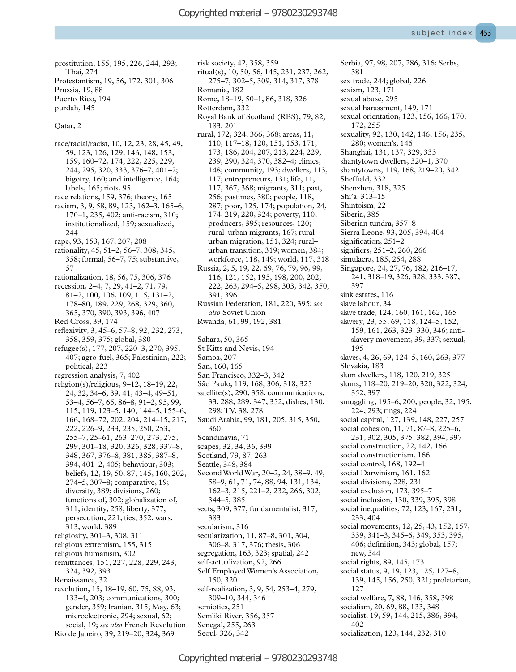prostitution, 155, 195, 226, 244, 293; Thai, 274 Protestantism, 19, 56, 172, 301, 306 Prussia, 19, 88 Puerto Rico, 194 purdah, 145

Qatar, 2

- race/racial/racist, 10, 12, 23, 28, 45, 49, 59, 123, 126, 129, 146, 148, 153, 159, 160–72, 174, 222, 225, 229, 244, 295, 320, 333, 376–7, 401–2; bigotry, 160; and intelligence, 164; labels, 165; riots, 95 race relations, 159, 376; theory, 165 racism, 3, 9, 58, 89, 123, 162–3, 165–6, 170–1, 235, 402; anti-racism, 310; institutionalized, 159; sexualized, 244 rape, 93, 153, 167, 207, 208 rationality, 45, 51–2, 56–7, 308, 345, 358; formal, 56–7, 75; substantive, 57 rationalization, 18, 56, 75, 306, 376 recession, 2–4, 7, 29, 41–2, 71, 79, 81–2, 100, 106, 109, 115, 131–2,
- 178–80, 189, 229, 268, 329, 360, 365, 370, 390, 393, 396, 407 Red Cross, 39, 174 reflexivity, 3, 45–6, 57–8, 92, 232, 273,
- 358, 359, 375; global, 380 refugee(s), 177, 207, 220–3, 270, 395,
- 407; agro-fuel, 365; Palestinian, 222; political, 223 regression analysis, 7, 402
- religion(s)/religious, 9–12, 18–19, 22, 24, 32, 34–6, 39, 41, 43–4, 49–51, 53–4, 56–7, 65, 86–8, 91–2, 95, 99, 115, 119, 123–5, 140, 144–5, 155–6, 166, 168–72, 202, 204, 214–15, 217, 222, 226–9, 233, 235, 250, 253, 255–7, 25–61, 263, 270, 273, 275, 299, 301–18, 320, 326, 328, 337–8, 348, 367, 376–8, 381, 385, 387–8, 394, 401–2, 405; behaviour, 303; beliefs, 12, 19, 50, 87, 145, 160, 202, 274–5, 307–8; comparative, 19; diversity, 389; divisions, 260; functions of, 302; globalization of, 311; identity, 258; liberty, 377; persecution, 221; ties, 352; wars, 313; world, 389 religiosity, 301–3, 308, 311 religious extremism, 155, 315 religious humanism, 302 remittances, 151, 227, 228, 229, 243, 324, 392, 393 Renaissance, 32
- revolution, 15, 18–19, 60, 75, 88, 93, 133–4, 203; communications, 300; gender, 359; Iranian, 315; May, 63; microelectronic, 294; sexual, 62; social, 19; *see also* French Revolution Rio de Janeiro, 39, 219–20, 324, 369

risk society, 42, 358, 359 ritual(s), 10, 50, 56, 145, 231, 237, 262, 275–7, 302–5, 309, 314, 317, 378 Romania, 182 Rome, 18–19, 50–1, 86, 318, 326 Rotterdam, 332 Royal Bank of Scotland (RBS), 79, 82, 183, 201 rural, 172, 324, 366, 368; areas, 11, 110, 117–18, 120, 151, 153, 171, 173, 186, 204, 207, 213, 224, 229, 239, 290, 324, 370, 382–4; clinics, 148; community, 193; dwellers, 113, 117; entrepreneurs, 131; life, 11, 117, 367, 368; migrants, 311; past, 256; pastimes, 380; people, 118, 287; poor, 125, 174; population, 24, 174, 219, 220, 324; poverty, 110; producers, 395; resources, 120; rural–urban migrants, 167; rural– urban migration, 151, 324; rural– urban transition, 319; women, 384; workforce, 118, 149; world, 117, 318 Russia, 2, 5, 19, 22, 69, 76, 79, 96, 99, 116, 121, 152, 195, 198, 200, 202, 222, 263, 294–5, 298, 303, 342, 350, 391, 396 Russian Federation, 181, 220, 395; *see also* Soviet Union Rwanda, 61, 99, 192, 381 Sahara, 50, 365 St Kitts and Nevis, 194 Samoa, 207 San, 160, 165 San Francisco, 332–3, 342 São Paulo, 119, 168, 306, 318, 325 satellite(s), 290, 358; communications, 33, 288, 289, 347, 352; dishes, 130, 298; TV, 38, 278 Saudi Arabia, 99, 181, 205, 315, 350, 360 Scandinavia, 71 scapes, 32, 34, 36, 399 Scotland, 79, 87, 263 Seattle, 348, 384 Second World War, 20–2, 24, 38–9, 49, 58–9, 61, 71, 74, 88, 94, 131, 134, 162–3, 215, 221–2, 232, 266, 302, 344–5, 385 sects, 309, 377; fundamentalist, 317, 383 secularism, 316 secularization, 11, 87–8, 301, 304, 306–8, 317, 376; thesis, 306 segregation, 163, 323; spatial, 242 self-actualization, 92, 266 Self Employed Women's Association, 150, 320 self-realization, 3, 9, 54, 253–4, 279, 309–10, 344, 346 semiotics, 251 Semliki River, 356, 357 Senegal, 255, 263 Seoul, 326, 342

Serbia, 97, 98, 207, 286, 316; Serbs, 381 sex trade, 244; global, 226 sexism, 123, 171 sexual abuse, 295 sexual harassment, 149, 171 sexual orientation, 123, 156, 166, 170, 172, 255 sexuality, 92, 130, 142, 146, 156, 235, 280; women's, 146 Shanghai, 131, 137, 329, 333 shantytown dwellers, 320–1, 370 shantytowns, 119, 168, 219–20, 342 Sheffield, 332 Shenzhen, 318, 325 Shi'a, 313–15 Shintoism, 22 Siberia, 385 Siberian tundra, 357–8 Sierra Leone, 93, 205, 394, 404 signification, 251–2 signifiers, 251–2, 260, 266 simulacra, 185, 254, 288 Singapore, 24, 27, 76, 182, 216–17, 241, 318–19, 326, 328, 333, 387, 397 sink estates, 116 slave labour, 34 slave trade, 124, 160, 161, 162, 165 slavery, 23, 55, 69, 118, 124–5, 152, 159, 161, 263, 323, 330, 346; antislavery movement, 39, 337; sexual, 195 slaves, 4, 26, 69, 124–5, 160, 263, 377 Slovakia, 183 slum dwellers, 118, 120, 219, 325 slums, 118–20, 219–20, 320, 322, 324, 352, 397 smuggling, 195–6, 200; people, 32, 195, 224, 293; rings, 224 social capital, 127, 139, 148, 227, 257 social cohesion, 11, 71, 87–8, 225–6, 231, 302, 305, 375, 382, 394, 397 social construction, 22, 142, 166 social constructionism, 166 social control, 168, 192–4 social Darwinism, 161, 162 social divisions, 228, 231 social exclusion, 173, 395–7 social inclusion, 130, 339, 395, 398 social inequalities, 72, 123, 167, 231, 233, 404 social movements, 12, 25, 43, 152, 157, 339, 341–3, 345–6, 349, 353, 395, 406; definition, 343; global, 157; new, 344 social rights, 89, 145, 173 social status, 9, 19, 123, 125, 127–8, 139, 145, 156, 250, 321; proletarian, 127 social welfare, 7, 88, 146, 358, 398 socialism, 20, 69, 88, 133, 348 socialist, 19, 59, 144, 215, 386, 394, 402 socialization, 123, 144, 232, 310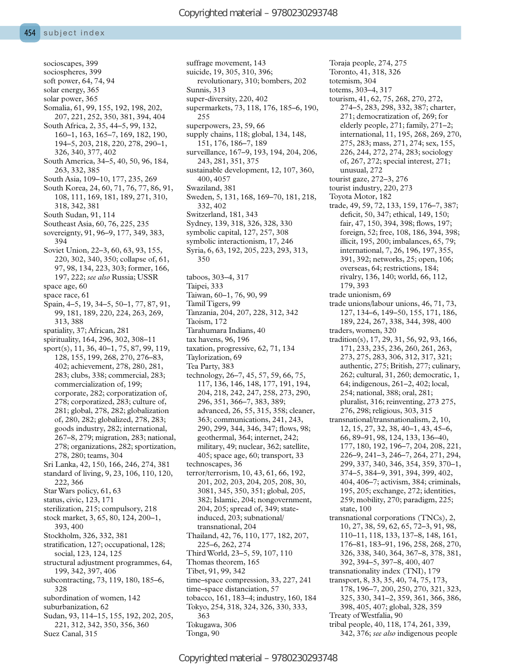socioscapes, 399 sociospheres, 399 soft power, 64, 74, 94 solar energy, 365 solar power, 365 Somalia, 61, 99, 155, 192, 198, 202, 207, 221, 252, 350, 381, 394, 404 South Africa, 2, 35, 44–5, 99, 132, 160–1, 163, 165–7, 169, 182, 190, 194–5, 203, 218, 220, 278, 290–1, 326, 340, 377, 402 South America, 34–5, 40, 50, 96, 184, 263, 332, 385 South Asia, 109–10, 177, 235, 269 South Korea, 24, 60, 71, 76, 77, 86, 91, 108, 111, 169, 181, 189, 271, 310, 318, 342, 381 South Sudan, 91, 114 Southeast Asia, 60, 76, 225, 235 sovereignty, 91, 96–9, 177, 349, 383, 394 Soviet Union, 22–3, 60, 63, 93, 155, 220, 302, 340, 350; collapse of, 61, 97, 98, 134, 223, 303; former, 166, 197, 222; *see also* Russia; USSR space age, 60 space race, 61 Spain, 4–5, 19, 34–5, 50–1, 77, 87, 91, 99, 181, 189, 220, 224, 263, 269, 313, 388 spatiality, 37; African, 281 spirituality, 164, 296, 302, 308–11 sport(s), 11, 36, 40–1, 75, 87, 99, 119, 128, 155, 199, 268, 270, 276–83, 402; achievement, 278, 280, 281, 283; clubs, 338; commercial, 283; commercialization of, 199; corporate, 282; corporatization of, 278; corporatized, 283; culture of, 281; global, 278, 282; globalization of, 280, 282; globalized, 278, 283; goods industry, 282; international, 267–8, 279; migration, 283; national, 278; organizations, 282; sportization, 278, 280; teams, 304 Sri Lanka, 42, 150, 166, 246, 274, 381 standard of living, 9, 23, 106, 110, 120, 222, 366 Star Wars policy, 61, 63 status, civic, 123, 171 sterilization, 215; compulsory, 218 stock market, 3, 65, 80, 124, 200–1, 393, 400 Stockholm, 326, 332, 381 stratification, 127; occupational, 128; social, 123, 124, 125 structural adjustment programmes, 64, 199, 342, 397, 406 subcontracting, 73, 119, 180, 185–6, 328 subordination of women, 142 suburbanization, 62 Sudan, 93, 114–15, 155, 192, 202, 205, 221, 312, 342, 350, 356, 360 Suez Canal, 315

suffrage movement, 143 suicide, 19, 305, 310, 396; revolutionary, 310; bombers, 202 Sunnis, 313 super-diversity, 220, 402 supermarkets, 73, 118, 176, 185–6, 190, 255 superpowers, 23, 59, 66 supply chains, 118; global, 134, 148, 151, 176, 186–7, 189 surveillance, 167–9, 193, 194, 204, 206, 243, 281, 351, 375 sustainable development, 12, 107, 360, 400, 4057 Swaziland, 381 Sweden, 5, 131, 168, 169–70, 181, 218, 332, 402 Switzerland, 181, 343 Sydney, 139, 318, 326, 328, 330 symbolic capital, 127, 257, 308 symbolic interactionism, 17, 246 Syria, 6, 63, 192, 205, 223, 293, 313, 350 taboos, 303–4, 317 Taipei, 333 Taiwan, 60–1, 76, 90, 99 Tamil Tigers, 99 Tanzania, 204, 207, 228, 312, 342 Taoism, 172 Tarahumara Indians, 40 tax havens, 96, 196 taxation, progressive, 62, 71, 134 Taylorization, 69 Tea Party, 383 technology, 26–7, 45, 57, 59, 66, 75, 117, 136, 146, 148, 177, 191, 194, 204, 218, 242, 247, 258, 273, 290, 296, 351, 366–7, 383, 389; advanced, 26, 55, 315, 358; cleaner, 363; communications, 241, 243, 290, 299, 344, 346, 347; flows, 98; geothermal, 364; internet, 242; military, 49; nuclear, 362; satellite, 405; space age, 60; transport, 33 technoscapes, 36 terror/terrorism, 10, 43, 61, 66, 192, 201, 202, 203, 204, 205, 208, 30, 3081, 345, 350, 351; global, 205, 382; Islamic, 204; nongovernment, 204, 205; spread of, 349; stateinduced, 203; subnational/ transnational, 204 Thailand, 42, 76, 110, 177, 182, 207, 225–6, 262, 274 Third World, 23–5, 59, 107, 110 Thomas theorem, 165 Tibet, 91, 99, 342 time–space compression, 33, 227, 241 time–space distanciation, 57 tobacco, 161, 183–4; industry, 160, 184 Tokyo, 254, 318, 324, 326, 330, 333, 363 Tokugawa, 306 Tonga, 90

Toraja people, 274, 275 Toronto, 41, 318, 326 totemism, 304 totems, 303–4, 317 tourism, 41, 62, 75, 268, 270, 272, 274–5, 283, 298, 332, 387; charter, 271; democratization of, 269; for elderly people, 271; family, 271–2; international, 11, 195, 268, 269, 270, 275, 283; mass, 271, 274; sex, 155, 226, 244, 272, 274, 283; sociology of, 267, 272; special interest, 271; unusual, 272 tourist gaze, 272–3, 276 tourist industry, 220, 273 Toyota Motor, 182 trade, 49, 59, 72, 133, 159, 176–7, 387; deficit, 50, 347; ethical, 149, 150; fair, 47, 150, 394, 398; flows, 197; foreign, 52; free, 108, 186, 394, 398; illicit, 195, 200; imbalances, 65, 79; international, 7, 26, 196, 197, 355, 391, 392; networks, 25; open, 106; overseas, 64; restrictions, 184; rivalry, 136, 140; world, 66, 112, 179, 393 trade unionism, 69 trade unions/labour unions, 46, 71, 73, 127, 134–6, 149–50, 155, 171, 186, 189, 224, 267, 338, 344, 398, 400 traders, women, 320 tradition(s), 17, 29, 31, 56, 92, 93, 166, 171, 233, 235, 236, 260, 261, 263, 273, 275, 283, 306, 312, 317, 321; authentic, 275; British, 277; culinary, 262; cultural, 31, 260; democratic, 1, 64; indigenous, 261–2, 402; local, 254; national, 388; oral, 281; pluralist, 316; reinventing, 273 275, 276, 298; religious, 303, 315 transnational/transnationalism, 2, 10, 12, 15, 27, 32, 38, 40–1, 43, 45–6, 66, 89–91, 98, 124, 133, 136–40, 177, 180, 192, 196–7, 204, 208, 221, 226–9, 241–3, 246–7, 264, 271, 294, 299, 337, 340, 346, 354, 359, 370–1, 374–5, 384–9, 391, 394, 399, 402, 404, 406–7; activism, 384; criminals, 195, 205; exchange, 272; identities, 259; mobility, 270; paradigm, 225; state, 100 transnational corporations (TNCs), 2, 10, 27, 38, 59, 62, 65, 72–3, 91, 98, 110–11, 118, 133, 137–8, 148, 161, 176–81, 183–91, 196, 258, 268, 270, 326, 338, 340, 364, 367–8, 378, 381, 392, 394–5, 397–8, 400, 407 transnationality index (TNI), 179 transport, 8, 33, 35, 40, 74, 75, 173, 178, 196–7, 200, 250, 270, 321, 323, 325, 330, 341–2, 359, 361, 366, 386, 398, 405, 407; global, 328, 359 Treaty of Westfalia, 90 tribal people, 40, 118, 174, 261, 339, 342, 376; *see also* indigenous people